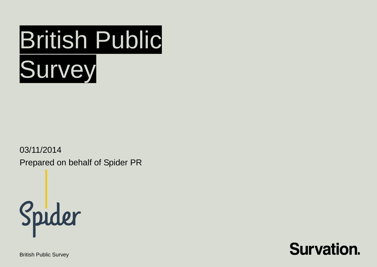

03/11/2014

Prepared on behalf of Spider PR



British Public Survey

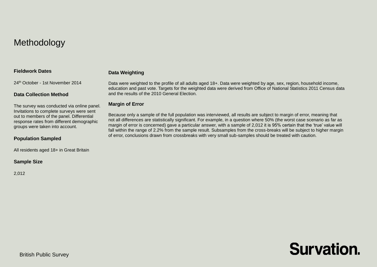## Methodology

#### **Fieldwork Dates**

#### **Data Weighting**

24th October - 1st November 2014

#### **Data Collection Method**

The survey was conducted via online panel. Invitations to complete surveys were sent out to members of the panel. Differential response rates from different demographic groups were taken into account.

#### **Population Sampled**

All residents aged 18+ in Great Britain

#### **Sample Size**

2,012

Data were weighted to the profile of all adults aged 18+. Data were weighted by age, sex, region, household income, education and past vote. Targets for the weighted data were derived from Office of National Statistics 2011 Census data and the results of the 2010 General Election.

#### **Margin of Error**

Because only a sample of the full population was interviewed, all results are subject to margin of error, meaning that not all differences are statistically significant. For example, in a question where 50% (the worst case scenario as far as margin of error is concerned) gave a particular answer, with a sample of 2,012 it is 95% certain that the 'true' value will fall within the range of 2.2% from the sample result. Subsamples from the cross-breaks will be subject to higher margin of error, conclusions drawn from crossbreaks with very small sub-samples should be treated with caution.

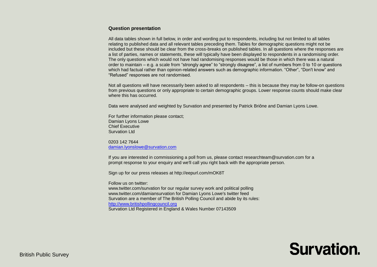#### **Question presentation**

All data tables shown in full below, in order and wording put to respondents, including but not limited to all tables relating to published data and all relevant tables preceding them. Tables for demographic questions might not be included but these should be clear from the cross-breaks on published tables. In all questions where the responses are a list of parties, names or statements, these will typically have been displayed to respondents in a randomising order. The only questions which would not have had randomising responses would be those in which there was a natural order to maintain – e.g. a scale from "strongly agree" to "strongly disagree", a list of numbers from 0 to 10 or questions which had factual rather than opinion-related answers such as demographic information. "Other", "Don't know" and "Refused" responses are not randomised.

Not all questions will have necessarily been asked to all respondents – this is because they may be follow-on questions from previous questions or only appropriate to certain demographic groups. Lower response counts should make clear where this has occurred.

Data were analysed and weighted by Survation and presented by Patrick Briône and Damian Lyons Lowe.

For further information please contact; Damian Lyons Lowe Chief Executive Survation Ltd.

0203 142 7644 [damian.lyonslowe@survation.com](mailto:damian.lyonslowe@survation.com)

If you are interested in commissioning a poll from us, please contact researchteam@survation.com for a prompt response to your enquiry and we'll call you right back with the appropriate person.

Sign up for our press releases at http://eepurl.com/mOK8T

Follow us on twitter:

www.twitter.com/survation for our regular survey work and political polling www.twitter.com/damiansurvation for Damian Lyons Lowe's twitter feed Survation are a member of The British Polling Council and abide by its rules: [http://www.britishpollingcouncil.org](http://www.britishpollingcouncil.org/) Survation Ltd Registered in England & Wales Number 07143509

# **Survation**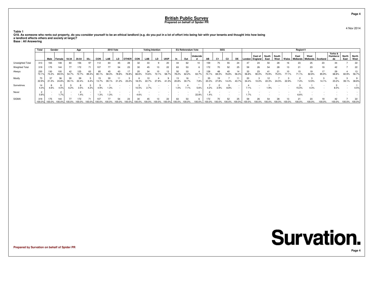4 Nov 2014

**Page 4**

**Table 1 Q18. As someone who rents out property, do you consider yourself to be an ethical landlord (e.g. do you put in a lot of effort into being fair with your tenants and thought into how beinga landlord affects others and society at large)?**

**Base : All Answering**

|                  | Total         |               | Gender       |        | Age          |             |            | <b>2010 Vote</b> |    |              |            | <b>Voting Intention</b> |       |             |             | EU Referendum Vote |                 |              | <b>SEG</b> |                |              |        |                                         |      |               |       | Region11 |                             |            |                           |               |               |
|------------------|---------------|---------------|--------------|--------|--------------|-------------|------------|------------------|----|--------------|------------|-------------------------|-------|-------------|-------------|--------------------|-----------------|--------------|------------|----------------|--------------|--------|-----------------------------------------|------|---------------|-------|----------|-----------------------------|------------|---------------------------|---------------|---------------|
|                  |               | Male          | I Female     | 18-34  | 35-54        | $55+$       | <b>CON</b> | LAB              | LD | <b>OTHER</b> | <b>CON</b> | LAB                     | LD    | <b>UKIP</b> |             | Out                | <b>Undecide</b> | AB           | C1.        | C <sub>2</sub> | <b>DE</b>    | London | East of South<br>. England <sup>1</sup> | East | South<br>West | Wales | East     | West<br>Midlands   Midlands | l Scotland | Yorks &<br>Humbersi<br>de | North<br>East | North<br>West |
| Unweighted Total | 313           | 165           | 148          | 60     | 156          |             | 112        | 64               | 45 | 28           | 32         | 33                      |       | 20          |             | 62                 |                 | 159          | $\sqrt{5}$ | 55             | 24           |        | 24                                      |      | 28            |       | 23       | 25                          | 23         | 44                        |               | 22            |
| Weighted Total   | 319           | 175           | 144          | 77     | 172          |             | 107        | 77               | 54 | 23           | 30         | 45                      |       | 22          | 63          | 53                 |                 | 172          |            | 52             | 25           | 59     | 26                                      | 54   | 28            | 13    | 21       | 23                          | 19         | 42                        |               | 22            |
| Always           | 230<br>72.1%  | 130<br>74.2%  | 100<br>69.5% | 54.7%  | 125<br>72.7% | 63<br>89.4% | 80.1%      | 58.3%            |    |              |            | 74.6%                   | 72.1% | 13<br>58.7  | 50<br>78.2% | 33<br>62.2%        | 63.7%           | 128<br>74.1% | 69.3%      | 76.8%          | 14<br>56.3%  | 56.8%  | 23<br>90.0%                             |      |               |       |          | 19<br>82.8%                 | 85.9%      | 29<br>68.8%               | 60.9%         | 56.7%         |
| Mostly           | 22.9%         | 21.3%         | 36<br>24.8%  | 39.1%  | 39<br>22.4%  | 6.4%        |            | 39.1%            |    | 23.2%        | 18.3%      | 22.7%                   | 27.9% | 41.3%       | 20.8%       | 30.7%              | 7.8%            | 35<br>20.3%  | 27.8%      |                | 11<br>43.7   | 34.4%  |                                         |      |               |       |          | 12.9%                       |            | 23.2%                     | 39.1%         | 38.8%         |
| Sometimes        | 14<br>4.3%    | 4.6%          | 4.0%         | 6.2%   | 3.5%         | 4.2%        | 4.9%       | 1.3%             |    |              | 10.5%      | 2.7%                    |       |             | 1.0%        | 7.1%               | 5.6%            | 4.2%         | 2.9%       | 8.8%           |              | 7.1%   |                                         | .9%  |               |       | 15.0%    | 4.3%                        |            | 8.0%                      |               | 4.5%          |
| Never            | 0.8%          |               | 1.7%         |        | 1.4%         |             | 1.3%       | 1.3%             |    |              | 4.6%       |                         |       |             |             |                    | 22.8%           | 1.4%         |            |                |              | 1.7%   |                                         |      |               |       |          |                             |            |                           |               |               |
| <b>SIGMA</b>     | 319<br>100.0% | 175<br>100.0% | 144          | 100.0% | 172          | 100.0%      | 100.0%     |                  |    | 23           |            |                         |       | 22          | 63          | 53                 |                 |              |            | 52             | 25<br>100.0° | 59     | 26                                      |      | 28            | 13    |          | 23<br>100.0%                | 100.0%     | 42<br>100.0%              | 00.0%         | 22<br>100.0%  |

**Prepared by Survation on behalf of Spider PR**

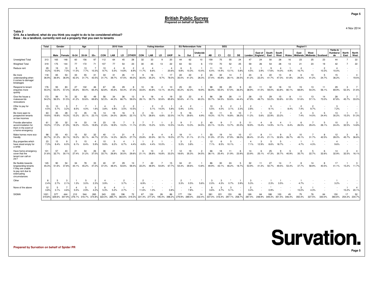**Table 2 Q19. As a landlord, what do you think you ought to do to be considered ethical?Base : As a landlord, currently rent out a property that you own to tenants**

|                                                                                                                         | Total          | Gender      |                                           |                   | Age          |                        |             | <b>2010 Vote</b> |                                    |                         |                                | <b>Voting Intention</b>            |                         |                              |                        | <b>EU Referendum Vote</b>       |                         |                                    | <b>SEG</b>     |                   |             |                        |                                   |               |                   |             | Region11                |                           |                         |                           |                         |               |
|-------------------------------------------------------------------------------------------------------------------------|----------------|-------------|-------------------------------------------|-------------------|--------------|------------------------|-------------|------------------|------------------------------------|-------------------------|--------------------------------|------------------------------------|-------------------------|------------------------------|------------------------|---------------------------------|-------------------------|------------------------------------|----------------|-------------------|-------------|------------------------|-----------------------------------|---------------|-------------------|-------------|-------------------------|---------------------------|-------------------------|---------------------------|-------------------------|---------------|
|                                                                                                                         |                | Male        | Female                                    | 18-34             | 35-54        | $55+$                  | <b>CON</b>  | LAB              | LD                                 | <b>OTHER</b>            | CON                            | LAB                                | LD                      | <b>UKIP</b>                  | <b>In</b>              | Out                             | Undecide<br>d           | AB                                 | C <sub>1</sub> | C <sub>2</sub>    | DE          | London                 | East of<br>I England              | South<br>East | South<br>West     | Wales       | East<br><b>Midlands</b> | West<br>Midlands Scotland |                         | Yorks &<br>Humbersi<br>de | North<br>East           | North<br>West |
| Unweighted Total                                                                                                        | 313            | 165         | 148                                       | 60                | 156          | 97                     | 112         | 64               | 45                                 | 28                      | 32                             | 33                                 | 9                       | 20                           | 44                     | 62                              | 10                      | 159                                | 75             | 55                | 24          |                        | 24                                | 50            | 28                | 16          | 23                      | 25                        | 23                      | 44                        |                         | 22            |
| Weighted Total                                                                                                          | 319            | 175         | 144                                       | 77                | 172          | 71                     | 107         | 77               | 54                                 | 23                      | 30                             | 45                                 | 13                      | 22                           | 63                     | 53                              | 6                       | 172                                | 70             | 52                | 25          | 59                     | 26                                | 54            | 28                | 13          | 21                      | 23                        | 19                      | 42                        |                         | 22            |
| Reduce rent                                                                                                             | 29<br>9.2%     | 19<br>10.9% | 10<br>7.0%                                | <b>q</b><br>11.5% | 13<br>7.7%   | 10.3%                  | 10<br>9.7%  | 5.5%             | 14.8%                              | $\overline{2}$<br>8.9%  | $\boldsymbol{\Delta}$<br>11.7% | $\Delta$<br>8.6%                   |                         | $\Delta$<br>20.6%            | -6<br>9.8%             | 5<br>10.3%                      | $\overline{1}$<br>10.4% | 11<br>6.4%                         | 10<br>14.4%    | 13.1%             | 5.8%        | 3<br>4.5%              | 3.9%                              | 17.6%         | $\Delta$<br>14.0% | 4.9%        | 16.7%                   |                           | $\overline{c}$<br>10.3% | $\mathbf{A}$<br>10.0%     |                         |               |
| Be more<br>understanding when<br>it comes to damage/<br>breakages                                                       | 118<br>36.9%   | 65<br>36.9% | 53<br>36.9%                               | 33<br>42.3%       | 55<br>31.7%  | 31<br>43.5%            | 34<br>31.7% | 31<br>39.7%      | 26<br>47.5%                        | 11<br>49.2%             | 9<br>30.0%                     | 16<br>35.2%                        | 9.7%                    | 17<br>78.0%                  | 22<br>35.0%            | 22<br>41.2%                     | $\overline{2}$<br>26.3% | 65<br>37.4%                        | 32<br>45.8%    | 14<br>28.1%       | 26.5%       | 24<br>41.2%            | 22.2%                             | 22<br>41.7%   | 13<br>47.3%       | 8<br>61.8%  | 6<br>29.2%              | 10<br>41.2%               | 5<br>24.7%              | 15<br>36.2%               |                         | 19.5%         |
| Respond to tenant<br>enquiries more<br>quickly                                                                          | 176<br>55.0%   | 93<br>53.0% | 83<br>57.4%                               | 27<br>35.6%       | 102<br>59.4% | 46<br>65.4%            | 67<br>62.8% | 35<br>45.6%      | 29<br>54.4%                        | -8<br>37.3%             | 10<br>33.6%                    | 18<br>40.8%                        | $\overline{2}$<br>13.1% | 10<br>44.4%                  | 25<br>40.2%            | 23<br>42.3%                     | $\mathbf{1}$<br>18.9%   | 98<br>56.9%                        | 39<br>55.5%    | 29<br>57.0%       | -9<br>36.5% | 23<br>38.9%            | 11<br>41.5%                       | 32<br>59.0%   | 18<br>63.8%       | 10<br>80.1% | 15<br>68.8%             | 13<br>54.3%               | 11<br>56.1%             | 29<br>69.9%               | -3                      | 52.3% 31.6%   |
| Give the house a<br>makeover/do<br>renovations                                                                          | 173<br>54.2%   | 99<br>56.5% | 74<br>51.5%                               | 32<br>41.2%       | 92<br>53.6%  | 49<br>69.8%            | 56<br>52.3% | 34<br>44.3%      | 36<br>66.7%                        | 13<br>59.0%             | -9<br>28.1%                    | 18<br>39.7%                        | $\mathbf{A}$<br>32.6%   | 19<br>85.8%                  | 32<br>50.6%            | 22<br>41.1%                     | $\mathbf{A}$<br>60.3%   | 96<br>55.7%                        | 38<br>54.5%    | 28<br>53.6%       | 11<br>44.4% | 28<br>47.9%            | 13<br>49.7%                       | 29<br>53.2%   | 15<br>53.8%       | 8<br>61.9%  | 11<br>51.6%             | 13<br>57.1%               | 14<br>73.0%             | 28<br>67.8%               |                         | 45.7% 33.0%   |
| Offer to pay for<br>bills                                                                                               | 15<br>4.5%     | 10<br>5.7%  | 3.2%                                      | 8.5%              | 4.0%         | 1.6%                   | Δ<br>3.8%   | 6.8%             | 3.5%                               | $\overline{2}$<br>10.5% |                                | $\overline{2}$<br>5.1%             | $\overline{2}$<br>14.0% | 5.8%                         | $\mathbf{A}$<br>5.9%   | $\overline{2}$<br>3.4%          |                         | 10<br>5.5%                         | 3<br>4.0%      | 3.1%              | 2.3%        | 2.8%                   |                                   | 5<br>9.1%     |                   | 8.4%        | 2<br>7.4%               | 9.7%                      |                         | $\mathcal{R}$<br>7.2%     |                         |               |
| Be more open to<br>prospective tenants<br>on low incomes                                                                | 63<br>19.6%    | 35<br>19.8% | 28<br>19.3%                               | 12<br>15.2%       | 35<br>20.1%  | 16<br>23.1%            | 14<br>12.9% | 19<br>24.0%      | 16<br>28.9%                        | 5<br>22.1%              | $\overline{2}$<br>5.7%         | 13<br>28.6%                        | 6.8%                    | 7<br>32.0%                   | <b>q</b><br>14.7%      | 16<br>29.6%                     | $\bullet$<br>6.9%       | 33<br>19.3%                        | 11<br>15.7%    | <b>q</b><br>16.8% | 10<br>38.2% | -7<br>11.2%            | 5.6%                              | 12<br>22.9%   | 7<br>23.2%        |             | $\overline{2}$<br>7.4%  | 3<br>14.0%                | 5<br>24.4%              | 13<br>30.2%               | 15.2%                   | 11<br>51.3%   |
| Provide alternative<br>accommodation for<br>them in the event of<br>a home emergency                                    | 61<br>19.2%    | 30<br>17.0% | 32<br>21.9%                               | 14<br>18.2%       | 33<br>19.4%  | 14<br>19.8%            | 23<br>21.6% | 15<br>18.9%      | 13.0%                              | -3<br>11.1%             | 21.9%                          | $\overline{7}$<br>15.2%            | 5.5%                    | $\overline{2}$<br>10.5%      | <b>q</b><br>14.4%      | 13.3%                           | $\overline{2}$<br>34.5% | 40<br>23.1%                        | q<br>13.3%     | 13.7%             | -5<br>20.3% | 11<br>18.9%            | 15.4%                             | 14.9%         | $\Delta$<br>14.1% | 8.4%        | 6<br>26.5%              | 29.4%                     | 5<br>26.1%              | 10<br>24.4%               | $\overline{2}$<br>32.5% | 14.8%         |
| Make homes more eco-<br>friendly                                                                                        | 98<br>30.7%    | 55<br>31.2% | 43<br>30.1%                               | 15<br>19.2%       | 52<br>30.1%  | 32<br>44.7%            | 40<br>37.3% | 11<br>14.3%      | 21<br>38.2%                        | -6<br>27.7%             | 23.8%                          | 9<br>20.9%                         | $\Delta$<br>32.1%       | 19.5%                        | 18<br>27.7%            | 11<br>21.1%                     | 21.1%                   | 55<br>31.9%                        | 19<br>27.3%    | 14<br>27.9%       | 10<br>38.0% | 17<br>28.4%            | 31.4%                             | 11<br>21.1%   | 9<br>32.8%        | 3<br>26.7%  | 10<br>45.1%             | 31.7%                     | 8<br>42.5%              | 12<br>28.0%               | -3<br>45.7%             | 36.6%         |
| Buy properties which<br>have stood empty for<br>a while                                                                 | 23<br>7.3%     | 15<br>8.4%  | <b>q</b><br>6.0%                          | 5<br>6.1%         | 15<br>8.4%   | 4<br>5.9%              | 10<br>9.8%  | 6.2%             | 6.7%                               | 4.4%                    | 4.8%                           | $\overline{2}$<br>4.4%             | 10.0%                   | $\sim$                       | -3<br>5.3%             | $\overline{c}$<br>3.8%          |                         | 12<br>7.1%                         | 6<br>8.5%      | -5<br>10.1%       |             | 4<br>7.1%              | 12.9%                             | 5<br>8.6%     | 5<br>18.7%        |             | 4.7%                    | 4.3%                      |                         | -4<br>9.6%                |                         |               |
| Have home emergency<br>cover that the<br>tenant can call on<br>24/7                                                     | 101<br>31.6%   | 57<br>32.7% | 43<br>30.1%                               | 21<br>27.4%       | 54<br>31.2%  | 26<br>37.0%            | 36<br>33.7% | 21<br>26.8%      | 16<br>30.0%                        | 29.6%                   | 6<br>21.1%                     | 13<br>28.8%                        | $\overline{2}$<br>16.8% | 33.2%                        | 12<br>18.6%            | 19<br>35.3%                     | $\overline{2}$<br>34.5% | 66<br>38.1%                        | 18<br>25.4%    | 11<br>21.9%       | -6<br>23.9% | 14<br>23.9%            | 25.1%                             | 25<br>47.3%   | q<br>30.7%        | 5<br>40.9%  | 35.7%                   | 22.7%                     | 32.6%                   | 14<br>32.9%               | 32.5%                   | 16.1%         |
| Be flexible towards<br>longstanding tenants<br>if they are unable<br>to pay rent due to<br>extenuating<br>circumstances | 145<br>45.3%   | 90<br>51.6% | 54<br>37.8%                               | 34<br>44.1%       | 78<br>45.2%  | 33<br>47.2%            | 40<br>37.3% | 37<br>48.4%      | 29<br>53.6%                        | 13<br>59.4%             | $\overline{7}$<br>22.2%        | 22<br>48.9%                        | $\overline{7}$<br>54.8% | 15<br>67.7%                  | 34<br>54.3%            | 21<br>39.6%                     | $\overline{1}$<br>13.8% | 86<br>49.9%                        | 30<br>43.1%    | 24<br>46.2%       | -5<br>18.7% | 32<br>53.9%            | 11<br>41.3%                       | 27<br>50.7%   | 14<br>49.5%       | 7<br>53.4%  | 8<br>37.7%              | 14<br>58.9%               | 8<br>40.5%              | 17<br>41.1%               | 15.2%                   | 11.7%         |
| Other                                                                                                                   | 8<br>2.4%      | 2.7%        | 3<br>2.1%                                 | 1.3%              | 5<br>3.0%    | $\overline{2}$<br>2.3% | 3.9%        |                  | $\overline{2}$<br>3.7%             |                         | 2<br>6.9%                      |                                    |                         |                              | $\overline{2}$<br>3.3% | 0.5%                            | ٠<br>5.6%               | -3<br>2.0%                         | 3<br>4.3%      | 0.7%              | 3.9%        | 5.3%                   |                                   | 2.3%          | 3.5%              |             | 4.7%                    |                           |                         | 3.2%                      |                         |               |
| None of the above                                                                                                       | 12<br>3.8%     | -5<br>3.1%  | -7<br>4.6%                                | 5.5%              | 5<br>2.9%    | 3<br>4.2%              | -6<br>5.3%  | 5.2%             | 2.7%                               |                         | 11.6%                          | 1.0%                               |                         | $\ddot{\phantom{1}}$<br>0.8% |                        | $\overline{\mathbf{4}}$<br>7.8% |                         | 6<br>3.6%                          | -3<br>4.7%     | 3<br>5.1%         |             | $\overline{2}$<br>3.4% |                                   | 0.9%          |                   |             | -3<br>15.0%             | 4.3%                      |                         |                           | 15.2%                   | 20.1%         |
| <b>SIGMA</b>                                                                                                            | 1021<br>319.8% | 577         | 444<br>329.6% 307.9% 276.1% 316.7% 374.8% | 212               | 544          | 265                    | 343         | 220              | 196<br>322.0% 285.7% 363.6% 319.3% | 72                      | 67                             | 124<br>221.4% 277.2% 195.4% 398.2% | 26                      | 86                           | 177<br>279.9% 289.0%   | 154                             | 14<br>232.4%            | 581<br>337.0% 316.4% 297.1% 258.7% | 221            | 153               | 66          | 169<br>287.4%          | 64<br>248.9% 349.3% 351.5% 346.4% | 188           | 100               | 45          | 75<br>350.4%            | 76<br>327.5%              | 64<br>330.0%            | 150<br>360.6%             | 17<br>254.3% 234.7%     | 52            |

**Prepared by Survation on behalf of Spider PR**

4 Nov 2014

**Page 5**

**Survation. Page 5**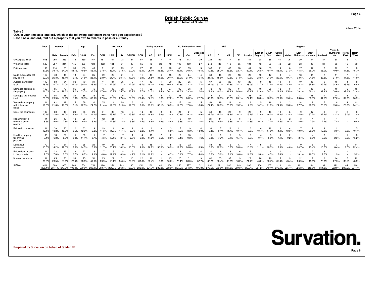**Table 3 Q20. In your time as a landlord, which of the following bad tenant traits have you experienced?Base : As a landlord, rent out a property that you own to tenants in pase or currently**

|                                                     | Total                | Gender               |              |             | Age          |             |                                                                                     | <b>2010 Vote</b> |             |              |             | <b>Voting Intention</b> |             |                        |                      | <b>EU Referendum Vote</b> |                         |                                    | <b>SEG</b>     |             |             |               |                                    |               |               |       | Region11         |                             |              |                                  |                      |                              |
|-----------------------------------------------------|----------------------|----------------------|--------------|-------------|--------------|-------------|-------------------------------------------------------------------------------------|------------------|-------------|--------------|-------------|-------------------------|-------------|------------------------|----------------------|---------------------------|-------------------------|------------------------------------|----------------|-------------|-------------|---------------|------------------------------------|---------------|---------------|-------|------------------|-----------------------------|--------------|----------------------------------|----------------------|------------------------------|
|                                                     |                      | Male                 | Female       | 18-34       | 35-54        | $55+$       | CON                                                                                 | LAB              | LD          | <b>OTHER</b> | CON         | LAB                     | LD          | <b>UKIP</b>            | In                   | Out                       | Undecide<br>d           | AB                                 | C <sub>1</sub> | C2          | DE.         | London        | East of<br>England                 | South<br>East | South<br>West | Wales | East<br>Midlands | West<br>Midlands   Scotland |              | Yorks &<br><b>Humbersi</b><br>de | <b>North</b><br>East | <b>North</b><br>West         |
| Unweighted Total                                    | 518                  | 265                  | 253          | 112         | 239          | 167         | 161                                                                                 | 104              | 78          | 54           | 57          | 55                      | 17          | 44                     | 76                   | 113                       | 29                      | 224                                | 119            | 117         | 58          |               | 38                                 | 85            | $\mathbf{A}$  | 25    | 39               | 44                          | 37           | 58                               | 15                   | 47                           |
| <b>Weighted Total</b>                               | 532                  | 287                  | 244          | 145         | 263          | 124         | 162                                                                                 | 121              | 91          | 49           | 65          |                         | 20          | 48                     | 100                  | 109                       | 27                      | 248                                | 115            | 113         | 55          |               | 43                                 | 83            |               | 22    | 38               | 46                          |              | 53                               |                      | 50                           |
| Paid rent late                                      | 199<br>37.5%         | 114<br>39.7%         | 85<br>34.9%  | 50<br>34.1% | 106<br>40.5% | 43<br>35.1  | 61<br>37.5%                                                                         | 53<br>43.4%      | 29<br>31.5% | 13<br>27.0%  | 27<br>42.4% | 18<br>26.1%             | 38.3%       | 18<br>38.4%            | 45<br>45.1%          | 33<br>30.6%               | 5<br>19.4%              | 100<br>40.3%                       | 41<br>35.7%    | 40<br>35.6% | 18<br>32.7% | 41<br>39.4%   | 16<br>36.8%                        | 33<br>40.1%   | 14<br>33.4%   | 27.3% | 17<br>44.8%      | 17<br>36.7%                 | 18<br>56.0%  | 22<br>40.9%                      | 44.8%                | 8<br>15.7%                   |
| Made excuses for not<br>paying rent                 | 117<br>22.0%         | 73<br>25.3%          | 44<br>18.19  | 18<br>12.1% | 64<br>24.5%  | 35<br>28.49 | 39<br>23.9%                                                                         | 26<br>21.7%      | 21<br>23.4% | -5<br>10.3%  | 11<br>16.9% | 19<br>26.5%             | 31.5%       | 15<br>30.4%            | 25<br>25.2%          | 24<br>21.9%               | $\overline{4}$<br>15.4% | 60<br>24.1%                        | 18<br>15.5%    | 22<br>19.3% | 18<br>31.8% | 20<br>19.3%   | 10<br>23.8%                        | 21.0%         | 20.5%         | 19.7% | 13<br>33.6%      | 11<br>24.6%                 | 23.8%        | 11<br>21.0%                      | 44.3%                | $\overline{7}$<br>14.6%      |
| Avoided paying rent<br>at all                       | 142<br>26.7%         | 88<br>30.7%          | 54<br>22.0%  | 32<br>22.1% | 79<br>30.0%  | 31<br>25.3% | 44<br>27.1%                                                                         | 34<br>27.9%      | 25<br>27.1% | 17.9%        | 25.7%       | 13<br>18.1%             | 4.6%        | 20<br>40.8%            | 22<br>22.3%          | 25<br>23.3%               | 5<br>17.3%              | 67<br>27.1%                        | 36<br>1%       | 26<br>22.6% | 13<br>24.3% | 29<br>28.0%   | 21.7%                              | 21.9%         | 13<br>31.2%   | 24.9% | 10<br>26.2%      | 16<br>35.8%                 | q<br>29.7%   | 18<br>34.6%                      | 25.2%                | 8<br>16.6%                   |
| Damaged contents in<br>the property                 | 168<br>31.6%         | 95<br>33.1%          | 73<br>29.8%  | 35<br>24.2% | 88<br>33.5%  | 45<br>36.2% | 45<br>27.6%                                                                         | 43<br>35.7%      | 33<br>35.7% | 10<br>20.2%  | 11<br>17.7% | 22<br>31.0%             | 19.4%       | 27<br>56.1%            | 32<br>31.8%          | 36<br>33.3%               | 3<br>12.4%              | 73<br>29.3%                        | 46<br>40.0%    | 36<br>31.4% | 14<br>24.6% | 35<br>33.4%   | 10<br>22.8%                        | 25<br>30.3%   | 12<br>29.6%   | 25.9% | 11<br>30.1%      | 18<br>39.1%                 | 12<br>39.4%  | 16<br>30.6%                      | 6<br>37.8%           | 16<br>31.4%                  |
| Damaged the property<br>itself                      | 152<br>28.6%         | 86<br>29.9%          | 66<br>27.1%  | 26<br>17.8% | 88<br>33.5%  | 38<br>30.9% | 45<br>27.5%                                                                         | 40<br>33.3%      | 25<br>27.0% | 10<br>20.9%  | 13<br>20.4% | 25<br>36.1%             | 3<br>16.3%  | 13<br>27.2%            | 26<br>26.3%          | 29<br>26.2%               | -7<br>27.7%             | 74<br>30.0%                        | 31<br>26.8%    | 34<br>30.2% | 13<br>23.1% | 28<br>27.4%   | 10<br>23.8%                        | 22<br>26.0%   | 13<br>29.9%   | 15.0% | 13<br>33.8%      | 18<br>38.3%                 | 11<br>34.7%  | 14<br>27.0%                      | $.0\%$               | 13<br>26.9%                  |
| Vacated the property<br>with little or no<br>notice | 104<br>19.6%         | 62<br>21.6%          | 42<br>17.3%  | 15<br>10.1% | 59<br>22.5%  | 31<br>24.79 | 35<br>21.4%                                                                         | 14<br>11.5%      | 29<br>31.3% | -6<br>12.3%  | 10<br>16.0% | 11<br>15.7%             | 33.1%       | 9<br>18.9%             | 17<br>17.3%          | 18<br>17.0%               | 5<br>18.6%              | 53<br>21.4%                        | 19<br>16.8%    | 23<br>20.7% | 15.2%       | 8<br>7.5%     | 10.7%                              | 18<br>21.9%   | 10<br>24.9%   | 13.8% | 14<br>37.7%      | 9<br>20.6%                  | 23.5%        | -8<br>15.6%                      | 28.8%                | 12<br>24.1%                  |
| Upset the neighbours                                | 107<br>20.1%         | 60<br>21.0%          | 46<br>19.0%  | 24<br>16.8% | 56<br>21.3%  | 26<br>21.1  | 31<br>19.0%                                                                         | 30<br>25.1%      | 16<br>17.1% | 13.8%        | 14<br>22.3% | 13<br>18.8%             | 3<br>15.6%  | 6<br>12.8%             | 21<br>20.8%          | 21<br>19.3%               | 5<br>16.9%              | 59<br>23.7%                        | 18<br>15.2%    | 21<br>18.8% | 16.3%       | 20<br>19.1%   | 21.0%                              | 13<br>16.0%   | 10<br>24.3%   | 13.8% | 9<br>24.9%       | 17<br>37.2%                 | 10<br>32.4%  | 13.2%                            | 2<br>15.0%           | 6<br>11.0%                   |
| Illegally sublet a<br>room/the entire<br>property   | 44<br>8.3%           | 26<br>9.0%           | 19<br>7.6%   | 12<br>8.5%  | 25<br>9.4%   | 5.9%        | 12<br>7.3%                                                                          | 21<br>17.3%      | 1.4%        | 3<br>5.6%    | 4.5%        | 9.6%                    | 4.6%        | $\overline{4}$<br>8.6% | 5.3%                 | 10<br>8.8%                | $\star$<br>1.6%         | 21<br>8.7%                         | 11<br>9.5%     | 5.6%        | -6<br>10.1% | 15<br>14.8%   | 10.1%                              | 7.0%          | 12.6%         | 9.2%  | 3<br>8.0%        | $\Delta$<br>7.9%            | 2.4%         | $\Delta$<br>7.4%                 |                      | $\ddot{\phantom{1}}$<br>0.4% |
| Refused to move out                                 | 64<br>$12.1^{\circ}$ | 38<br>13.2%          | 26<br>10.7%  | 12<br>8.5%  | 33<br>12.6%  | 19<br>15.2% | 19<br>11.5%                                                                         | 14<br>11.9%      | 10<br>11.1% | 2.0%         | 12.2%       | 9.1%                    |             | 3<br>5.5%              | 7.2%                 | <b>q</b><br>8.3%          | $\overline{4}$<br>14.0% | 33<br>13.4%                        | 6.1%           | 13<br>11.7% | 11<br>19.4% | 10<br>9.5%    | 10.4%                              | 12<br>14.0%   |               | 18.5% | 19.0%            | 9<br>20.6%                  | 12.8%        | $\overline{2}$<br>3.6%           | 3.0%                 | 5<br>10.4%                   |
| Used the property<br>for criminal<br>purposes       | 39<br>7.4%           | 18<br>6.2%           | 21<br>8.8%   | 3.2%        | 30<br>11.4%  | -5<br>3.7%  | 4.5%                                                                                | 16<br>13.4%      | 8.1%        | 2.0%         | 6.3%        | 10<br>14.6%             | 9.5%        | $\overline{c}$<br>3.5% | 9.4%                 | 10 <sup>1</sup><br>9.3%   | $\star$<br>1.6%         | 15<br>6.0%                         | 7.7%           | 6.1%        | 15.4%       | 5.6%          | 9.1%                               | 5.6%          | 7.1%          | 9.2%  | 2.7%             | $\overline{4}$<br>9.3%      | 3<br>9.6%    | 2.3%                             | 6.6%                 | 8<br>15.2%                   |
| Lied about<br>references                            | 72<br>13.6%          | 41<br>14.2%          | -31<br>12.8% | 14<br>9.5%  | 38<br>14.5%  | 20<br>16.5% | 19<br>11.7%                                                                         | 24<br>20.1%      | q<br>10.2%  | 13.8%        | 4.5%        | 15<br>20.9%             | 11<br>56.3% | 5<br>10.9%             | 13<br>12.9%          | 22<br>20.6%               | 3.5%                    | 34<br>13.8%                        | 15<br>12.8%    | 5.7%        | 17<br>30.0% | 17<br>16.6%   | 11.1%                              | 10.3%         | 9.3%          |       | 9<br>24.7%       | 6<br>13.4%                  | -5<br>15.6%  | 3<br>6.4%                        | 2<br>12.7%           | 11<br>22.4%                  |
| Refused you access<br>to the property               | 41<br>7.8%           | 22<br>7.8%           | 19<br>7.8%   | 13<br>8.7%  | 23<br>8.7%   | 6<br>4.8%   | 4.6%                                                                                | 15<br>12.4%      | 8.9%        | 2<br>4.1%    | 10.1%       | 9<br>12.9%              |             | $\overline{2}$<br>4.7% | 8.1%                 | 7.7%                      | $\overline{4}$<br>14.4% | 21<br>8.5%                         | 5.6%           | 7.1%        | 10.6%       | 15<br>14.8%   | 2<br>3.8%                          |               | 2.4%          |       | 10.1%            | 16.3%                       | 3<br>9.6%    | 1.9%                             |                      | 3<br>5.2%                    |
| None of the above                                   | 161<br>30.2%         | 85<br>29.5%          | 76<br>31.19  | 34<br>23.4% | 75<br>28.6%  | 51<br>41.6% | 65<br>39.9%                                                                         | 22<br>18.1%      | 31<br>34.0% | 16<br>33.2%  | 22<br>33.3% | 25.4%                   | 3.6%        | 15<br>30.6%            | 25<br>25.4%          | 31<br>28.0%               | 9<br>32.7%              | 80<br>32.2%                        | 35<br>30.4%    | 37<br>32.6% | 16.2%       | 22<br>21.1%   | 20<br>46.2%                        | 26<br>30.7%   | 15<br>35.4%   | 43.4% | 12<br>30.9%      | 15.6%                       | 8<br>25.0%   | 14<br>27.5%                      | 35.5%                | 22<br>43.3%                  |
| SIGMA                                               | 1411<br>265.4%       | 808<br>281.1% 247.0% | 603          | 289         | 764          | 358         | 426<br>198.9% 290.9% 289.4% 263.7% 291.6% 266.8% 183.3% 232.3% 264.7% 232.8% 288.3% | 354              | 243         | 90           | 151         | 186                     | 46          | 138                    | 256<br>257.2% 254.3% | 277                       | 52<br>195.3%            | 690<br>278.5% 253.0% 247.3% 269.5% | 291            | 280         | 149         | 266<br>256.7% | 108<br>251.2% 249.4% 275.1% 225.4% | 207           | 116           | 49    | 122<br>326.3%    | 144<br>315.5%               | 99<br>314.3% | 122<br>232.0% 290.6% 237.4%      |                      | 118                          |

**Prepared by Survation on behalf of Spider PR**

**Survation. Page 6**

**Page 6**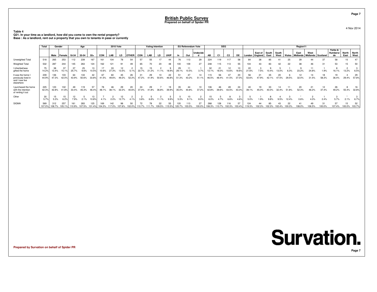#### **Table 4 Q21. In your time as a landlord, how did you come to own the rental property?Base : As a landlord, rent out a property that you own to tenants in pase or currently**

|                                                                         | Total<br>Gender |               |               |             | Age          |               |             | <b>2010 Vote</b> |             |              |             | <b>Voting Intention</b> |       |             |             | <b>EU Referendum Vote</b> |                    |              | <b>SEG</b>     |                |             |             |                    |               |               |       | Region11         |                               |             |                           |                     |               |
|-------------------------------------------------------------------------|-----------------|---------------|---------------|-------------|--------------|---------------|-------------|------------------|-------------|--------------|-------------|-------------------------|-------|-------------|-------------|---------------------------|--------------------|--------------|----------------|----------------|-------------|-------------|--------------------|---------------|---------------|-------|------------------|-------------------------------|-------------|---------------------------|---------------------|---------------|
|                                                                         |                 | Male          | Female        | 18-34       | 35-54        | $55+$         | <b>CON</b>  | LAB              | LD          | <b>OTHER</b> | CON         | LAB                     | LD    | <b>UKIP</b> |             | Out                       | Undecide           | AB           | C <sub>1</sub> | C <sub>2</sub> | DE          | London      | East of<br>England | South<br>East | South<br>West | Wales | East<br>Midlands | West<br>  Midlands   Scotland |             | Yorks &<br>Humbersi<br>de | North<br>East       | North<br>West |
| Unweighted Total                                                        | 518             | 265           | 253           | 112         | 239          | 167           | 161         |                  |             |              |             | 55                      |       | 44          |             |                           | 29                 | 224          | 119            | 117            | 58          | 84          | 38                 | 85            |               | 25    | 39               |                               |             | 58                        | 15                  |               |
| Weighted Total                                                          | 532             | 287           | 244           | 145         | 263          | 124           | 162         |                  | 91          | 49           | 65          | 70                      | 20    | 48          | 100         | 109                       | 27                 | 248          | 115            | 113            | 55          |             | 43                 | 83            |               | 22    | 38               | 46                            | 31          | 53                        | 15                  |               |
| I inherited/was<br>gifted the home                                      | 75<br>14.2%     | 38<br>13.4%   | 27            | 25.7%       | 25           | .5%           | 10.6%       | 33<br>27.3%      | 13.5%       |              | 22.7%       |                         |       |             | 29<br>29.1% | 10.5%                     | 3.7%               | 13.1%        |                | 12<br>10.6%    | 18.6        | 22          |                    |               |               |       |                  | 11<br>24.8%                   | 1.9%        | 16.1%                     | 13.2%               | 6.5%          |
| It was the home I<br>previously lived in<br>and I now live<br>elsewhere | 239<br>44.9%    | 136<br>47.3%  | 103<br>42.0%  | 64<br>43.9% | 133<br>50.6% | 42<br>33.8%   | 67<br>41.5% | 60<br>49.6%      | 45<br>49.2% | 26<br>52.2%  | 47.2%       | 29<br>41.9%             | 50.6% | 22<br>46.8% | 51.3%       | 43.2%                     | 14<br>51.1%        | 115<br>46.5% | 56<br>48.4%    | 41.5%          | 20<br>37.0% | 56<br>53.6% | 21<br>17.9%        | 35            | 20<br>47.5%   | 29.5% | 12<br>32.0%      | 14<br>31.5%                   | 18<br>58.3% | 19<br>36.4%               | 29.4%               | 29<br>57.8%   |
| I purchased the home<br>with the intention<br>of renting it out         | 225<br>42.3%    | 123<br>42.8%  | 102<br>41.8%  | 33.4%       | 119<br>45.3% | 46.4%         | 78<br>48.1% | 38.1%            | 29<br>32.2% | 20<br>40.6%  | 24<br>37.0% | 29<br>41.8%             | 36.8% | 39.9%       | 35.0%       | 40.8%                     | 10<br>37.2%        | 106<br>42.8% | 46<br>39.6%    | 43.5%          | 24<br>43.3° | 39.1%       | 45.0%              |               | 32.4%         | 51.8% | 20<br>52.3%      | 21<br>46.2%                   | 12<br>37.4% | 26<br>49.2%               | 55.4%               | 32.8%         |
| Other                                                                   | 5.7%            | 15<br>5.3%    | 15<br>6.2%    | 7.9%        | 2.1%         | 13<br>10.8%   | 4.1%        | 2.0%             | 12<br>12.7% | 4.1%         | 3.8%        | 6.8%                    | 11.1% | 9.9%        | 5.3%        | 9.1%                      | $\epsilon$<br>8.0% | 15<br>6.0%   | 4.7%           | 6.6%           | 4.6%        | 5.0%        | .9%                |               |               | 12.4% | 0.6%             | 4.0%                          | 2.4%        | 5.7%                      | 2.1%                | 6.7%          |
| <b>SIGMA</b>                                                            | 569<br>107.0°   | 312<br>108.7% | 257<br>105.1° |             | 283          | 125<br>101.4% |             |                  |             | 50           |             |                         | 22    |             | 120.7%      |                           | 27                 | 268          | 128            | 116<br>02.3%   | 57          | 119.3%      |                    |               |               | 22    | 08.0%            | 49<br>06.5%                   | 100.0%      | 57<br>107.4%              | 15<br>100.0% 103.7% |               |

**Prepared by Survation on behalf of Spider PR**



**Page 7**

**Page 7**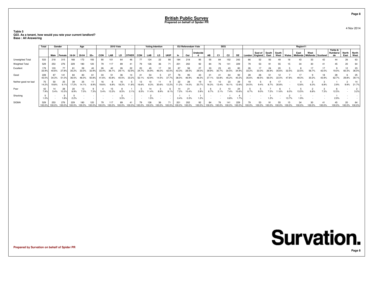#### **Table 5 Q22. As a tenant, how would you rate your current landlord?Base : All Answering**

|                      | Total         | Gender        |                     |               | Age         |               |            | <b>2010 Vote</b> |           |              |            | <b>Voting Intention</b> |       |                    |                           | <b>EU Referendum Vote</b> |             |             | <b>SEG</b>  |                |               |             |                    |               |               |       | Region11             |                             |        |                           |               |                      |
|----------------------|---------------|---------------|---------------------|---------------|-------------|---------------|------------|------------------|-----------|--------------|------------|-------------------------|-------|--------------------|---------------------------|---------------------------|-------------|-------------|-------------|----------------|---------------|-------------|--------------------|---------------|---------------|-------|----------------------|-----------------------------|--------|---------------------------|---------------|----------------------|
|                      |               | Male          | Female              | 18-34         | 35-54       | $55+$         | <b>CON</b> | LAB              | LD        | <b>OTHER</b> | <b>CON</b> | LAB                     | LD    | <b>UKIP</b>        |                           | Out                       | Undecide    | AB          |             | C <sub>2</sub> | <b>DE</b>     | London      | East of<br>England | South<br>East | South<br>West | Wales | East<br>· Midlands ' | West<br>Midlands   Scotland |        | Yorks &<br>Humbersi<br>de | North<br>East | <b>North</b><br>West |
| Unweighted Total     | 533           | 218           | 315                 | 168           |             | 193           |            | 101              | 64        | 46           |            | 124                     | 22    | 90                 | 18                        | 218                       | 95          | 55          | 84          | 152            | 242           | 66          | 52                 |               |               |       |                      |                             |        | 44                        | 26            | 63                   |
| Weighted Total       | 529           | 253           | 276                 | 229           | 180         | 120           | 79         | 117              | 89        | 41           | 79         | 126                     | 36    | 71                 | 201                       | 202                       | 92          | 84          |             | 141            | 229           |             | 53                 |               |               |       | 34                   | 30                          |        | 45                        | 20            |                      |
| Excellent            | 179<br>33.99  | 103<br>40.6%  | 77<br>27.89         | 35.2%         | 59<br>33.0% | 40<br>32 Q    | 26         | 42<br>36.        | 26<br>29. | 22<br>52.99  | 24.7%      | 45<br>35.9%             |       | 30<br>42.0         |                           | 58<br>28.5%               | 27<br>29.0% | 33<br>39.9% | 23<br>30.7% | 43<br>30.5%    | 80<br>34.99   | 26<br>33.2% |                    | 24            | 20            |       | 22.5%                | 56.7%                       | 42.0%  | 19.0%                     | 60.3%         | 23<br>36.0%          |
| Good                 | 228<br>43.0   | 87<br>34.3%   | 141<br>51.0%        | 36.5%         | 83          | 61<br>50.8%   | 33         |                  |           | 14<br>33.2%  | 52.1%      | 42.9%                   | 14.5% | 27<br>37.          | 38.0%                     | 95<br>46.9%               | 43<br>46.3% | 31<br>37.1% | 53.8%       | 64<br>45.2%    | 92<br>40.2%   | 28<br>35.6% | 26                 |               |               |       |                      | 30.2%                       | 43.9%  | 28<br>62.7%               | 29.8%         | 25<br>39.1%          |
| Neither good nor bad | 75<br>14.29   | 19.8%         | 25<br>$Q_1$ 1 $Q_2$ | 39<br>17.2%   | 25          |               |            | 6.8%             |           | 11.8%        | 16.69      | 8.3%                    | 30.6% | 12.2%              | 11.2%                     | 28<br>14.0%               | 19<br>20.7% | 16.3%       | 13.4%       | 23<br>16.1%    | 29<br>12.6%   | 24.5%       |                    |               |               |       | 2.8%                 | 6.3%                        | 6.8%   | 2.9%                      | 9.9%          | 14<br>21.7%          |
| Poor                 | 42<br>7.9%    | 5.4%          | 28<br>10.3%         | 20<br>8.9%    | 7.0%        | 7.3%          | 5.4%       | 3.3%             | 8.5%      | 2.1%         | 6.5%       | 1.4%                    | 8.9%  | 8.1%               | 7.2%                      | 10.4%                     | 2.8%        | 6.7%        | 2.1%        | 7.4%           | 24<br>10.6%   | 6.7%        |                    | 2%            |               |       | 3.5%                 | 6.8%                        | 7.3%   | 12.5%                     |               | 3.2%                 |
| Shocking             | 1.0%          |               | 1.8%                | 2.2%          |             |               |            |                  | 3.5%      |              |            | 1.5%                    |       |                    | 0.4%                      | 0.3%                      | 1.2%        |             |             | 0.8%           | 1.7%          |             |                    | .2%           |               |       | 1.9%                 |                             |        | 2.9%                      |               |                      |
| <b>SIGMA</b>         | 529<br>100.0% | 253<br>100.0% | 276<br>100.0%       | 229<br>100.0% | 100.0%      | 120<br>100.0° | 100.0%     | 100.0%           | 8S        | 41           |            | 126<br>$00.0\%$         |       | 100.0 <sub>1</sub> | 20 <sup>°</sup><br>100.0% | 202<br>100.0%             | 92          | 84          |             | 00.0%          | 229<br>100.0% | 100.0%      |                    |               |               |       | 100.0%               | 30<br>00.0%                 | 100.0% | 45<br>100.0%              | 100.0% 100.0% |                      |

**Prepared by Survation on behalf of Spider PR**

4 Nov 2014

**Page 8**

# **Survation.**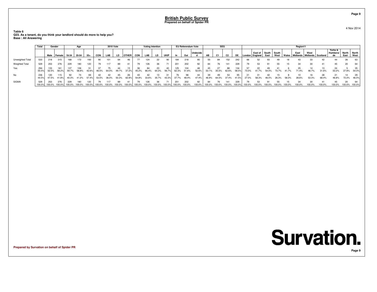**Table 6 Q23. As a tenant, do you think your landlord should do more to help you?Base : All Answering**

|                       | Total         | Gender        |               |               | Age           |               |            | <b>2010 Vote</b> |              |             |             | <b>Voting Intention</b> |              |                |               | EU Referendum Vote |              |              | <b>SEG</b>     |                |               |        |                             |               |                 |        | Region11 |                                          |        |                           |                     |               |
|-----------------------|---------------|---------------|---------------|---------------|---------------|---------------|------------|------------------|--------------|-------------|-------------|-------------------------|--------------|----------------|---------------|--------------------|--------------|--------------|----------------|----------------|---------------|--------|-----------------------------|---------------|-----------------|--------|----------|------------------------------------------|--------|---------------------------|---------------------|---------------|
|                       |               | Male Female   |               | 18-34         | 35-54         | $55+$         | <b>CON</b> | LAB              | LD           | OTHER I     | CON         | LAB                     | LD           | <b>UKIP</b>    | In            | Out                | Undecide     | AB           | C <sub>1</sub> | C <sub>2</sub> | DE            |        | East of<br>London   England | South<br>East | l South<br>West | Wales  | East     | West<br>Midlands   Midlands   Scotland ' |        | Yorks &<br>Humbersi<br>de | North<br>East       | North<br>West |
| Unweighted Total      | 533           | 218           | 315           | 168           | 172           | 193           |            |                  |              |             |             | 124                     | 22           | 90             | 184           | 218                | 95           | 55           | 84             | 152            | 242           |        |                             |               |                 |        |          | 33                                       | 42     | 44                        | 26                  | 63            |
| <b>Weighted Total</b> | 529           | 253           | 276           | 229           | 180           | 120           |            | 117              | 89           |             |             | 126                     | 36           | 71             | 201           | 202                | 92           | 84           | 76             | 141            | 229           |        |                             |               |                 |        |          | 30                                       |        | 45                        | 20                  |               |
| Yes                   | 294<br>55.5%  | 133<br>52.5%  | 161<br>58.2%  | 137<br>59.7%  | 106<br>58.8%  | 42.6%         | 46.5%      | 64.0%            | 49.7%        | 15<br>37.2% | 36<br>45.2% | 66.4%                   | 23<br>64.3%  | 40<br>56.7%    | 125<br>62.3%  | 104<br>51.6%       | 52.6%        | 53.1%        | 35.5%          | 88<br>62.6%    | 134<br>58.5%  | 73.0%  | 41.7%                       | 54.0%         | 73.7%           | 41.7%  | 71.4%    | 46.7%                                    | 31.6%  | 24<br>53.2%               | 27.8%               | 54.0%         |
| No                    | 236<br>44.5%  | 120<br>47.5%  | 115<br>41.8%  | 92<br>40.3%   | 41.2%         | 57.4%         | 53.5%      |                  | 50.3%        | 62.8%       | 54.8%       | 33.6%                   | 35.7%        | $43.3^{\circ}$ | 37.7%         | 98<br>48.4%        | 47.4%        |              | 64.5%          | 53<br>37.4%    | 95<br>41.5%   | 27.0%  | 58.3%                       |               | 26.3%           | 58.3%  | 28.6%    | 53.3%                                    | 68.4%  | 21<br>46.8%               | 14<br>72.2%         | 29<br>46.0%   |
| <b>SIGMA</b>          | 529<br>100.0% | 253<br>100.0% | 276<br>100.0% | 229<br>100.0% | 180<br>100.0% | 120<br>100.0% | 100.0%     | 100.0%           | 89<br>100.0% | 100.0%      | 100.0%      | 126<br>100.0%           | 36<br>100.0% | 71<br>100.0%   | 201<br>100.0% | 202<br>100.0%      | 92<br>100.0% | 84<br>100.0% | 100.0%         | 141<br>100.0%  | 229<br>100.0% | 100.0% | 100.0%                      | 100.0%        | 100.0%          | 100.0% | 00.0%    | 30                                       | 100.0% | 45<br>100.0%              | 20<br>100.0% 100.0% |               |

**Prepared by Survation on behalf of Spider PR**

#### 4 Nov 2014



**Page 9**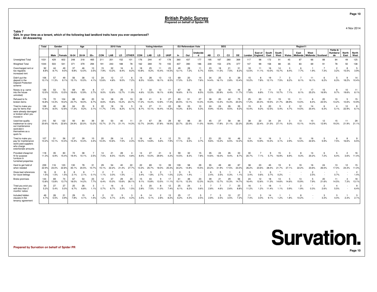**Table 7**

 **Q24. In your time as a tenant, which of the following bad landlord traits have you ever experienced?Base : All Answering**

|                                                                                                          | <b>Total</b> | Gender       |                     |              | Age               |             |                       | <b>2010 Vote</b> |             |                        |             | <b>Voting Intention</b> |                        |             |                   | <b>EU Referendum Vote</b> |                        |             | <b>SEG</b>     |                         |                  |             |                    |               |               |                        | Region11                |                           |                        |                                  |                        |                        |
|----------------------------------------------------------------------------------------------------------|--------------|--------------|---------------------|--------------|-------------------|-------------|-----------------------|------------------|-------------|------------------------|-------------|-------------------------|------------------------|-------------|-------------------|---------------------------|------------------------|-------------|----------------|-------------------------|------------------|-------------|--------------------|---------------|---------------|------------------------|-------------------------|---------------------------|------------------------|----------------------------------|------------------------|------------------------|
|                                                                                                          |              | Male         | Female              | 18-34        | 35-54             | $55+$       | <b>CON</b>            | LAB              | LD          | <b>OTHER</b>           | <b>CON</b>  | LAB                     | LD                     | <b>UKIP</b> | ln.               | Out                       | Undecide<br>d          | AB          | C <sub>1</sub> | C <sub>2</sub>          | <b>DE</b>        | London      | East of<br>England | South<br>East | South<br>West | Wales                  | East<br><b>Midlands</b> | West<br>Midlands Scotland |                        | Yorks &<br><b>Humbersi</b><br>de | North<br>East          | North<br>West          |
| Unweighted Total                                                                                         | 1031         | 429          | 602                 | 248          | 318               | 465         | 211                   | 201              | 152         | 101                    | 176         | 244                     | 47                     | 178         | 360               | 437                       | 177                    | 195         | 187            | 280                     | 369              | 117         | 98                 | 172           | 91            | 45                     | 8                       | 66                        | 88                     | 84                               | 49                     | 125                    |
| <b>Weighted Total</b>                                                                                    | 1044         | 503          | 541                 | 371          | 379               | 294         | 191                   | 243              | 188         | 78                     | 162         | 269                     | 70                     | 155         | 407               | 390                       | 186                    | 239         | 153            | 276                     | 377              | 147         | 99                 | 158           | 88            | 35                     | 83                      | 69                        | 91                     | 78                               | 50                     | 138                    |
| Overcharged rent or<br>too regularly<br>increased rent                                                   | 92<br>8.8%   | 44<br>8.7%   | 49<br>$9.0^{\circ}$ | 37<br>9.8%   | 46<br>12.0%       | 10<br>3.5%  | 15<br>7.9%            | 32<br>13.2%      | 16<br>8.4%  | 6<br>8.2%              | 18<br>10.8% | 25<br>9.2%              | 11<br>15.4%            | 23<br>14.5% | 49<br>12.1%       | 28<br>7.2%                | 11<br>5.7%             | 23<br>9.6%  | 18<br>11.5%    | 21<br>7.5%              | 31<br>8.2%       | 18<br>12.5% | 11<br>11.1%        | 16<br>10.0%   | 14<br>15.7%   | 3<br>8.4%              | 6<br>7.7%               | 1.9%                      | 7.3%                   | $\overline{c}$<br>3.2%           | 15.5%                  | 5<br>3.9%              |
| Didn't put the<br>deposit in the<br><b>Deposit Protection</b><br>scheme                                  | 106<br>10.1% | 57<br>11.3%  | 49<br>9.1%          | 56<br>15.1%  | 38<br>10.0%       | 12<br>4.1%  | 24<br>12.6%           | 12<br>4.8%       | 17<br>9.0%  | 6<br>7.2%              | 14<br>8.5%  | 28<br>10.6%             | 13<br>18.1%            | 13<br>8.5%  | 69<br>17.0%       | 20<br>5.2%                | 14<br>7.6%             | 34<br>14.4% | 25<br>16.1%    | 8<br>2.8%               | 39<br>10.4%      | 15<br>10.2% | 8<br>7.8%          | 19<br>12.1%   | 7.5%          | 3<br>8.2%              | 8.1%                    | 11<br>16.1%               | 6<br>6.2%              | 5<br>6.3%                        | 9<br>18.2%             | 14<br>10.4%            |
| Nosey (e g came<br>into the house<br>uninvited)                                                          | 126<br>12.0% | 53<br>10.5%  | 73<br>13.5%         | 69<br>18.6%  | 49<br>12.9%       | 8<br>2.7%   | 17<br>9.0%            | 31<br>12.6%      | 26<br>13.7% | 9<br>11.9%             | 4.6%        | 33<br>12.3%             | 13<br>18.1%            | 11<br>6.9%  | 67<br>16.6%       | 36<br>9.1%                | 16<br>8.5%             | 32<br>13.5% | 32<br>20.9%    | 18<br>6.4%              | 44<br>11.7%      | 26<br>17.6% | 6.8%               | 11<br>7.1%    | 9<br>10.7%    | $\overline{c}$<br>7.1% | 8.1%                    | 17<br>25.2%               | 15<br>16.9%            | 8<br>9.7%                        | 10<br>19.6%            | 11<br>8.1%             |
| Refused to fix<br>broken items                                                                           | 176<br>16.8% | 72<br>14.3%  | 104<br>19.2%        | 88<br>23.7%  | 68<br>18.0%       | 20<br>6.7%  | 16<br>8.6%            | 38<br>15.6%      | 29<br>15.2% | 19<br>23.7%            | 28<br>17.2% | 41<br>15.4%             | 9<br>12.8%             | 27<br>17.3% | 83<br>20.5%       | 51<br>13.1%               | 27<br>14.3%            | 38<br>15.9% | 20<br>13.4%    | 42<br>15.3%             | 75<br>20.0%      | 25<br>17.2% | 20<br>20.4%        | -31<br>19.5%  | 19<br>21.7%   | 10<br>28.9%            | 11<br>13.0%             | 6<br>8.4%                 | 20<br>22.5%            | 10<br>13.2%                      | 5<br>10.6%             | 15<br>10.9%            |
| Tried to make you<br>pay for items that<br>were already damaged<br>or broken when you<br>moved in        | 108<br>10.4% | 40<br>8.0%   | 68<br>12.6%         | 64<br>17.3%  | 35<br>9.2%        | q<br>3.1%   | 22<br>11.7%           | 18<br>7.4%       | 16<br>8.2%  | 5<br>6.1%              | 14<br>8.7%  | 27<br>10.1%             | 11<br>16.4%            | 22<br>14.3% | 58<br>14.3%       | 33<br>8.5%                | 10<br>5.3%             | 24<br>9.9%  | 24<br>15.5%    | 26<br>9.5%              | 35<br>9.2%       | 15<br>10.4% | q<br>9.2%          | 20<br>12.5%   | 5<br>5.4%     | $\overline{2}$<br>4.7% | 12<br>14.0%             | 14<br>20.4%               | 6<br>6.3%              | 5.1%                             | 12<br>22.9%            | 8<br>6.1%              |
| Used low quality<br>tradesman to carry<br>out maintenance<br>work/did it<br>themselves as a<br>quick fix | 215<br>20.6% | 92<br>18.4%  | 122<br>22.6%        | 93           | 84<br>24.9% 22.0% | 39<br>13.2% | 30<br>15.7%           | 53<br>21.7%      | 40<br>21.1% | 11<br>14.3%            | 21<br>12.7% | 67<br>24.9%             | 26<br>37.8%            | 29<br>18.5% | 92<br>22.7% 22.5% | 88                        | 20<br>11.0%            | 45<br>18.9% | 27<br>17.8%    | 58<br>21.1%             | 84<br>22.3%      | 38<br>25.9% | 22<br>22.4%        | -34<br>21.5%  | 24<br>27.1%   | 3<br>9.3%              | 13<br>15.1%             | 10<br>14.0%               | 12<br>12.9%            | 15<br>19.3%                      | 11                     | 29<br>21.9% 21.1%      |
| Tried to make you<br>pay for maintenance<br>work/used suppliers<br>who charge<br>extortionate amounts    | 107<br>10.2% | 51<br>10.1%  | 56<br>10.4%         | -57<br>15.4% | 39<br>10.4%       | 10<br>3.4%  | 20<br>10.3%           | 26<br>10.6%      | 14<br>7.5%  | $\overline{2}$<br>2.3% | 16<br>10.0% | 40<br>14.8%             | $\Delta$<br>5.6%       | 12<br>7.9%  | 70<br>17.1%       | 25<br>6.5%                | $\overline{7}$<br>3.7% | 23<br>9.6%  | 20<br>13.2%    | 18<br>6.5%              | 46<br>12.2%      | 14<br>9.3%  | 14<br>13.9%        | 16<br>10.4%   | 3<br>3.1%     | 2.9%                   | 10<br>12.4%             | 16<br>22.6%               | 5<br>5.9%              | 6<br>7.5%                        | 8<br>16.6%             | 6.5%                   |
| Provided cheap/not<br>fit for purpose<br>furniture in<br>furnished properties                            | 118<br>11.3% | 35<br>6.9%   | 83<br>15.4%         | 72<br>19.4%  | 38<br>10.1%       | 2.5%        | 14<br>7.5%            | 21<br>8.5%       | 28<br>15.0% | $\overline{4}$<br>4.8% | 14<br>8.5%  | 27<br>10.0%             | 21<br>29.9%            | 6<br>4.2%   | 59<br>14.5%       | 32<br>8.3%                | 15<br>7.8%             | 35<br>14.6% | 24<br>16.0%    | 26<br>9.4%              | 33<br>8.7%       | 30<br>20.7% | 7<br>7.1%          | 9<br>5.7%     | 15<br>16.9%   | 3<br>8.9%              | 8<br>9.3%               | 14<br>20.2%               | 6<br>7.2%              | 6.4%                             | $\overline{c}$<br>3.6% | 16<br>11.4%            |
| Hard to get hold of<br>when needed                                                                       | 239<br>22.9% | 116<br>23.0% | 123<br>22.8%        | 130<br>35.1% | 78<br>20.5%       | 31<br>10.7% | 29<br>15.1%           | 54<br>22.2%      | 40<br>21.4% | 22<br>27.7%            | 22<br>13.3% | 69<br>25.7%             | 13<br>18.0%            | 39<br>25.3% | 139<br>34.2%      | 58<br>14.8%               | 29<br>15.5%            | 55<br>23.2% | 49<br>31.9%    | 48<br>17.5%             | 87<br>23.0%      | 38<br>26.2% | 23<br>23.6%        | 45<br>28.4%   | 19<br>21.7%   | 9<br>27.1%             | 19<br>22.2%             | 16<br>23.6%               | 24<br>26.5%            | 13<br>17.0%                      | 12<br>24.3%            | 15<br>11.0%            |
| Gives bad references<br>for future lettings                                                              | 16<br>1.5%   | 1.5%         | 1.5%                | 2.1%         | 2.1%              | 0.1%        | $\mathcal{P}$<br>1.1% | 3.0%             | з<br>1.5%   | $\sim$                 | 3.4%        | 1.8%                    | $\overline{2}$<br>2.7% | 1.0%        | 2.2%              | 1.4%                      | $\sim$                 | 2.4%        | 3.5%           | 0.3%                    | $\Delta$<br>1.1% | 5<br>3.4%   | 0.6%               | 3.7%          | 0.2%          |                        |                         | $\overline{2}$<br>2.5%    |                        | 0.7%                             |                        | $\overline{2}$<br>1.4% |
| <b>Broke promises</b>                                                                                    | 144<br>13.8% | 69<br>13.8%  | 74<br>13.7%         | 67<br>18.0%  | 54<br>14.2%       | 23<br>7.7%  | 12<br>6.4%            | 37<br>15.0%      | 29<br>15.6% | 20<br>26.19            | 15<br>9.1%  | 43<br>15.8%             | 9<br>13.5%             | 17<br>11.1% | 61<br>15.1%       | 48<br>12.3%               | 23<br>12.3%            | 39<br>16.2% | 21<br>13.7%    | 29<br>10.3%             | 56<br>14.7%      | 24<br>16.4% | 12<br>12.6%        | 11.3%         | 13<br>14.6%   | 5<br>14.6%             | 13<br>15.9%             | 5<br>7.9%                 | 20<br>21.6%            | 11<br>14.5%                      | 7.3%                   | 18<br>13.1%            |
| Tried you evict you<br>with less than 2<br>months' notice                                                | 54<br>5.2%   | 27<br>5.4%   | 27<br>5.0%          | 25<br>6.7%   | 26<br>6.8%        | 3<br>1.1%   | 0.7%                  | 16<br>6.7%       | 6<br>3.3%   | 1.5%                   | -5<br>2.8%  | 20<br>7.5%              | 8<br>11.0%             | 12<br>7.4%  | 25<br>6.1%        | 24<br>6.2%                | $\overline{1}$<br>0.6% | 2.8%        | 4.6%           | 2.6%                    | 33<br>8.8%       | 16<br>11.2% | 1.2%               | 18<br>11.4%   | 1.1%          | 0.9%                   | $\overline{2}$<br>1.9%  | 0.3%                      | $\overline{2}$<br>2.6% | $\mathbf{A}$<br>5.5%             |                        | -9<br>6.4%             |
| Included hidden<br>clauses in the<br>tenancy agreement                                                   | 49<br>4.7%   | 28<br>5.5%   | 21<br>3.9%          | 29<br>7.8%   | 15<br>4.1%        | 1.5%        | 1.2%                  | 12<br>5.1%       | 5<br>2.4%   | 3<br>4.2%              | 3.4%        | 14<br>5.1%              | $\overline{2}$<br>2.8% | 13<br>8.2%  | 25<br>6.2%        | 17<br>4.3%                | -5<br>2.5%             | 2.8%        | 3.5%           | 10 <sup>1</sup><br>3.5% | 27<br>7.2%       | 11<br>7.4%  | 3<br>3.0%          | 14<br>9.1%    | 1.2%          | 1.8%                   | 10.2%                   |                           | 3<br>3.3%              | 4.4%                             | 2.3%                   | 2.1%                   |

**Prepared by Survation on behalf of Spider PR**

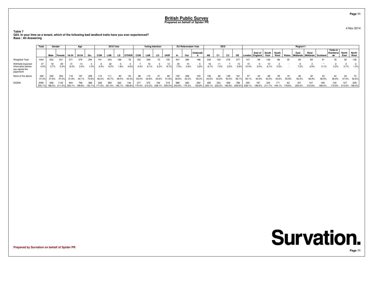**Table 7 Q24. In your time as a tenant, which of the following bad landlord traits have you ever experienced?Base : All Answering**

|                                                                         | Total        |       | Gender       |         | Age                                       |              |                             | <b>2010 Vote</b> |             |              |             | <b>Voting Intention</b> |       |             |                                           | EU Referendum Vote |               |              | <b>SEG</b>                  |                |               |               |                             |                     |        |              | Region11                                       |               |               |                           |                             |               |
|-------------------------------------------------------------------------|--------------|-------|--------------|---------|-------------------------------------------|--------------|-----------------------------|------------------|-------------|--------------|-------------|-------------------------|-------|-------------|-------------------------------------------|--------------------|---------------|--------------|-----------------------------|----------------|---------------|---------------|-----------------------------|---------------------|--------|--------------|------------------------------------------------|---------------|---------------|---------------------------|-----------------------------|---------------|
|                                                                         |              | Male  | Female       | $18-34$ | 35-54                                     | $55+$        | CON                         | LAB              | LD          | <b>OTHER</b> | <b>CON</b>  | LAB                     | LD    | <b>UKIP</b> |                                           | Out                | Undecide      | AB           | C1                          | C <sub>2</sub> |               |               | East of<br>London   England | South South<br>East | West   |              | East<br>Wales   Midlands   Midlands   Scotland | West          |               | Yorks &<br>Humbersi<br>de | North<br>East               | North<br>West |
| <b>Weighted Total</b>                                                   | 1044         | 503   | 541          | 371     | 379                                       | 294          | 191                         | 243              | 188         | 78           | 162         | 269                     | 70    | 155         | 407                                       | 390                | 186           | 239          | 153                         | 276            | 377           | 147           | 99                          | 158                 | 88     | 35           | 83                                             | 69            | 91            | 78                        | 50                          | 138           |
| Withheld important<br>information before<br>you signed the<br>paperwork | 47<br>4.5%   | 3.7%  | 29<br>5.3%   | 8.3%    | 3.4%                                      | .0%          | 3.4%                        | 9.2%             | 1.8%        | 4.6%         | 4.3%        | 16<br>6.1%              | 5.2%  | 13<br>8.7%  | 30<br>7.5%                                | 2.6%               | 2.6%          | 16<br>6.7%   | 7.0%                        | 2.5%           | 3.6%          | 10.4%         | 5.0%                        | 3.1%                | 2.5%   |              | 7.2%                                           | 2.6%          | 0.1%          | 3.2%                      | 3.7%                        | 1.5%          |
| None of the above                                                       | 494<br>47.3% | 47.6% | 254<br>47.0% | 31.8%   | 167<br>44.1%                              | 208<br>70.8% | 60.2%                       | 111<br>45.7%     | 90<br>48.0% | 35<br>44.4%  | 86<br>53.0% | 115<br>42.8%            | 30.6% | 80<br>51.6% | 150<br>36.8%                              | 208<br>53.3%       | 103<br>55.3%  | 106<br>44.6% | 66<br>43.6%                 | 139<br>50.5%   | 181<br>48.1%  | 39.1%         | 44.9%                       | 43.0%               | 44.6%  | 55.9%        | 55.0%                                          | 46.9%         | 46.9%         | 44<br>56.9%               | 24<br>47.0%                 | 52.6%         |
| <b>SIGMA</b>                                                            | 2090         | 948   | 1142         | 944     | 758<br>188.3% 211.0% 254.1% 199.8% 132.1% | 388          | 171.5% 201.4% 192.1% 186.8% | 489              | 362         |              | 277         | 572                     | 166   | 319         | 988<br>170.4% 212.2% 238.1% 205.5% 242.8% | 683<br>175.3%      | 284<br>152.8% | 490          | 354<br>205.1% 232.2% 165.9% | 458            | 788<br>209.0% | 350<br>238.1% | 187<br>189.5%               | 334<br>211.7%       | 194.1% | 62<br>178.8% | 200.2%                                         | 147<br>212.6% | 169<br>186.0% | 134                       | 107<br>172.9% 213.5% 166.4% | 229           |

**Prepared by Survation on behalf of Spider PR**

## **Survation. Page 11**

**Page 11**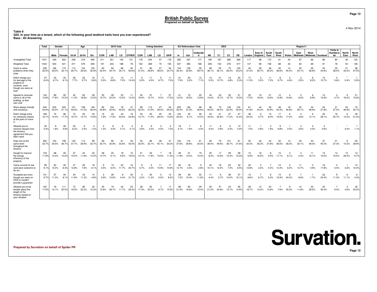**Table 8**

 **Q25. In your time as a tenant, which of the following good landlord traits have you ever experienced?Base : All Answering**

|                                                                                                        | Total        | Gender       |                       |              | Age          |              |             | <b>2010 Vote</b> |             |                        |                      | <b>Voting Intention</b> |                        |                        |              | <b>EU Referendum Vote</b> |                      |             | <b>SEG</b>     |                |              |              |                    |               |               |                        | Region11               |                           |             |                                  |                |                        |
|--------------------------------------------------------------------------------------------------------|--------------|--------------|-----------------------|--------------|--------------|--------------|-------------|------------------|-------------|------------------------|----------------------|-------------------------|------------------------|------------------------|--------------|---------------------------|----------------------|-------------|----------------|----------------|--------------|--------------|--------------------|---------------|---------------|------------------------|------------------------|---------------------------|-------------|----------------------------------|----------------|------------------------|
|                                                                                                        |              | Male         | Female                | 18-34        | 35-54        | $55+$        | CON         | LAB              | LD.         | <b>OTHER</b>           | <b>CON</b>           | LAB                     | <b>LD</b>              | <b>UKIP</b>            | In           | Out                       | <b>Undecide</b><br>d | AB          | C <sub>1</sub> | C <sub>2</sub> | DE           | London       | East of<br>England | South<br>East | South<br>West | Wales                  | East<br>Midlands       | West<br>Midlands Scotland |             | Yorks &<br><b>Humbersi</b><br>de | North<br>East  | North<br>West          |
| Unweighted Total                                                                                       | 1031         | 429          | 602                   | 248          | 318          | 465          | 211         | 201              | 152         | 101                    | 176                  | 244                     | 47                     | 178                    | 360          | 437                       | 177                  | 195         | 187            | 280            | 369          | 117          | 98                 | 172           | 91            | 45                     | 87                     | 66                        | 88          | RA                               | 49             | 125                    |
| <b>Weighted Total</b>                                                                                  | 1044         | 503          | 541                   | 371          | 379          | 294          | 191         | 243              | 188         | 78                     | 162                  | 269                     | 70                     | 155                    | 407          | 390                       | 186                  | 239         | 153            | 276            | 377          | 147          | 99                 | 158           | 88            | 35                     | 83                     | 69                        | 91          | 78                               | 50             | 138                    |
| Quick to solve<br>problems when they<br>arise                                                          | 339<br>32.5% | 166<br>33.0% | 174<br>$32.1^{\circ}$ | 110<br>29.7% | 124<br>32.6% | 105<br>35.9% | 62<br>32.4% | 84<br>34.7%      | 66<br>35.1% | 40<br>50.6%            | 51<br>31.2%          | 80<br>29.9%             | 27<br>39.2%            | 54<br>34.7%            | 144<br>35.4% | 128<br>32.8%              | 55<br>29.7%          | 86<br>36.1% | 55<br>36.1%    | 73<br>26.4%    | 125<br>33.2% | 40<br>27.2%  | 29<br>29.7%        | 46<br>29.3%   | 32<br>36.6%   | 14<br>40.4%            | 20<br>24.1%            | 25<br>36.9%               | 40<br>44.6% | 30<br>38.0%                      | 21<br>42.3%    | 38<br>27.5%            |
| Didn't charge you<br>for damage to the<br>property or<br>contents, even<br>though you were at<br>fault | 67<br>6.4%   | 34<br>6.7%   | 33<br>6.1%            | 29<br>7.7%   | 22<br>5.7%   | 16<br>5.6%   | 11<br>5.5%  | 21<br>8.8%       | 13<br>7.0%  | 11<br>13.4%            | -5<br>3.0%           | 11<br>4.0%              | 5<br>6.7%              | 11<br>7.3%             | 31<br>7.5%   | 20<br>5.2%                | 13<br>7.1%           | 13<br>5.3%  | 21<br>13.7%    | 13<br>4.8%     | 20<br>5.3%   | 17<br>11.2%  | -3<br>3.2%         | 11<br>7.2%    | 8<br>9.7%     | $\overline{2}$<br>4.6% | $\overline{2}$<br>2.5% | 6<br>8.2%                 | 10<br>10.7% | $\boldsymbol{\Delta}$<br>5.6%    | 0.4%           | $\overline{1}$<br>0.9% |
| Agreed to renovate<br>some or all of the<br>building, at their<br>own cost                             | 144<br>13.8% | 89<br>17.6%  | 55<br>10.2%           | 42<br>11.3%  | 63<br>16.6%  | 39<br>13.2%  | 30<br>15.7% | 49<br>20.2%      | 23<br>12.2% | 11<br>13.4%            | 32<br>19.4%          | 37<br>13.7%             | 9.3%                   | 27<br>17.2%            | 41<br>10.0%  | 72<br>18.5%               | 25<br>13.6%          | 34<br>14.2% | 24<br>15.7%    | 35<br>12.7%    | 51<br>13.5%  | 25<br>17.2%  | 19<br>19.0%        | 21<br>13.6%   | 12<br>13.9%   | 10.8%                  | 5<br>6.5%              | -6<br>8.9%                | 14<br>15.9% | 4.7%                             | 9              | 21<br>18.2% 15.6%      |
| Were always friendly<br>and courteous                                                                  | 445<br>42.6% | 222<br>44.2% | 222<br>41.1%          | 151<br>40.6% | 158<br>41.5% | 136<br>46.4% | 82<br>42.8% | 104<br>42.9%     | 76<br>40.5% | 47<br>60.2%            | 69<br>42.3%          | 112<br>41.5%            | 27<br>39.3%            | 54<br>35.0%            | 205<br>50.4% | 146<br>37.5%              | 68<br>36.6%          | 96<br>40.0% | 70<br>46.2%    | 145<br>52.5%   | 134<br>35.5% | -61<br>41.8% | 44<br>44.2%        | 55<br>34.9%   | 48<br>54.3%   | 18<br>50.6%            | 22<br>26.1%            | 34<br>48.9%               | 43<br>47.8% | 21<br>27.4%                      | 24<br>46.9%    | 73<br>52.7%            |
| Didn't charge extra<br>for reference checks<br>at the point of move                                    | 168<br>16.1% | 72<br>14.4%  | 96<br>17.7%           | 73<br>19.7%  | 52<br>13.7%  | 43<br>14.6%  | 15<br>7.9%  | 42<br>17.5%      | 43<br>23.0% | 19<br>24.8%            | 24<br>14.7%          | 30<br>11.0%             | 20<br>28.4%            | 20<br>13.0%            | 103<br>25.2% | 32<br>8.1%                | 26<br>14.0%          | 43<br>18.0% | 31<br>20.6%    | 47<br>17.0%    | 47<br>12.4%  | 36<br>24.5%  | -6<br>5.7%         | 13<br>8.0%    | 17<br>19.5%   | -6<br>17.0%            | 3<br>3.6%              | 9<br>13.1%                | 25<br>28.1% | 16<br>20.7%                      | -6             | 29<br>12.2% 21.0%      |
| Allowed you to<br>remove clauses from<br>the tenancy<br>agreement that you<br>didn't want              | 35<br>3.4%   | 1.8%         | 26<br>4.9%            | 6.2%         | 2.4%         | 1.2%         | 1.3%        | 8<br>3.3%        | 6<br>3.1%   | $\overline{2}$<br>2.1% | -6<br>3.9%           | 9<br>3.2%               | -3<br>4.0%             | $\overline{2}$<br>1.0% | 19<br>4.7%   | 1.9%                      | - 6<br>3.3%          | 4.4%        | 6<br>3.9%      | 6<br>2.2%      | 13<br>3.4%   | 11<br>7.5%   | 0.6%               | 3<br>1.6%     | 9<br>9.8%     | 3.0%                   | -3<br>3.6%             | 3<br>4.0%                 | 4.6%        |                                  | 0.4%           | 1.1%                   |
| Kept rent at the<br>same level<br>throughout the<br>tenancy                                            | 352<br>33.7% | 154<br>30.5% | 199<br>36.7%          | 140<br>37.7% | 113<br>29.9% | 99<br>33.7%  | 59<br>30.7% | 82<br>33.9%      | 61<br>32.6% | 33<br>42.0%            | 54<br>33.5%          | 86<br>32.1%             | 28<br>40.1%            | 47<br>30.2%            | 153<br>37.6% | 116<br>29.8%              | 61<br>33.0%          | 94<br>39.4% | 75<br>49.5%    | 101<br>36.7%   | 81<br>21.6%  | 50<br>34.3%  | 35<br>35.2%        | 44<br>27.8%   | 32<br>36.5%   | 10<br>28.3%            | 25<br>30.1%            | 33<br>48.0%               | 37<br>40.3% | 21<br>27.3%                      | 8<br>15.3%     | 55<br>39.9%            |
| Sought to improve<br>the energy<br>efficiency of the<br>property                                       | 123<br>11.8% | 68<br>13.4%  | 55<br>10.2%           | 37<br>10.0%  | 44<br>11.6%  | 42<br>14.2%  | 28<br>14.7% | 22<br>9.1%       | 18<br>9.5%  | 15<br>19.0%            | 21<br>13.1%          | 32<br>11.8%             | 10.0%                  | 18<br>11.4%            | 48<br>11.9%  | 51<br>13.0%               | 19<br>10.4%          | 20<br>8.3%  | 17<br>10.9%    | 29<br>10.4%    | 58<br>15.3%  | 10<br>6.9%   | 16<br>16.0%        | 8<br>5.0%     | 15<br>17.1%   | -3<br>8.1%             | $\Delta$<br>4.4%       | 11<br>16.1%               | 15<br>16.0% | 13<br>16.5%                      | 13<br>26.4%    | 13<br>9.7%             |
| Came around for tea<br>(and were welcome to<br>do so)                                                  | 95<br>9.1%   | 50<br>10.0%  | 45<br>8.3%            | 47<br>12.8%  | 30<br>7.9%   | 18<br>6.1%   | 9<br>4.5%   | 15<br>6.0%       | 22<br>11.7% | 16<br>20.7%            | 9<br>5.7%            | 5<br>2.0%               | 11<br>15.9%            | 17<br>10.9%            | 60<br>14.7%  | 18<br>4.5%                | -5<br>2.8%           | 24<br>10.1% | 19<br>12.2%    | 20<br>7.4%     | 32<br>8.5%   | 22<br>14.8%  | -3<br>3.2%         | 4.3%          | 12<br>13.4%   | $\overline{2}$<br>6.0% | 11<br>12.7%            | 3<br>4.9%                 | 16<br>17.8% | $\overline{4}$<br>5.0%           | 2.6%           | 14<br>10.4%            |
| Accepted you even<br>though you were on<br>DSS or couldn't<br>provide a guarantor                      | 101<br>9.7%  | 57<br>11.3%  | 44<br>8.1%            | 44<br>11.8%  | 43<br>11.3%  | 14<br>4.8%   | 0.9%        | 26<br>10.6%      | 8<br>4.4%   | 25<br>31.7%            | $\mathbf{A}$<br>2.2% | 30<br>11.2%             | $\overline{2}$<br>2.5% | 13<br>8.5%             | 29<br>7.2%   | 39<br>10.0%               | 22<br>11.8%          | 11<br>4.4%  | -6<br>3.7%     | 28<br>10.0%    | 57<br>15.1%  | 13<br>8.6%   | 6.7%               | 8<br>5.2%     | 14<br>15.5%   | -8<br>24.3%            | 7<br>8.8%              | 1.7%                      | 22<br>24.4% | -9<br>11.3%                      | 6<br>11.1%     | 6<br>4.2%              |
| Allowed you to be<br>flexible about the<br>length of the<br>tenancy based on<br>your situation         | 187<br>17.9% | 76           | 111<br>15.1% 20.5%    | 73<br>19.5%  | 85<br>22.3%  | 30<br>10.2%  | 25<br>12.9% | 70<br>28.7%      | 22<br>11.7% | 23<br>29.3%            | 28<br>17.4%          | 55<br>20.3%             | 9.7%                   | 17<br>10.9%            | 21.9%        | 65<br>16.8%               | 29<br>15.4%          | 50<br>21.0% | 37<br>24.6%    | 43<br>15.7%    | 56<br>14.9%  | 28<br>18.7%  | 10<br>10.0%        | 23<br>14.8%   | 7.6%          | -9<br>25.3%            | 10<br>11.8%            | 20<br>29.5%               | 32<br>35.4% | 9.4%                             | $\overline{2}$ | 35<br>4.6% 25.5%       |

**Prepared by Survation on behalf of Spider PR**

**Page 12**

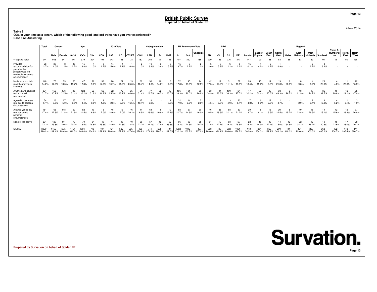**Table 8**

 **Q25. In your time as a tenant, which of the following good landlord traits have you ever experienced?Base : All Answering**

|                                                                                                             | Total          | Gender       |                       |               | Age                     |               |             | <b>2010 Vote</b> |               |              |                      | <b>Voting Intention</b> |               |               |               | <b>EU Referendum Vote</b> |                        |               | <b>SEG</b>     |                |                |             |                    |               |                      |             | Region11                |                             |               |                           |                      |               |
|-------------------------------------------------------------------------------------------------------------|----------------|--------------|-----------------------|---------------|-------------------------|---------------|-------------|------------------|---------------|--------------|----------------------|-------------------------|---------------|---------------|---------------|---------------------------|------------------------|---------------|----------------|----------------|----------------|-------------|--------------------|---------------|----------------------|-------------|-------------------------|-----------------------------|---------------|---------------------------|----------------------|---------------|
|                                                                                                             |                | Male         | <b>Female</b>         | 18-34         | 35-54                   | $55+$         | <b>CON</b>  | LAB              | LD            | <b>OTHER</b> | CON                  | LAB                     | LD            | <b>UKIP</b>   | In            | Out                       | Undecide               | AB            | C <sub>1</sub> | C <sub>2</sub> | DE             | London      | East of<br>England | South<br>East | South<br>West        | Wales       | East<br><b>Midlands</b> | West<br>Midlands   Scotland |               | Yorks &<br>Humbersi<br>de | <b>North</b><br>East | North<br>West |
| <b>Weighted Total</b>                                                                                       | 1044           | 503          | 541                   | 371           | 379                     | 294           | 191         | 243              | 188           | 78           | 162                  | 269                     | 70            | 155           | 407           | 390                       | 186                    | 239           | 153            | 276            | 377            | 147         | 99                 | 158           |                      |             | 83                      |                             |               | 78                        | 50                   | 138           |
| Provided<br>accommodation for<br>you after the<br>property was left<br>uninhabitable due to<br>an emergency | 28<br>2.7%     | 20<br>4.0%   | 8<br>1.5%             | 10<br>2.7%    | 15<br>3.8%              | 1.3%          | 1.7%        | 14<br>5.6%       | 2.1%          | 0.9%         | 1.3%                 | 3.9%                    | చ<br>3.8%     | 5.2%          | 15<br>3.7%    | 2.2%                      | $\overline{2}$<br>1.2% | 2.0%          | 5.9%           | 2.2%           | 8<br>2.2%      | 15<br>10.1% | 4.2%               | .2%           | 0.9%                 |             |                         | 2.7%                        | 3.4%          |                           |                      |               |
| Made sure you fully<br>read the moving in<br>inventory                                                      | 148<br>14.2%   | 75<br>14.9%  | 73<br>13.5%           | 73<br>19.7%   | $\overline{4}$<br>12.3% | 28<br>9.6%    | 33<br>17.3% | 10.7%            | 11.2%         | 19<br>24.6%  | 30<br>18.4%          | 38<br>14.0%             | 10<br>14.6%   | 4.9%          | 72<br>17.8%   | 11.6%                     | 24<br>12.8%            | 17.5%         | 12.2%          | 31<br>11.1%    | 57<br>15.1%    | 20<br>13.4% | 15<br>15.2%        | 6.9%          | 21.3%                | 23.6%       | 9.8%                    | 6.2%                        | 23<br>25.6%   | 4.8%                      | 22.6%                | 22<br>16.3%   |
| Always gave advance<br>notice if a visit<br>was needed                                                      | 331<br>31.7%   | 155<br>30.9% | 176<br>32.5%          | 115<br>31.1%  | 122<br>32.2%            | 93<br>31.8%   | 65<br>34.2% | 62<br>25.5%      | 72<br>38.1%   | 35<br>44.6%  | 51<br>31.4%          | 28.7%                   | 32<br>46.5%   | 40<br>26.0%   | 156<br>38.3%  | 101<br>26.0%              | 50<br>26.9%            | 83<br>34.9%   | 44<br>28.8%    | 100<br>36.3%   | 104<br>27.5%   | 47<br>32.2% | 32<br>32.4%        | 40<br>25.6%   | 38<br>43.3%          | 26.7%       | 18<br>21.9%             | 17<br>24.7%                 | 36<br>39.5%   | 16<br>20.6%               | 12<br>24.1%          | 65<br>47.0%   |
| Agreed to decrease<br>rent due to personal<br>circumstances                                                 | 54<br>5.1%     | 26<br>5.3%   | 27<br>5.0%            | 35<br>9.5%    | 17<br>4.4%              | 0.6%          | 4.8%        | 2.8%             | 3.5%          | 13<br>16.5%  | 10.4%                | 2.9%                    |               | 0.8%          | 32<br>7.9%    | 3.6%                      | 5<br>2.6%              | 4.5%          | 6.0%           | 13<br>4.9%     | 20<br>5.4%     | 4.8%        | 6.0%               | 7.6%          |                      |             | 2.9%                    | 3.4%                        | 14<br>15.2%   | 5.2%                      | 2.1%                 | 1.9%          |
| Allowed you to pay<br>rent late due to<br>personal<br>circumstances                                         | 181<br>17.4%   | 63<br>12.6%  | 118<br>21.8%          | 80<br>21.6%   | 82<br>21.5%             | 19<br>6.6%    | 13<br>7.0%  | 45<br>18.6%      | 13<br>7.0%    | 16<br>20.2%  | 6.9%                 | 64<br>23.6%             | 10.8%         | 19<br>12.1%   | 88<br>21.7%   | 57<br>14.6%               | 30<br>16.0%            | 16<br>6.5%    | 28<br>18.3%    | 58<br>21.1%    | 80<br>21.2%    | 20<br>13.7% | 8<br>8.1%          | 15<br>9.5%    | 20<br>22.5%          | 15.7%       | 19<br>22.4%             | 18<br>26.5%                 | 14<br>15.1%   | 12<br>15.6%               | 12<br>23.3%          | 26.8%         |
| None of the above                                                                                           | 231<br>22.1    | 120<br>23.8% | 111<br>20.6%          | 77<br>20.7%   | 70<br>18.5%             | 84<br>28.6%   | 49<br>25.6% | 18.0%            | 46<br>24.6%   | 10<br>13.4%  | 36<br>22.2%          | 57<br>21.1%             | 12<br>17.9%   | 52<br>33.3%   | 66<br>16.2%   | 96<br>24.5%               | 55<br>29.7%            | -51<br>21.5%  | 12.7%          | 53<br>19.2%    | 107<br>28.5%   | 22<br>15.2% | 15<br>14.9%        | 43            | 15.6%                | 12<br>34.5% | 32<br>38.3%             | 12<br>16.7%                 | 19<br>20.8%   | 18<br>22.6%               | 33.0%                | 28<br>20.1%   |
| SIGMA                                                                                                       | 3030<br>290.2% | 1456         | 1575<br>289.4% 290.9% | 312.5% 288.4% | 1094                    | 776<br>264.2% | 259.9%      | 721<br>296.9%    | 522<br>277.2% | 335          | 450<br>427.4% 276.9% | 741<br>274.9%           | 208<br>298.7% | 407<br>262.5% | 352<br>332.2% | 1016<br>260.7%            | 497<br>267.0%          | 688<br>288.0% | 321.1%         | 802<br>290.6%  | 1051<br>278.7% | 302.0%      | 251<br>254.3%      | 229.9%        | 299<br>340.2% 319.0% |             | 191<br>229.4%           | 207<br>300.3%               | 368<br>405.2% | 182<br>234.7%             | 143<br>285.4% 320.7% | 441           |

**Prepared by Survation on behalf of Spider PR**

## **Survation. Page 13**

**Page 13**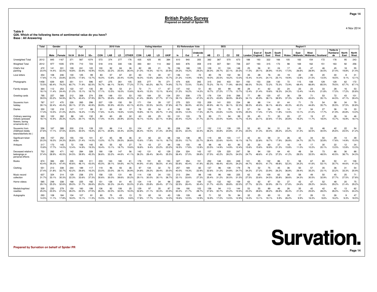#### **Table 9Q26. Which of the following items of sentimental value do you have? Base : All Answering**

|                                                                           | Total        | Gender       |                    |              | Age          |              |              | <b>2010 Vote</b> |              |              |              | <b>Voting Intention</b> |             |              |              | <b>EU Referendum Vote</b> |               |              | <b>SEG</b>   |                |              |             |                    |               |               |             | Region11                |                  |             |                                  |               |               |
|---------------------------------------------------------------------------|--------------|--------------|--------------------|--------------|--------------|--------------|--------------|------------------|--------------|--------------|--------------|-------------------------|-------------|--------------|--------------|---------------------------|---------------|--------------|--------------|----------------|--------------|-------------|--------------------|---------------|---------------|-------------|-------------------------|------------------|-------------|----------------------------------|---------------|---------------|
|                                                                           |              | Male         | Female             | 18-34        | 35-54        | $55+$        | CON          | LAB              | LD           | <b>OTHER</b> | <b>CON</b>   | LAB                     | LD          | <b>UKIP</b>  | <b>In</b>    | Out                       | Undecide<br>d | AB           | C1           | C <sub>2</sub> | DE           | London      | East of<br>England | South<br>East | South<br>West | Wales       | East<br><b>Midlands</b> | West<br>Midlands | Scotland    | Yorks &<br><b>Humbersi</b><br>de | North<br>East | North<br>West |
| Unweighted Total                                                          | 2012         | 845          | 1167               | 371          | 567          | 1074         | 573          | 374              | 277          | 176          | 435          | 425                     | 95          | 384          | 610          | 940                       | 355           | 382          | 387          | 570            | 673          | 188         | 193                | 322           | 166           | 105         | 183                     | 154              | 172         | 178                              | 95            | 243           |
| <b>Weighted Total</b>                                                     | 2012         | 977          | 1035               | 579          | 710          | 723          | 518          | 416              | 330          | 136          | 393          | 461                     | 114         | 362          | 643          | 876                       | 359           | 419          | 307          | 561            | 726          | 227         | 193                | 315           | 173           | 98          | 169                     | 162              | 151         | 163                              | 92            | 256           |
| Child's first                                                             | 472          | 141          | 331                | 109          | 241          | 122          | 100          | 92               | 84           | 36           | 82           | 89                      | 21          | 76           | 156          | 168                       | 105           | 109          | 91           | 124            | 148          | 25          | 56                 | 91            | 24            | 17          | 45                      | 47               | 46          | 45                               | 18            | 55            |
| painting                                                                  | 23.4%        | 14.4%        | 32.0%              | 18.8%        | 33.9%        | 16.9%        | 19.3%        | 22.2%            | 25.5%        | 26.4%        | 21.0%        | 19.3%                   | 18.1%       | 20.9%        | 24.2%        | 19.2%                     | 29.2%         | 26.0%        | 29.7%        | 22.1%          | 20.3%        | 11.0%       | 29.1%              | 28.9%         | 14.0%         | 17.0%       | 26.6%                   | 28.9%            | 30.5%       | 27.4%                            | 19.8%         | 21.4%         |
| Love letters                                                              | 354<br>17.6% | 108<br>11.1% | 246<br>23.8%       | 130<br>22.5% | 125<br>17.6% | 99<br>13.7%  | 83<br>16.0%  | 57<br>13.8%      | 67<br>20.4%  | 22<br>15.9%  | 63<br>16.0%  | 72<br>15.6%             | 30<br>26.6% | 57<br>15.7%  | 136<br>21.2% | 131<br>14.9%              | 72<br>19.9%   | 80<br>19.0%  | 78<br>25.5%  | 102<br>18.2%   | 94<br>13.0%  | 35<br>15.4% | 28<br>14.4%        | 76<br>24.1%   | 43<br>25.1%   | 19<br>19.9% | 22<br>12.8%             | 35<br>21.5%      | 20<br>13.5% | 30<br>18.5%                      | 9.1%          | 31<br>12.19   |
| Photographs                                                               | 1458         | 639          | 820                | 351          | 511          | 596          | 407          | 275              | 261          | 105          | 305          | 277                     | 78          | 271          | 474          | 635                       | 265           | 315          | 240          | 403            | 501          | 150         | 153                | 228           | 130           | 72          | 115                     | 108              | 129         | 129                              | 62            | 172           |
|                                                                           | 72.5%        | 65.4%        | 79.2%              | 60.7%        | 71.9%        | 82.5%        | 78.7%        | 66.1%            | 78.9%        | 77.2%        | 77.7%        | 60.2%                   | 68.7%       | 74.9%        | 73.7%        | 72.5%                     | 73.8%         | 75.2%        | 78.1%        | 71.9%          | 69.0%        | 66.0%       | 79.3%              | 72.2%         | 75.3%         | 73.9%       | 68.4%                   | 66.8%            | 85.5%       | 79.5%                            | 67.7%         | 67.19         |
| Family recipes                                                            | 364          | 112          | 253                | 122          | 107          | 135          | 89           | 56               | 53           | 21           | 72           | 71                      | 17          | 67           | 137          | 142                       | 51            | 83           | 83           | 99             | 99           | 28          | 41                 | 62            | 32            | 24          | 23                      | 23               | 33          | 28                               | 16            | 53            |
|                                                                           | 18.1%        | 11.4%        | 24.4%              | 21.0%        | 15.1%        | 18.7%        | 17.1%        | 13.5%            | 16.0%        | 15.6%        | 18.4%        | 15.3%                   | 15.1%       | 18.4%        | 21.2%        | 16.2%                     | 14.3%         | 19.7%        | 27.2%        | 17.7%          | 13.7%        | 12.4%       | 21.4%              | 19.6%         | 18.3%         | 24.3%       | 13.4%                   | 14.4%            | 21.8%       | 17.0%                            | 17.2%         | 20.8%         |
| Greeting cards                                                            | 795          | 227          | 568                | 212          | 308          | 274          | 206          | 148              | 151          | 53           | 163          | 184                     | 32          | 134          | 251          | 338                       | 170           | 176          | 134          | 218            | 266          | 77          | 88                 | 120           | 67            | 36          | 59                      | 71               | 53          | 72                               | 43            | 101           |
|                                                                           | 39.5%        | 23.2%        | 54.9%              | 36.7%        | 43.4%        | 37.9%        | 39.7%        | 35.6%            | 45.6%        | 39.0%        | 41.4%        | 39.8%                   | 27.7%       | 37.1%        | 39.1%        | 38.6%                     | 47.2%         | 42.2%        | 43.8%        | 38.9%          | 36.6%        | 34.1%       | 45.9%              | 38.1%         | 38.9%         | 37.3%       | 34.9%                   | 43.6%            | 35.1%       | 44.5%                            | 47.1%         | 39.4%         |
| Souvenirs from                                                            | 787          | 317          | 470                | 226          | 265          | 296          | 207          | 129              | 150          | 59           | 171          | 154                     | 39          | 137          | 275          | 323                       | 153           | 209          | 141          | 203            | 234          | 86          | 88                 | 114           | 81            | 44          | 71                      | 73               | 54          | 58                               | 34            | 79            |
| holiday                                                                   | 39.1%        | 32.4%        | 45.4%              | 39.1%        | 37.3%        | 40.9%        | 39.9%        | 30.9%            | 45.5%        | 43.1%        | 43.5%        | 33.5%                   | 34.0%       | 37.8%        | 42.7%        | 36.9%                     | 42.5%         | 49.9%        | 46.1%        | 36.1%          | 32.3%        | 38.0%       | 45.6%              | 36.1%         | 46.6%         | 45.3%       | 42.2%                   | 44.8%            | 35.7%       | 35.5%                            | 37.5%         | 30.8%         |
| Diaries                                                                   | 350          | 132          | 218                | 147          | 117          | 86           | 91           | 60               | 65           | 17           | 78           | 83                      | 34          | 41           | 158          | 108                       | 62            | 108          | 72           | 79             | 91           | 57          | 34                 | 54            | 20            | 14          | 17                      | 34               | 27          | 36                               | 19            | 33            |
|                                                                           | 17.4%        | 13.5%        | 21.0%              | 25.5%        | 16.4%        | 11.9%        | 17.6%        | 14.4%            | 19.6%        | 12.6%        | 19.8%        | 18.1%                   | 29.7%       | 11.4%        | 24.5%        | 12.3%                     | 17.3%         | 25.7%        | 23.6%        | 14.0%          | 12.5%        | 25.0%       | 17.4%              | 17.2%         | 11.8%         | 14.5%       | 10.1%                   | 21.0%            | 17.7%       | 21.9%                            | 20.8%         | 13.0%         |
| Ordinary seeming<br>trinkets (pressed<br>flowers, boring<br>ornaments etc | 363<br>18.1% | 102<br>10.4% | 262<br>25.3%       | 88<br>15.2%  | 143<br>20.1% | 132<br>18.3% | 90<br>17.4%  | 60<br>14.4%      | 85<br>25.9%  | 32<br>23.4%  | 63<br>16.1%  | 69<br>15.0%             | 25<br>22.1% | 53<br>14.8%  | 131<br>20.4% | 133<br>15.2%              | 78<br>21.7%   | 99<br>23.7%  | 71<br>23.0%  | 94<br>16.8%    | 99<br>13.7%  | 35<br>15.4% | 45<br>23.1%        | 71<br>22.6%   | 30<br>17.5%   | 20<br>20.8% | 27<br>16.2%             | 19<br>11.7%      | 27<br>18.0% | 26<br>15.7%                      | 16<br>16.9%   | 46<br>18.1%   |
| Souvenirs from<br>childhood (teddy<br>bears/blankets etc)                 | 556<br>27.6% | 167<br>17.1% | 388<br>37.5%       | 200<br>34.6% | 216<br>30.5% | 139<br>19.2% | 120<br>23.1% | 86<br>20.8%      | 114<br>34.4% | 33<br>23.9%  | 104<br>26.4% | 87<br>19.0%             | 24<br>21.3% | 90<br>24.9%  | 208<br>32.3% | 196<br>22.4%              | 117<br>32.4%  | 152<br>36.2% | 110<br>35.8% | 139<br>24.8%   | 155<br>21.4% | 52<br>23.0% | 60<br>31.3%        | 94<br>30.0%   | 51<br>29.2%   | 24<br>24.2% | 53<br>31.4%             | 53<br>32.5%      | 46<br>30.5% | 42<br>25.6%                      | 22<br>23.5%   | 54<br>21.2%   |
| Significant ticket                                                        | 408          | 157          | 252                | 155          | 152          | 101          | 67           | 65               | 98           | 36           | 61           | 82                      | 22          | 68           | 164          | 138                       | 85            | 119          | 69           | 103            | 117          | 42          | 44                 | 59            | 31            | 26          | 42                      | 34               | 50          | 29                               | 14            | 39            |
| stubs                                                                     | 20.3%        | 16.0%        | 24.3%              | 26.8%        | 21.4%        | 14.0%        | 13.0%        | 15.7%            | 29.5%        | 26.8%        | 15.6%        | 17.8%                   | 19.1%       | 18.7%        | 25.5%        | 15.7%                     | 23.7%         | 28.4%        | 22.6%        | 18.4%          | 16.1%        | 18.7%       | 22.8%              | 18.7%         | 17.9%         | 26.8%       | 24.7%                   | 20.7%            | 32.8%       | 17.6%                            | 14.9%         | 15.0%         |
| Antiques                                                                  | 317          | 173          | 145                | 72           | 106          | 140          | 95           | 55               | 62           | 27           | 74           | 43                      | 27          | 84           | 106          | 155                       | 46            | 98           | 46           | 83             | 90           | 35          | 30                 | 60            | 37            | 16          | 19                      | 17               | 30          | 22                               | 12            | 34            |
|                                                                           | 15.8%        | 17.7%        | 14.0%              | 12.4%        | 14.9%        | 19.3%        | 18.4%        | 13.1%            | 18.7%        | 19.6%        | 18.8%        | 9.4%                    | 23.2%       | 23.2%        | 16.5%        | 17.6%                     | 12.8%         | 23.5%        | 14.9%        | 14.9%          | 12.4%        | 15.6%       | 15.6%              | 18.9%         | 21.3%         | 15.8%       | 11.0%                   | 10.2%            | 20.1%       | 13.5%                            | 12.8%         | 13.3%         |
| Deceased relative's<br>belongings or<br>personal effects                  | 753<br>37.4% | 282<br>28.9% | 471<br>45.5%       | 142<br>24.5% | 284<br>39.9% | 328<br>45.3% | 190<br>36.6% | 138<br>33.2%     | 147<br>44.6% | 56<br>41.19  | 142<br>36.3% | 131<br>28.4%            | 42<br>36.4% | 129<br>35.5% | 234<br>36.4% | 324<br>37.0%              | 143<br>39.8%  | 157<br>37.5% | 129<br>42.2% | 220<br>39.2%   | 247<br>34.0% | 56<br>24.7% | 94<br>48.6%        | 130<br>41.2%  | 64<br>37.2%   | 40<br>41.2% | 48<br>28.5%             | 54<br>33.5%      | 73<br>48.5% | 66<br>40.5%                      | 36<br>38.7%   | 88<br>34.3%   |
| <b>Books</b>                                                              | 874          | 384          | 490                | 235          | 328          | 311          | 233          | 163              | 180          | 61           | 176          | 191                     | 65          | 150          | 327          | 354                       | 151           | 252          | 148          | 224            | 249          | 101         | 95                 | 132           | 86            | 51          | 58                      | 67               | 80          | 50                               | 41            | 106           |
|                                                                           | 43.4%        | 39.3%        | 47.4%              | 40.6%        | 46.1%        | 43.0%        | 45.0%        | 39.1%            | 54.6%        | 44.7%        | 44.9%        | 41.6%                   | 56.5%       | 41.4%        | 50.8%        | 40.4%                     | 41.9%         | 60.3%        | 48.4%        | 40.0%          | 34.2%        | 44.7%       | 49.5%              | 41.7%         | 49.8%         | 52.3%       | 34.2%                   | 41.6%            | 53.1%       | 30.7%                            | 44.6%         | 41.3%         |
| Clothing                                                                  | 551          | 213          | 338                | 244          | 189          | 117          | 119          | 96               | 93           | 36           | 97           | 134                     | 32          | 72           | 257          | 169                       | 82            | 137          | 96           | 139            | 179          | 78          | 52                 | 75            | 45            | 36          | 50                      | 57               | 35          | 36                               | 31            | 54            |
|                                                                           | 27.4%        | 21.8%        | 32.7%              | 42.2%        | 26.6%        | 16.2%        | 23.0%        | 23.0%            | 28.1%        | 26.9%        | 24.8%        | 29.2%                   | 28.4%       | 20.0%        | 40.0%        | 19.3%                     | 22.9%         | 32.6%        | 31.2%        | 24.8%          | 24.7%        | 34.2%       | 27.2%              | 23.9%         | 26.2%         | 36.8%       | 29.4%                   | 35.2%            | 23.1%       | 22.2%                            | 33.3%         | 20.9%         |
| Music record                                                              | 637          | 324          | 314                | 129          | 238          | 270          | 158          | 125              | 131          | 48           | 114          | 138                     | 34          | 133          | 213          | 294                       | 98            | 148          | 96           | 168            | 225          | 62          | 65                 | 109           | 62            | 38          | 58                      | 49               | 50          | 45                               | 25            | 71            |
| collection                                                                | 31.7%        | 33.1%        | 30.3%              | 22.3%        | 33.6%        | 37.3%        | 30.6%        | 30.0%            | 39.6%        | 35.2%        | 29.1%        | 30.0%                   | 30.1%       | 36.7%        | 33.1%        | 33.6%                     | 27.3%         | 35.4%        | 31.2%        | 30.0%          | 31.0%        | 27.5%       | 33.6%              | 34.5%         | 35.8%         | 38.6%       | 34.3%                   | 30.5%            | 32.9%       | 27.7%                            | 27.5%         | 27.8%         |
| Home videos                                                               | 585          | 248          | 338                | 168          | 225          | 192          | 151          | 126              | $8^{\circ}$  | 45           | 124          | 119                     | 34          | 98           | 209          | 231                       | 109           | 133          | 132          | 162            | 159          | 63          | 62                 | 97            | 50            | 27          | 42                      | 47               | 52          | 48                               | 20            | 75            |
|                                                                           | 29.1%        | 25.3%        | 32.6%              | 29.0%        | 31.7%        | 26.6%        | 29.2%        | 30.3%            | 24.4%        | 33.0%        | 31.6%        | 25.8%                   | 29.4%       | 27.19        | 32.5%        | 26.4%                     | 30.4%         | 31.7%        | 43.0%        | 28.8%          | 22.0%        | 27.7%       | 32.3%              | 30.9%         | 29.1%         | 27.6%       | 24.6%                   | 29.2%            | 34.6%       | 29.2%                            | 21.4%         | 29.2%         |
| Medals/trophies/                                                          | 509          | 230          | 279                | 150          | 160          | 199          | 136          | 92               | 106          | 25           | 129          | 97                      | 35          | 87           | 194          | 190                       | 103           | 158          | 94           | 113            | 144          | 53          | 55                 | 89            | 46            | 26          | 35                      | 42               | 42          | 42                               | 13            | 62            |
| rosettes                                                                  | 25.3%        | 23.5%        | 27.0%              | 26.0%        | 22.5%        | 27.5%        | 26.3%        | 22.0%            | 32.0%        | 18.3%        | 32.8%        | 21.1%                   | 30.3%       | 23.9%        | 30.2%        | 21.7%                     | 28.7%         | 37.6%        | 30.7%        | 20.2%          | 19.9%        | 23.2%       | 28.6%              | 28.2%         | 26.8%         | 26.4%       | 21.0%                   | 25.6%            | 28.0%       | 26.0%                            | 14.5%         | 24.4%         |
| Autographs                                                                | 293<br>14.5% | 108          | 184<br>11.1% 17.8% | 104<br>18.0% | 107<br>15.1% | 81<br>11.3%  | 80<br>15.5%  | 75<br>18.1%      | 43<br>12.9%  | 13<br>9.6%   | 70<br>17.8%  | 82<br>17.7%             | 18<br>15.4% | 43<br>12.0%  | 126<br>19.6% | 109<br>12.5%              | 46<br>12.9%   | 71<br>16.9%  | 52<br>17.0%  | 76<br>13.5%    | 94<br>12.9%  | 32<br>14.0% | 25<br>13.1%        | 60<br>19.1%   | 10<br>5.9%    | 26<br>26.2% | 17<br>9.9%              | 26<br>16.3%      | 15<br>9.6%  | 26<br>16.2%                      | 9.3%          | 47<br>18.5%   |

**Prepared by Survation on behalf of Spider PR**



**Page 14**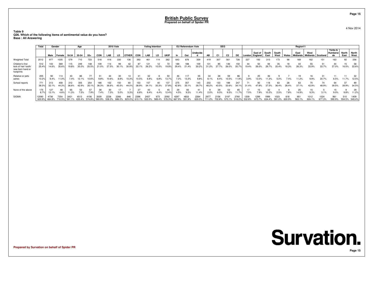**Table 9 Q26. Which of the following items of sentimental value do you have?Base : All Answering**

|                                                                           | Total           | Gender         |                |                | Age            |                       |                | <b>2010 Vote</b> |              |               |                | <b>Voting Intention</b> |               |                |                | EU Referendum Vote |                |               | <b>SEG</b>     |                |                          |                  |         |               |               |              | Region11                               |             |       |                           |                      |                |
|---------------------------------------------------------------------------|-----------------|----------------|----------------|----------------|----------------|-----------------------|----------------|------------------|--------------|---------------|----------------|-------------------------|---------------|----------------|----------------|--------------------|----------------|---------------|----------------|----------------|--------------------------|------------------|---------|---------------|---------------|--------------|----------------------------------------|-------------|-------|---------------------------|----------------------|----------------|
|                                                                           |                 | Male           | Female         | 18-34          | 35-54          | $55+$                 | CON            | LAB              | LD           | <b>OTHER</b>  | CON            | LAB                     | LD.           | <b>UKIP</b>    | <b>In</b>      | Out                | Undecide       | AB            | C <sub>1</sub> | C <sub>2</sub> | DE                       | London   England | East of | South<br>East | South<br>West | <b>Wales</b> | East<br>Midlands   Midlands   Scotland | West        |       | Yorks &<br>Humbersi<br>de | <b>North</b><br>East | North<br>West  |
| <b>Weighted Total</b>                                                     | 2012            | 977            | 1035           | 579            | 710            | 723                   | 518            | 416              | 330          | 136           | 393            | 461                     | 114           | 362            | 643            | 876                | 359            | 419           | 307            | 561            | 726                      | 227              | 193     | 315           | 173           | 98           | 169                                    | 62          | 151   | 163                       | 92                   | 256            |
| Children's first<br>lock of hair/ tooth<br>new born hand or<br>footprints | 512<br>25.4%    | 143<br>14.6%   | 369<br>35.6%   | 115<br>19.8%   | 249<br>35.0%   | 148<br>20.5%          | 21.0%          | 114<br>27.5%     | 99<br>30.1%  | 30.9%         | 87<br>22.1%    | 121<br>26.2%            | 12<br>10.5%   | 72<br>19.9%    | 189<br>29.4%   | 188<br>21.4%       | 109<br>30.2%   | 131<br>31.2%  | 85<br>27.7%    | 146<br>26.0%   | 150<br>20.7 <sup>c</sup> | 44<br>19.4%      | 26.0%   | 29.7%         | 35<br>20.4%   | 8.3%         | 26.3%                                  | 55<br>33.9% | 33.7% | 44<br>27.0%               | 15<br>16.5%          | 58<br>22.6%    |
| Relative or pets<br>ashes                                                 | 205<br>10.2%    | 92<br>9.4%     | 114<br>11.0%   | 7.4%           | 86<br>12.1%    | 10.6%                 | 9.8%           | 10.6%            | 8.9%         | 14<br>10.3%   | 0.5%           | 6.8%                    | 6.8%          | 50<br>13.7%    | 46<br>7.2%     | 117<br>13.3%       | 35<br>9.8%     | 34<br>8.1%    | 26<br>8.4%     | 59<br>10.5%    | 86<br>11.9%              | 3.9%             | 13.0%   |               |               | .4%          | 11.2%                                  | 9.9%        | 20.7% | 11<br>6.5%                | 11.7%                | 12.5%          |
| School reports                                                            | 771<br>38.3%    | 313<br>32.1%   | 458<br>44.2%   | 212<br>36.6%   | 305<br>42.9%   | 254<br>$35.1^{\circ}$ | 188<br>36.3%   | 152<br>36.6%     | 150<br>45.5% | 44.0%         | 153<br>38.9%   | 34.1%                   | 35.3%         | 137<br>37.8%   | 275<br>42.8%   | 307<br>35.1%       | 143<br>39.7%   | 202<br>48.2%  | 133<br>43.5%   | 188<br>33.6%   | 247<br>$34.1^{\circ}$    | 31.4%            | 47.8%   | 37.5%         | 63<br>36.4%   | 28<br>28.4%  | 63<br>37.1%                            | 70<br>42.9% | 48.9% | 64<br>39.5%               | 39.9%                | 34.5%          |
| None of the above                                                         | 175<br>8.7%     | 127<br>13.1%   | 4.6%           | 11.3%          | 7.5%           | 7.9%                  | 7.4%           | .3%              | 5.0%         |               | 6.8%           | 9.4%                    | 4.4%          | 45<br>12.4%    | 29<br>4.5%     | 9.5%               | 11.4%          | 2.0%          | 9.3%           | 53<br>9.5%     | 85                       | 7.5%             | .9%     |               | 2.5%          | 7.8%         | 14.9%                                  | 15<br>9.3%  | 3.1%  | 9.0%                      | 9.8%                 | 11.2%          |
| <b>SIGMA</b>                                                              | 12090<br>600.9% | 4736<br>484.8% | 7354<br>710.5% | 3421<br>591.1% | 4513<br>635.4% | 4156<br>574.8%        | 3009<br>580.9% | 2238<br>538.3%   | 2266         | 846<br>623.0% | 2396<br>610.1% | 2457<br>533.5%          | 673<br>589.4% | 2092<br>578.3% | 4297<br>667.9% | 4833<br>551.9%     | 2264<br>630.0% | 297<br>711.2% | 2156<br>702.8% | 3197           | 3760                     | 1209<br>532.8%   | 1299    |               | 023           |              | 951                                    | 1012        | 1024  | 961<br>590.9%             | 510<br>554.5%        | 1409<br>549.4% |

**Prepared by Survation on behalf of Spider PR**

4 Nov 2014

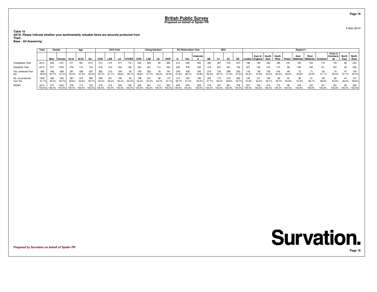**Table 10 Q27A. Please indicate whether your sentimentally valuable items are securely protected fromTheft**

**Base : All Answering**

|                                | Total                  | Gender       |                |              | Age          |              |              | <b>2010 Vote</b> |               |               |               | <b>Voting Intention</b> |        |               |               | <b>EU Referendum Vote</b> |               |              | <b>SEG</b>    |                |               |               |                                   |               |               |              | Region11                               |              |               |                           |               |                      |
|--------------------------------|------------------------|--------------|----------------|--------------|--------------|--------------|--------------|------------------|---------------|---------------|---------------|-------------------------|--------|---------------|---------------|---------------------------|---------------|--------------|---------------|----------------|---------------|---------------|-----------------------------------|---------------|---------------|--------------|----------------------------------------|--------------|---------------|---------------------------|---------------|----------------------|
|                                |                        | Male         | Female         | $18-34$      | 35-54        | 55+          | <b>CON</b>   | LAB              | LD            | <b>OTHER</b>  | CON           | LAB                     | LD     | <b>UKIP</b>   |               | Out                       | Undecide      | AB           |               | C <sub>2</sub> | DE            |               | East of South<br>London   England | East          | South<br>West | Wales        | East<br>Midlands   Midlands   Scotland | West         |               | Yorks &<br>Humbersi<br>de | North<br>East | <b>North</b><br>West |
| Unweighted Total               | 2012                   | 845          | 1167           | 371          |              |              | 573          | 374              | 277           | 176           | 435           | 425                     | 95     | 384           | 610           | 940                       | 355           | 382          | 387           | 570            | 673           | 188           | 193                               | 322           | 166           | 105          | 183                                    | 154          | 172           | 178                       | 95            | 243                  |
| Weighted Total                 | 2012                   |              | 035            | 579          |              | 723          | 518          | 416              | 330           | 136           | 393           | 461                     | 114    | 362           | 643           | 876                       | 359           | 419          | 307           | 561            | 726           | 227           | 193                               | 315           | 173           | 98           | 169                                    | 162          | 151           | 163                       | 92            | 256                  |
| Yes, protected from            | 984<br>48.99           | 495<br>50.7% | 489<br>47.3%   | 291<br>50.4% | 336          | 357          | 262          | 215<br>51.7%     | 164<br>49.6%  | 54<br>39.79   | 195<br>49.6%  | 220                     | 66.3%  | 191           | 334<br>51.9%  | 426<br>48.7%              | 165<br>45.8%  | 219<br>52.3% | 134<br>43.7%  | 288<br>51.4%   | 343<br>47.3%  | 118<br>52.2%  | 92<br>17.6%                       | 155           | 60.3%         | 49.2%        | 72<br>42.8%                            | 43.9%        | 62<br>41.1%   | 45.5%                     | 51.7%         | 129<br>50.4%         |
| No, not protected<br>from this | 1028<br>$51.1^{\circ}$ | 49.3%        | 546<br>52.7%   | 287<br>49.6% | 374<br>52.6% | 366<br>50.7% | 256<br>49.3% | 48.3%            | 166<br>50.4%  | 82<br>60.3%   | 50.4%         | 52.3%                   | 33.7%  | 47.19         | 48.1%         | 450<br>51.3%              | 195<br>54.2%  | 47.7%        | 173<br>56.3%  | 273<br>48.6%   | 382           | 47.8%         |                                   |               |               | 50.8%        | 57.2%                                  | 56.1%        | 58.9%         | 89<br>54.5%               | 44<br>48.3%   | 127<br>49.6%         |
| <b>SIGMA</b>                   | 2012<br>100.0%         | 100.0%       | '035<br>100.0% | 100.0%       | 100.0%       | 100.0%       | 100.0%       | 100.0%           | 330<br>100.0% | 136<br>100.0% | 393<br>100.0% | 100.0%                  | 100.0% | 362<br>100.0% | 643<br>100.0% | 876<br>100.0%             | 359<br>100.0% | 100.0%       | 307<br>100.0% | 561<br>100.0%  | 726<br>100.0% | 227<br>100.0% | 193<br>100.0%                     | 315<br>100.0% | 100.0%        | 98<br>100.0% | 169<br>100.0%                          | 162<br>00.0% | 151<br>100.0% | 163<br>100.0%             | 92            | 256<br>100.0% 100.0% |

**Prepared by Survation on behalf of Spider PR**

4 Nov 2014

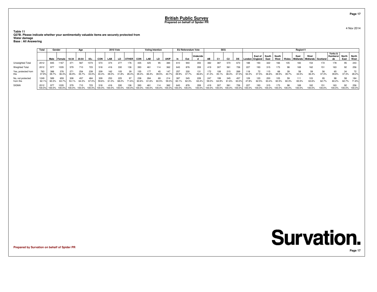**Table 11 Q27B. Please indicate whether your sentimentally valuable items are securely protected from**

**Water damageBase : All Answering**

|                                | Total                  | Gender       |               |               | Age          |               |               | <b>2010 Vote</b> |               |               |               | <b>Voting Intention</b> |               |                   |        | EU Referendum Vote |               |               | <b>SEG</b>   |                |              |        |                             |               |               |             | Region11                               |               |               |                                  |               |                      |
|--------------------------------|------------------------|--------------|---------------|---------------|--------------|---------------|---------------|------------------|---------------|---------------|---------------|-------------------------|---------------|-------------------|--------|--------------------|---------------|---------------|--------------|----------------|--------------|--------|-----------------------------|---------------|---------------|-------------|----------------------------------------|---------------|---------------|----------------------------------|---------------|----------------------|
|                                |                        | Male         | Female        | 18-34         | 35-54        | $55+$         | <b>CON</b>    | LAB              | LD            | <b>OTHER</b>  | <b>CON</b>    | LAB                     | LD            | <b>UKIP</b>       |        | Out                | Undecide      | AB            | C1           | C <sub>2</sub> |              |        | East of<br>.ondon   England | South<br>East | South<br>West | Wales       | East<br>Midlands   Midlands   Scotland | West          |               | Yorks &<br><b>Humbersi</b><br>de | North<br>East | <b>North</b><br>West |
| Unweighted Total               | 2012                   | 845          | 1167          | 371           | 567          | 1074          | 573           | 374              | 277           | 176           | 435           | 425                     | 95            | 384               | 610    | 940                | 355           | 382           | 387          | 570            | 673          |        | 193                         | 322           | 66            | 105         | 183                                    | 154           | 172           | 178                              | 95            | 243                  |
| Weighted Total                 | 2012                   | 977          | 035           | 579           | 710          | 723           | 518           | 416              | 330           | 136           | 393           | 461                     | 114           | 362               | 643    | 876                | 359           | 419           | 307          | 561            | 726          | 227    | 193                         | 315           | 173           | 98          | 169                                    | 162           | 151           | 163                              | 92            | 256                  |
| Yes, protected from            | 37.9%                  | 39.7%        | 376<br>36.3%  | 271<br>46.9%  | 254<br>35.7% | 239<br>33.0%  | 209<br>40.4%  | 162<br>39.0%     | 105<br>31.8%  | 39<br>28.4%   | 155<br>39.4%  | 177<br>38.4%            | 45<br>39.5%   | 40.7 <sup>c</sup> | 39.9%  | 330<br>37.7%       | 131<br>36.6%  | 172<br>41.0%  | 108<br>35.1% | 215<br>38.4%   | 269<br>37.0% | 52.2%  | 37.5%                       | 36.6%         | 68<br>39.5%   | 39<br>39.7% | 58<br>34.5%                            | 59<br>36.4%   | 56<br>37.3%   | 65<br>39.8%                      | 34<br>37.3%   | 28.2%                |
| No, not protected<br>from this | 1249<br>$62.1^{\circ}$ | 589<br>60.3% | 659<br>63.7%  | 308<br>53.1%  | 457<br>64.3% | 484<br>67.0%  | 309<br>59.6%  | 253<br>61.0%     | 225<br>68.2%  | 71.6%         | 238<br>60.6%  | 284<br>61.6%            | 69<br>60.5%   | 214<br>59.3%      | 60.1%  | 545<br>62.3%       | 228<br>63.4%  | 247<br>59.0%  | 199<br>64.9% | 345<br>61.6%   | 457<br>63.0% | 47.8%  | 120<br>62.5%                | 200           | U5<br>60.50   | 59          | 111<br>65.5°                           | 103<br>63.6%  | 95<br>62.7%   | 98<br>60.2%                      | 62.7%         | 184<br>71.8%         |
| <b>SIGMA</b>                   | 2012<br>100.0%         | 100.0%       | 035<br>100.0% | 579<br>100.0% | 100.0%       | 723<br>100.0% | 518<br>100.0% | 416<br>100.0%    | 330<br>100.0% | 136<br>100.0% | 393<br>100.0% | 461<br>100.0%           | 114<br>100.0% | 362<br>100.0%     | 100.0% | 876<br>100.0%      | 359<br>100.0% | 419<br>100.0% | 100.0%       | 561<br>100.0%  | 726          | 100.0% | 193<br>100.0%               |               | 100.0%        | 100.0       | 100.0%                                 | 162<br>100.0% | 151<br>100.0% | 163<br>00.0%                     | 92<br>100.0%  | 256<br>100.0%        |

**Prepared by Survation on behalf of Spider PR**

4 Nov 2014

**Page 17**

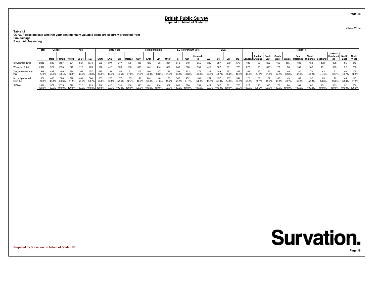**Table 12 Q27C. Please indicate whether your sentimentally valuable items are securely protected fromFire damage**

**Base : All Answering**

|                                | Total          | Gender       |                |               | Age           |               |               | <b>2010 Vote</b> |               |                         |               | <b>Voting Intention</b> |               |               |               | <b>EU Referendum Vote</b> |               |               | <b>SEG</b>     |                |                     |               |                             |                     |      |              | Region11                               |               |               |                                  |               |                      |
|--------------------------------|----------------|--------------|----------------|---------------|---------------|---------------|---------------|------------------|---------------|-------------------------|---------------|-------------------------|---------------|---------------|---------------|---------------------------|---------------|---------------|----------------|----------------|---------------------|---------------|-----------------------------|---------------------|------|--------------|----------------------------------------|---------------|---------------|----------------------------------|---------------|----------------------|
|                                |                | Male         | <b>Female</b>  | 18-34         | 35-54         | $55+$         | CON           | LAB              | LD            | <b>OTHER</b>            | <b>CON</b>    | LAB                     | LD            | <b>UKIP</b>   |               | Out                       | Undecide      | AB            | C <sub>1</sub> | C <sub>2</sub> | DE                  |               | East of<br>London   England | South South<br>East | West | Wales        | East<br>Midlands   Midlands   Scotland | West          |               | Yorks &<br><b>Humbersi</b><br>de | North<br>East | <b>North</b><br>West |
| Unweighted Total               | 2012           | 845          | 1167           | 371           | 567           |               | 573           | 374              | 277           | 176                     | 435           | 425                     | 95            | 384           | 610           | 940                       | 355           | 382           | 387            | 570            | 673                 |               | 193                         | 322                 | 166  | 105          | 183                                    | 154           | 172           | 178                              | 95            | 243                  |
| Weighted Total                 | 2012           | 977          | 1035           | 579           | 710           | 723           | 518           | 416              | 330           | 136                     | 393           | 461                     | 114           | 362           | 643           | 876                       | 359           | 419           | 307            | 561            | 726                 | 227           | 193                         | 315                 | 173  | 98           | 169                                    | 162           | 151           | 163                              | 92            | 256                  |
| Yes, protected from            | 946<br>47.0°   | 497<br>50.9% | 449<br>43.4%   | 280<br>48.5%  | 309<br>43.5%  | 357<br>49.3%  | 285<br>55.0%  | 45.9%            | 154<br>46.5%  | 37.6%                   | 202<br>51.3%  | 200<br>43.4%            | 58.2%         | 186<br>51.3%  | 298<br>46.3%  | 423<br>48.3%              | 176<br>49.0%  | 211<br>50.5%  | 149<br>48.7%   | 253<br>45.2%   | 332<br>$45.8^\circ$ | 47.2%         | 44.9%                       | 163<br>51.6%        | 93   | 50.3%        | 80<br>47.2%                            | 43.2%         | 63<br>41.4%   | 43.7%                            | 46<br>49.7%   | 109<br>42.5%         |
| No, not protected<br>from this | 1066<br>53.0   | 480<br>49.1% | 586<br>56.6%   | 298<br>51.5%  | 56.5%         | 366<br>50.7%  | 233<br>45.0%  | 225              | 177<br>53.5%  | 85<br>62.4 <sup>c</sup> | 48.7%         | 26'<br>56.6%            | 41.8%         | 176<br>48.7   | 345<br>53.7%  | 452<br>51.7%              | 183<br>51.0%  | 207<br>49.5%  | 157<br>51.3%   | 307<br>54.8%   | 394<br>54.2%        | 52.8%         | 55.1%                       | 152                 | 80   |              | 52.8%                                  | 92<br>56.8%   | 89<br>58.6%   | 92<br>56.3%                      | 46<br>50.3%   | 147<br>57.5%         |
| <b>SIGMA</b>                   | 2012<br>100.0% | 100.0%       | 1035<br>100.0% | 579<br>100.0% | '10<br>100.0% | 723<br>100.0% | 518<br>100.0% | 416<br>100.0%    | 330<br>100.0% | 136<br>100.0%           | 393<br>100.0% | 461<br>100.0%           | 114<br>100.0% | 362<br>100.0% | 643<br>100.0% | 876<br>100.0%             | 359<br>100.0% | 419<br>100.0% | 307<br>100.0%  | 561<br>100.0%  | 726<br>100.0%       | 227<br>100.0% | 193<br>100.0%               |                     | 173  | 98<br>100.0% | 100.0%                                 | 162<br>100.0% | 151<br>100.0% | 163<br>00.0%                     | 92<br>100.0%  | 256<br>100.0%        |

**Prepared by Survation on behalf of Spider PR**

## **Survation. Page 18**

**Page 18**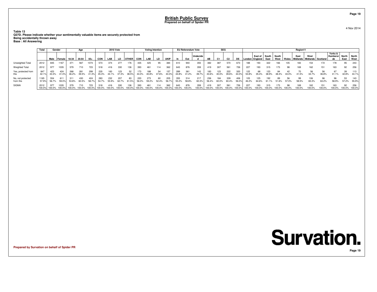**Table 13 Q27D. Please indicate whether your sentimentally valuable items are securely protected from**

**Being accidentally thrown awayBase : All Answering**

|                                | Total          | Gender       |                |              | Age           |               |                  | <b>2010 Vote</b> |               |               |               | <b>Voting Intention</b> |             |                       |               | EU Referendum Vote |              |               | <b>SEG</b>    |                |              |              |                                         |               |               |        | Region11      |                                                  |               |                           |                     |                      |
|--------------------------------|----------------|--------------|----------------|--------------|---------------|---------------|------------------|------------------|---------------|---------------|---------------|-------------------------|-------------|-----------------------|---------------|--------------------|--------------|---------------|---------------|----------------|--------------|--------------|-----------------------------------------|---------------|---------------|--------|---------------|--------------------------------------------------|---------------|---------------------------|---------------------|----------------------|
|                                |                |              | Male Female    | $'$ 18-34    | 35-54         | $55+$         | <b>CON</b>       | LAB              | LD            | <b>OTHER</b>  | <b>CON</b>    | LAB                     | LD          | <b>UKIP</b>           |               | Out                | Undecide     | AB            |               | C <sub>2</sub> |              |              | , East of │ South '<br>London   England | East          | South<br>West |        | East          | West<br>  Wales   Midlands   Midlands   Scotland |               | Yorks &<br>Humbersi<br>de | North<br>East       | <b>North</b><br>West |
| Unweighted Total               | 2012           | 845          | 1167           | 371          | 567           | 1074          | 573              | 374              | 277           | 176           | 435           | 425                     | 95          | 384                   | 610           | 940                | 355          | 382           | 387           | 570            | 673          | 188          | 193                                     | 322           | 166           | 105    |               | 154                                              |               | 178                       | 95                  | 243                  |
| <b>Weighted Total</b>          | 2012           | 977          | 1035           | 579          | 710           | 723           | 518              | 416              | 330           | 136           | 393           | 461                     |             | 362                   | 643           | 876                | 359          | 419           | 307           | 561            | 726          | 227          | 193                                     | 315           | 173           | 98     | 169           | 162                                              | 151           | 163                       | 92                  | 256                  |
| Yes, protected from            | 847<br>42.1°   | 423<br>43.3% | 424<br>41.0%   | 268<br>46.2% | 281<br>39.5%  | 299<br>41.3%  | 235<br>45.3%     | 183<br>44.1%     | 123<br>37.3%  | 52<br>38.5%   | 173<br>44.0%  | 188<br>40.8%            | 47.6%       | 157<br>$43.3^{\circ}$ | 289<br>44.8%  | 361<br>41.2%       | 143<br>39.7% | 183<br>43.6%  | 123<br>40.0%  | 222<br>39.6%   | 320<br>44.0° | 122<br>53.8% | 68<br>35.4%                             | 123<br>38.9%  |               | 43.0%  | 41.5%         | 56<br>34.7%                                      | 36.8%         | 67<br>41.1%               | 39<br>42.8%         | 113<br>44.19         |
| No, not protected<br>from this | 1165           | 554<br>56.7% | 611<br>59.0%   | 311<br>53.8% | 430<br>60.5%  | 58.7%         | 283<br>54.7%     | 232<br>55.9%     | 207<br>62.7%  | 83<br>61.5%   | 220<br>56.0%  | 273<br>59.2%            | 60<br>52.4% | 205<br>56.7           | 355<br>55.2%  | 58.8%              | 217<br>60.3% | 56.4%         | 184<br>60.0%  | 60.4%          | 56.0%        | 46.2%        | 125<br>64.6%                            | 61 1%         |               | 57.0%  | 58.5%         | 106<br>65.3%                                     | 63.2%         | 96<br>58.9%               | 53<br>57.2%         | 143<br>55.9%         |
| <b>SIGMA</b>                   | 2012<br>100.0% | 100.0%       | 1035<br>100.0% | 100.0%       | 710<br>100.0% | 723<br>100.0% | 518<br>$100.0\%$ | 416<br>100.0%    | 330<br>100.0% | 136<br>100.0% | 393<br>100.0% | 461<br>100.0%           | 100.0%      | 362<br>100.0%         | 643<br>100.0% | 876<br>100.0%      | 359<br>00.0% | 419<br>100.0% | 307<br>100.0% | $56^{\circ}$   | 100.0%       | 100.0%       | 193<br>100.0%                           | 315<br>100.0% | 100.0%        | 100.0% | 169<br>100.0% | 162<br>00.0%                                     | 151<br>100.0% | 163<br>100.0%             | 92<br>100.0% 100.0% | 256                  |

**Prepared by Survation on behalf of Spider PR**

4 Nov 2014

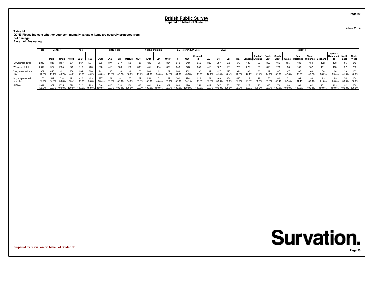**Table 14 Q27E. Please indicate whether your sentimentally valuable items are securely protected fromPet damage**

**Base : All Answering**

|                                | Total               | Gender       |                |               | Age           |               |                  | <b>2010 Vote</b> |               |               |               | <b>Voting Intention</b> |              |               |               | EU Referendum Vote |                 |                       | <b>SEG</b>     |                |              |              |                                   |               |               |              | Region11                               |              |               |                           |               |                      |
|--------------------------------|---------------------|--------------|----------------|---------------|---------------|---------------|------------------|------------------|---------------|---------------|---------------|-------------------------|--------------|---------------|---------------|--------------------|-----------------|-----------------------|----------------|----------------|--------------|--------------|-----------------------------------|---------------|---------------|--------------|----------------------------------------|--------------|---------------|---------------------------|---------------|----------------------|
|                                |                     | Male         | l Female l     | 18-34         | $35 - 54$     | $55+$         | <b>CON</b>       | LAB              | LD            | <b>OTHER</b>  | <b>CON</b>    | LAB                     | LD           | <b>UKIP</b>   |               | Out                | <b>Undecide</b> | AB                    | C <sub>1</sub> | C <sub>2</sub> | DE           |              | East of South<br>London   England | East          | South<br>West | Wales        | East<br>Midlands   Midlands   Scotland | West         |               | Yorks &<br>Humbersi<br>de | North<br>East | <b>North</b><br>West |
| Unweighted Total               | 2012                | 845          | 1167           | 371           | 567           | 1074          | 573              | 374              | 277           | 76            | 435           | 425                     | 95           | 384           | 610           | 940                | 355             | 382                   | 387            | 570            | 673          | 188.         | 193                               | 322           | 166           | 105          | 183                                    | 154          |               | 178                       | 95            | 243                  |
| Weighted Total                 | 2012                | 977          | 1035           | 579           | 710           | 723           | 518              | 416              | 330           | 136           | 393           | 461                     |              | 362           | 643           | 876                | 359             | 419                   | 307            | 561            | 726          | 227          | 193                               | 315           | 173           | 98           | 169                                    | 162          | 151           | 163                       | 92            | 256                  |
| Yes, protected from            | 862<br>$42.8^\circ$ | 440<br>45.1% | 422<br>40.7%   | 258<br>44.6%  | 284<br>40.0%  | 320<br>44.2%  | 241<br>46.6%     | 195<br>46.8%     | 139<br>42.2%  | 49<br>36.0%   | 170<br>43.4%  | 203<br>44.0%            | 62<br>54.6%  | 162<br>44.9%  | 283<br>44.0%  | 402<br>45.9%       | 130<br>36.3%    |                       | 127<br>41.4%   | 227<br>40.4%   | 311<br>42.89 | 108<br>47.4% | 80<br>41 7%                       | 139<br>44.1%  | 50.6%         | 47.6%        |                                        | 66<br>40.7%  | 58<br>38.2%   | 64<br>39.4%               | 38<br>41.0%   | 103<br>40.0%         |
| No, not protected<br>from this | 1150<br>57.2%       | 537<br>54.9% | 614<br>59.3%   | 321<br>55.4%  | 426<br>60.0%  | 403<br>55.8%  | 277<br>53.4%     | 221<br>53.2%     | 191<br>57.8%  | 87            | 222<br>56.6%  | 258<br>56.0%            | -52<br>45.4% | 55.1%         | 360<br>56.0%  | 474<br>54.1%       | 229<br>63.7%    | $22^{\circ}$<br>52.9% | 180<br>58.6%   | 334            | 415          | 52.6%        | 58.3%                             | 55.9%         | 86            | 52.4%        |                                        | 96<br>59.3%  | 61.8%         | 99<br>60.6%               | 54            | 154<br>59.0% 60.0%   |
| <b>SIGMA</b>                   | 2012<br>100.0%      | 100.0%       | 1035<br>100.0% | 579<br>100.0% | 710<br>100.0% | 723<br>100.0% | 518<br>$100.0\%$ | 416<br>100.0%    | 330<br>100.0% | 136<br>100.0% | 393<br>100.0% | 461<br>100.0%           |              | 362<br>100.0% | 643<br>100.0% | 876<br>100.0%      | 359<br>00.0%    | 419<br>100.0%         | 307<br>100.0%  | 56'            | 100.0%       | 100.0%       | 193<br>100.0%                     | 315<br>100.0% | 100.0%        | 98<br>100.0% | 169<br>100.0%                          | 162<br>00.0% | 151<br>100.0% | 163<br>100.0%             | 92            | 256<br>100.0% 100.0% |

**Prepared by Survation on behalf of Spider PR**

4 Nov 2014

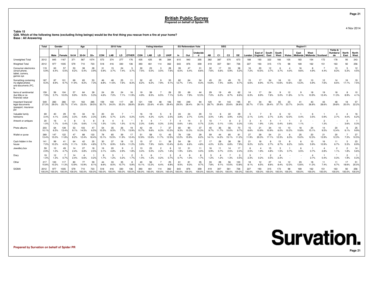**Table 15 Q28. Which of the following items (excluding living beings) would be the first thing you rescue from a fire at your home? Base : All Answering**

|                                                                       | <b>Total</b><br>Gender<br>Male |              |                       |              | Age                  |               |               | <b>2010 Vote</b>     |              |                        |                                    | <b>Voting Intention</b> |             |              |              | <b>EU Referendum Vote</b> |               |                         | <b>SEG</b>                     |                      |              |               |                    |                        |                      |                  | Region11         |                             |                        |                                  |                        |                        |
|-----------------------------------------------------------------------|--------------------------------|--------------|-----------------------|--------------|----------------------|---------------|---------------|----------------------|--------------|------------------------|------------------------------------|-------------------------|-------------|--------------|--------------|---------------------------|---------------|-------------------------|--------------------------------|----------------------|--------------|---------------|--------------------|------------------------|----------------------|------------------|------------------|-----------------------------|------------------------|----------------------------------|------------------------|------------------------|
|                                                                       |                                |              | I Female              | 18-34        | 35-54                | $55+$         | <b>CON</b>    | LAB                  | LD.          | <b>OTHER</b>           | <b>CON</b>                         | LAB                     | LD          | <b>UKIP</b>  | In           | Out                       | Undecide<br>d | AB                      | C <sub>1</sub>                 | C <sub>2</sub>       | <b>DE</b>    | London        | East of<br>England | South<br>East          | South<br>West        | Wales            | East<br>Midlands | West<br>Midlands   Scotland |                        | Yorks &<br><b>Humbersi</b><br>de | North<br>East          | <b>North</b><br>West   |
| Unweighted Total                                                      | 2012                           | 845          | 1167                  | 371          | 567                  | 1074          | 573           | 374                  | 277          | 176                    | 435                                | 425                     | 95          | 384          | 610          | 940                       | 355           | 382                     | 387                            | 570                  | 673          | 188           | 193                | 322                    | 166                  | 105              | 183              | 154                         | 172                    | 178                              | 95                     | 243                    |
| Weighted Total                                                        | 2012                           | 977          | 1035                  | 579          | 710                  | 723           | 518           |                      | 330          | 136                    | 393                                | 461                     |             | 362          | 643          | 876                       | 359           | 419                     | 307                            | 561                  | 726          | 227           | 193                | 315                    | 173                  | 98               | 169              | 162                         | 151                    | 163                              | 92                     | 256                    |
| Consumer electronics<br>(smart phone,<br>tablet, camera.<br>games sys | 119<br>5.9%                    | 63<br>6.4%   | 57<br>5.5%            | 53<br>9.2%   | 38<br>5.4%           | 28<br>3.9%    | 31<br>5.9%    | 15<br>3.7%           | 24<br>7.4%   | 5<br>3.7%              | 30<br>7.5%                         | 23<br>5.0%              | 3<br>3.0%   | 28<br>7.6%   | 39<br>6.0%   | 47<br>5.4%                | 31<br>8.6%    | 32<br>7.6%              | 17<br>5.6%                     | 33<br>5.9%           | 38<br>5.2%   | 16.<br>7.2%   | 20<br>10.5%        | 12<br>3.7%             | 6<br>3.7%            | $\Delta$<br>4.0% | 16<br>9.6%       | 8<br>4.9%                   | 4.4%                   | 13<br>8.3%                       | 5.3%                   | 12<br>4.5%             |
| Something containing<br>my digital photos<br>and documents (PC,       | 187<br>9.3%                    | 87<br>8.9%   | 101<br>9.7%           | 69<br>11.9%  | 65<br>9.2%           | 53<br>7.3%    | 46<br>8.8%    | 48<br>11.6%          | 25<br>7.6%   | 11<br>8.3%             | 32<br>8.2%                         | 42<br>9.2%              | 9<br>7.9%   | 33<br>9.1%   | 82<br>12.7%  | 64<br>7.4%                | 34<br>9.3%    | 45<br>10.8%             | 23<br>7.4%                     | 49<br>8.8%           | 70<br>9.7%   | 15<br>6.6%    | 17<br>8.9%         | 34<br>10.7%            | 18<br>10.6%          | 10<br>10.6%      | 22<br>13.3%      | 10<br>5.9%                  | 12<br>7.6%             | 14<br>8.5%                       | 16<br>17.1%            | 19<br>7.5%             |
| Items of sentimental<br>(but little or no<br>financial) value         | 159<br>7.9%                    | 56<br>5.7%   | 104<br>10.0%          | 57<br>9.9%   | 64<br>9.0%           | 39<br>5.3%    | 24<br>4.6%    | 29<br>7.0%           | 24<br>7.1%   | 16<br>11.9%            | 19<br>4.9%                         | 39<br>8.5%              | 6.5%        | 26<br>7.1%   | 35<br>5.4%   | 69<br>7.9%                | 44<br>12.3%   | 29<br>7.0%              | 19<br>6.2%                     | 49<br>8.7%           | 62<br>8.6%   | 14<br>6.3%    | 17<br>8.9%         | 24<br>7.6%             | 9<br>5.0%            | 12<br>11.8%      | 9<br>5.1%        | 18<br>10.9%                 | 19<br>12.4%            | 18<br>11.3%                      | 8<br>8.9%              | 10<br>4.1%             |
| Important financial<br>legal documents<br>(passport, insurance<br>pol | 549<br>27.3%                   | 283<br>29.0% | 266<br>25.7%          | 101<br>17.4% | 163<br>23.0%         | 285<br>39.5%  | 159<br>30.7%  | 100<br>24.0%         | 117<br>35.3% | 39<br>28.8%            | 121<br>30.8%                       | 109<br>23.6%            | 48<br>41.8% | 106<br>29.4% | 190<br>29.5% | 249<br>28.4%              | 94<br>26.1%   | 120<br>28.7%            | 91<br>29.8%                    | 143<br>25.6%         | 195<br>26.8% | 81<br>35.7%   | 34<br>17.5%        | 93<br>29.4%            | 65<br>37.7%          | 23<br>23.7%      | 41<br>24.0%      | 43<br>26.8%                 | 43<br>28.6%            | 48<br>29.8%                      | 18<br>20.0%            | 57<br>22.2%            |
| Valuable family<br>heirlooms                                          | 69<br>3.4%                     | 40<br>4.1%   | 29<br>2.8%            | 19<br>3.3%   | 34<br>4.8%           | 16<br>2.3%    | 20<br>3.8%    | 24<br>5.7%           | 2.2%         | 0.2%                   | 16<br>4.0%                         | 19<br>4.2%              | 4.2%        | 9<br>2.5%    | 24<br>3.8%   | 24<br>2.7%                | 20<br>5.4%    | 13<br>3.0%              | 6<br>1.8%                      | 22<br>3.9%           | 29<br>4.0%   | -5<br>2.1%    | 3.4%               | 2.7%                   |                      | 12<br>12.0%      | 0.4%             | 6<br>3.5%                   | 0.9%                   | 2.7%                             | 4.0%                   | 16<br>6.2%             |
| Artwork or antiques                                                   | 20<br>1.0%                     | 16<br>1.7%   | 0.4%                  | -8<br>1.3%   | 5<br>0.6%            | 8<br>1.1%     | 8<br>1.5%     | 1.0%                 | 5<br>1.5%    | 0.1%                   | q<br>2.3%                          | 0.8%                    | 0.3%        | 7<br>2.0%    | 4<br>0.6%    | 14<br>1.6%                | 3<br>0.7%     | 10 <sup>1</sup><br>2.3% | 0.1%                           | 8<br>1.5%            | 2<br>0.3%    | 3<br>1.5%     | 1.9%               | 1.3%                   | 0.4%                 | 0.6%             | $\overline{2}$   |                             | $\overline{2}$<br>1.3% |                                  | 3<br>3.6%              | 0.3%                   |
| Photo albums                                                          | 203<br>10.1%                   | 64<br>6.5%   | 139<br>13.4%          | 53<br>9.1%   | 103<br>14.5%         | 47<br>6.5%    | 54<br>10.5%   | 35<br>8.5%           | 26<br>7.7%   | 19<br>13.9%            | 42<br>10.7%                        | 44<br>9.6%              | 6.3%        | 37<br>10.3%  | 60<br>9.3%   | 90<br>10.3%               | 37<br>10.3%   | 40<br>9.7%              | 36<br>11.7%                    | 56<br>10.0%          | 70<br>9.7%   | 15<br>6.6%    | 21<br>10.9%        | 34<br>10.9%            | 10<br>6.0%           | 10<br>10.2%      | 18<br>10.8%      | 24<br>15.1%                 | 14<br>9.5%             | 20<br>12.4%                      | 6<br>6.1%              | 25<br>9.9%             |
| Wallet or purse                                                       | 269<br>13.4%                   | 147<br>15.0% | 122<br>11.8%          | 47<br>8.2%   | 88<br>12.4%          | 133<br>18.4%  | 78<br>15.1%   | 65<br>15.5%          | 39<br>11.9%  | 17<br>12.4%            | 51<br>12.9%                        | 58<br>12.6%             | 13<br>11.7% | 45<br>12.5%  | 78<br>12.2%  | 139<br>15.9%              | 29<br>8.2%    | 59<br>14.1%             | 44<br>14.2%                    | 85<br>15.1%          | 81<br>11.2%  | 27<br>11.9%   | 39<br>20.3%        | 54<br>17.1%            | 21<br>12.3%          | -6<br>6.3%       | 25<br>15.0%      | 20<br>12.3%                 | 21<br>13.9%            | 20<br>12.3%                      | 7.3%                   | 27<br>10.5%            |
| Cash hidden in the<br>house                                           | 141<br>7.0%                    | 99<br>10.2%  | 41<br>4.0%            | 64<br>11.1%  | 42<br>5.9%           | 35<br>4.8%    | 30<br>5.7%    | 37<br>8.9%           | 18<br>5.6%   | 15<br>11.2%            | 15<br>3.9%                         | 37<br>7.9%              | 11<br>9.6%  | 38<br>10.4%  | 54<br>8.4%   | 58<br>6.6%                | 17<br>4.8%    | 17<br>4.0%              | 28<br>9.3%                     | 38<br>6.8%           | 58<br>7.9%   | 21<br>9.2%    | 18<br>9.2%         | 2.7%                   | 15<br>8.7%           | 8<br>8.2%        | 6<br>3.6%        | 10<br>5.9%                  | 16<br>10.9%            | 11<br>6.7%                       | 5<br>5.3%              | 23<br>8.9%             |
| Jewellery box                                                         | 59<br>2.9%                     | 10<br>1.0%   | 49<br>4.7%            | 14<br>2.4%   | 27<br>3.8%           | 18<br>2.5%    | 16<br>3.1%    | 20<br>4.8%           | 9<br>2.9%    | $\overline{2}$<br>1.8% | 13<br>3.4%                         | 23<br>5.0%              | 2<br>2.2%   | 6<br>1.6%    | 12<br>1.9%   | 31<br>3.6%                | 11<br>3.0%    | 16<br>3.9%              | 11<br>3.7%                     | 14<br>2.5%           | 17<br>2.4%   | 2.5%          | 1.9%               | 15<br>4.8%             | 3<br>1.5%            | 0.7%             | 6<br>3.5%        | 0.7%                        | 2.8%                   | $\overline{2}$<br>1.1%           | 2<br>1.8%              | 14<br>5.6%             |
| Diary                                                                 | 19<br>1.0%                     | 12<br>1.3%   | 0.7%                  | 14<br>2.4%   | 0.6%                 | 0.2%          | 9<br>1.7%     | -5<br>1.2%           | 0.2%         | $\overline{c}$<br>1.7% | 5<br>1.4%                          | 1.2%                    | 0.2%        | 3<br>0.7%    | 0.7%         | -9<br>1.0%                | 6<br>1.7%     | -5<br>1.2%              | $\boldsymbol{\Lambda}$<br>1.2% | 1.3%                 | 3<br>0.5%    | -5<br>2.3%    | 0.2%               | $\overline{c}$<br>0.5% |                      |                  |                  | 2.7%                        | 0.4%                   | $\bullet$<br>0.3%                | $\overline{2}$<br>1.9% | $\overline{1}$<br>0.3% |
| Other                                                                 | 217<br>10.8%                   | 100<br>10.2% | 117<br>11.3%          | 80<br>13.9%  | 77<br>10.9%          | 59<br>8.1%    | 44<br>8.6%    | 33<br>8.0%           | 35<br>10.7%  | 8<br>5.8%              | 40<br>10.1%                        | 56<br>12.2%             | 6.4%        | 25<br>6.8%   | 61<br>9.5%   | 81<br>9.3%                | 35<br>9.7%    | 33<br>7.8%              | 28<br>9.1%                     | 56<br>10.0%          | 100<br>13.8% | 18<br>8.1%    | 12<br>6.5%         | 27<br>8.6%             | 14<br>8.4%           | 12<br>12.0%      | 23<br>13.6%      | 18<br>11.3%                 | 11<br>7.4%             | 11<br>6.7%                       | 17<br>18.6%            | 51<br>20.0%            |
| SIGMA                                                                 | 2012<br>100.0%                 | 977          | 1035<br>100.0% 100.0% | 579          | 710<br>100.0% 100.0% | 723<br>100.0% | 518<br>100.0% | 416<br>100.0% 100.0% | 330          | 136<br>100.0%          | 393<br>100.0% 100.0% 100.0% 100.0% | 461                     | 114         | 362          | 643          | 876<br>100.0% 100.0%      | 359<br>100.0% | 419<br>100.0% 100.0%    | 307                            | 561<br>100.0% 100.0% | 726          | 227<br>100.0% | 193<br>100.0%      | 315<br>100.0%          | 173<br>100.0% 100.0% | 98               | 169<br>100.0%    | 162<br>100.0%               | 151<br>100.0%          | 163<br>100.0%                    | 92<br>100.0% 100.0%    | 256                    |

**Prepared by Survation on behalf of Spider PR**

**Page 21**

4 Nov 2014

**Survation.**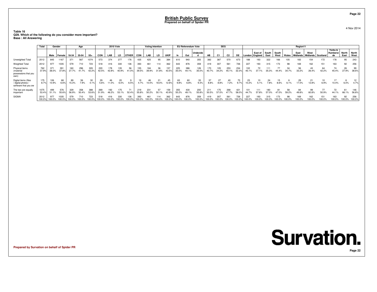#### **Table 16 Q29. Which of the following do you consider more important?Base : All Answering**

|                                                                    | Total         | Gender        |                |               | Age          |               |               | <b>2010 Vote</b> |              |              |              | <b>Voting Intention</b> |             |               |               | <b>EU Referendum Vote</b> |              |              | <b>SEG</b>   |                |              |               |                             |               |               |       | Region11           |                             |               |                           |               |                      |
|--------------------------------------------------------------------|---------------|---------------|----------------|---------------|--------------|---------------|---------------|------------------|--------------|--------------|--------------|-------------------------|-------------|---------------|---------------|---------------------------|--------------|--------------|--------------|----------------|--------------|---------------|-----------------------------|---------------|---------------|-------|--------------------|-----------------------------|---------------|---------------------------|---------------|----------------------|
|                                                                    |               | Male          | Female         | 18-34         | 35-54        | $55+$         | CON           | LAB              | LD           | <b>OTHER</b> | <b>CON</b>   | LAB                     | LD          | <b>UKIP</b>   |               | Out                       | Undecide     | AB           |              | C <sub>2</sub> | DE           |               | East of<br>London   England | South<br>East | South<br>West | Wales | East<br>I Midlands | West<br>Midlands   Scotland |               | Yorks &<br>Humbersi<br>de | North<br>East | <b>North</b><br>West |
| Unweighted Total                                                   | 2012          | 845           | 1167           | 371           | 567          | 1074          | 573           | 374              | 277          | 76           | 435          | 425                     | 95          | 384           | 610           | 940                       | 355          | 382          | 387          | 570            | 673          | 188           |                             | 322           |               |       |                    |                             | 172           | 178                       | 95            | 243                  |
| <b>Weighted Total</b>                                              | 2012          | 977           | 1035           | 579           | 710          | 723           | 518           | 416              | 330          | 136          | 393          | 461                     | 114         | 362           | 643           | 876                       | 359          | 419          |              | 561            | 726          | 227           | 193                         |               | 173           | 98    | 169                | 162                         | 151           | 163                       | 92            | 256                  |
| Physical items<br>(material<br>possessions that you<br>own)        | 762<br>37.9%  | 371<br>38.0%  | 391<br>37.8%   | 27.7%         | 296<br>41.7% | 305<br>42.2%  | 220<br>42.5%  | 78<br>42.8%      | 135<br>40.9% | 56<br>41.0%  | 155<br>39.5% | 39.9%                   | 36<br>31.8% | 157<br>43.5%  | 225<br>35.0%  | 386<br>44.1%              | 126<br>35.0% | 170          | 34.2%        | 253<br>45.1%   | 234<br>32.3% | 102<br>45.1%  |                             | 35.3%         |               | 34.7% | 33.2%              | 43<br>26.4%                 | 64<br>42.2%   | 74<br>45.4%               | 26<br>27.9%   | 99<br>38.6%          |
| Digital items (files<br>/ digital photos /<br>software that you ow | 175<br>8.7%   | 106<br>10.9%  | 68<br>6.6%     | 89<br>15.3%   | 7.9%         | 30<br>4.1%    | 5.6%          | 11.0%            | 20<br>6.0%   | 6.5%         | 4.7%         | 10.0%                   | 18.0%       | 45<br>12.6%   | 63<br>9.8%    | 60<br>6.8%                | 33<br>9.3%   | 37<br>8.8%   | 8.8%         | 40<br>7.2%     | 9.7%         | 23<br>10.2%   | 5.1%                        | 7.8%          | 8.6%          | 6.1%  | 17.0%              | 12.8%                       | 10<br>6.9%    | 10.4%                     | 6.0%          | 4.7%                 |
| The two are equally<br>important                                   | 1075<br>53.4% | 499<br>51.1%  | 576<br>55.6%   | 329<br>56.9%  | 50.4%        | 388<br>53.6%  | 51.9%         | 46.2%            | 175<br>53.1% | 52.4%        | 55.8%        | 231<br>50.2%            | 57<br>50.1% | 159<br>43.9%  | 355<br>55.2%  | 430<br>49.1%              | 200<br>55.8% | 211<br>50.5% | 175<br>57.0% | 268<br>47.7%   | 421<br>58.0% | 44.7%         | 57.8%                       | 57.0%         |               | 59.2% | 49.8%              | 99<br>60.8%                 | 50.9%         | 72<br>44.1%               | 61<br>66.1%   | 146<br>56.8%         |
| SIGMA                                                              | 2012          | 977<br>100.0% | 1035<br>100.0% | 579<br>100.0% | 100.0%       | 723<br>100.0% | 518<br>100.0% |                  | 330          | 36           | 393          | 461                     | 114         | 362<br>100.0% | 643<br>100.0% | 876<br>100.0%             | 359<br>100.0 |              |              | 561<br>00.0%   | 726          | 227<br>100.0% | 100.0%                      |               | 173           | 98    | 169<br>100.0       | 162                         | 151<br>100.0% | 163<br>00.0%              | 92<br>00.0%   | 256<br>100.0%        |

**Prepared by Survation on behalf of Spider PR**

4 Nov 2014

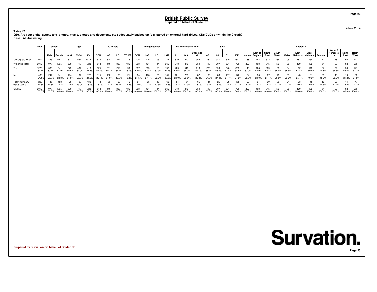**Table 17 Q30. Are your digital assets (e g photos, music, photos and documents etc ) adequately backed up (e g stored on external hard drives, CDs/DVDs or within the Cloud)?Base : All Answering**

|                                    | Total<br>Gender<br>Male Female<br>2012<br>845 |               |               |               | Age          |               |              | <b>2010 Vote</b> |              |             |              | <b>Voting Intention</b> |             |               |               | <b>EU Referendum Vote</b> |               |              | <b>SEG</b>     |                |               |               |                                   |        |               |       | Region11      |                                                |               |                           |                      |               |
|------------------------------------|-----------------------------------------------|---------------|---------------|---------------|--------------|---------------|--------------|------------------|--------------|-------------|--------------|-------------------------|-------------|---------------|---------------|---------------------------|---------------|--------------|----------------|----------------|---------------|---------------|-----------------------------------|--------|---------------|-------|---------------|------------------------------------------------|---------------|---------------------------|----------------------|---------------|
|                                    |                                               |               |               | $18-34$       | 35-54        | $55+$         | <b>CON</b>   | LAB              | LD           | OTHER I     | <b>CON</b>   | LAB                     | <b>LD</b>   | <b>UKIP</b>   | <b>In</b>     | Out                       | Undecide      | <b>AB</b>    | C <sub>1</sub> | C <sub>2</sub> | <b>DE</b>     |               | East of South<br>London   England | East   | South<br>West |       | East          | West<br>Wales   Midlands   Midlands   Scotland |               | Yorks &<br>Humbersi<br>de | <b>North</b><br>East | North<br>West |
| Unweighted Total                   |                                               |               | 167           | 371           | 567          | 1074          |              | 374              | 277          | 176         | 435          | 425                     | 95          | 384           | 610           | 940                       | 355           | 382          | 387            | 570            | 673           | 188           |                                   |        |               |       |               |                                                |               | 178                       | 95                   | 243           |
| <b>Weighted Total</b>              | 2012                                          | 977           | 035           | 579           |              | 723           | 518          |                  | 330          | 136         | 393          |                         | 14          | 362           | 643           | 876                       | 359           | 419          | 307            | 561            | 726           | 227           | 193                               |        |               |       | 169           | 162                                            | 151           | 163                       | 92                   | 256           |
| Yes                                | 1229<br>61.1%                                 | 588<br>60.1%  | 641<br>61.9%  | 379<br>65.5%  | 434<br>61.0% | 416<br>57.5%  | 325<br>62.7% | 231<br>55.7%     | 212<br>64.1% | 99<br>73.1% | 257<br>65.5% | 269<br>58.4%            | 63.9%       | 198<br>54.7%  | 429<br>66.6%  | 516<br>59.0%              | 213<br>59.1%  | 288<br>68.7% | 65.0%          | 346<br>61.8%   | 395<br>54.5%  | 143<br>63.0%  | 54.9%                             | 66.4%  | 56.9%         | 55.6% | 54.8%         | 13<br>69.9%                                    | 107<br>70.8%  | 92<br>56.6%               | 58<br>63.6%          | 147<br>57.2%  |
| No                                 | 486                                           | 244<br>25.0%  | 241<br>23.3%  | 124<br>21.5%  | 184<br>25.9% | 24.5%         | 22.1%        | 31.6%            | 66<br>19.9%  | 15.4%       | 21.5%        | 26<br>27.4%             | 26<br>22.6% | 28.0%         | 161<br>24.9%  | 208<br>23.8%              | 22.8%         | 21.6%        | 83<br>27.0%    | 24.4%          | 176<br>24.2%  | 28.3%         | 29.0%                             | 21.4%  | 25.8%         | 23.2% | 25.7%         | 19.3%                                          | 18.7%         | 43<br>26.2%               | 21.2%                | 63<br>24.5%   |
| I don't have any<br>digital assets | 298<br>14.8%                                  | 145<br>14.8%  | 153<br>14.8%  | 13.0%         | 93<br>13.0%  | 18.0%         | 15.1%        | 12.7%            | 16.1%        | 11.5%       | 13.0%        | 65<br>14.2%             | 13.5%       | 17.3%         | 8.4%          | 17.3%                     | 65<br>18.1%   | 9.7%         | 25<br>8.0%     | 13.8%          | 155<br>21.3%  | 8.7%          | 16.1%                             | 12.3%  | 2%            | 21.2% | 19.6%         | 0.8%                                           | 10.5%         | 28<br>17.1%               | 15.2%                | 18.2%         |
| <b>SIGMA</b>                       | 2012<br>100.0%                                | 977<br>100.0% | 035<br>100.0% | 579<br>100.0% | 100.0%       | 723<br>100.0% | 100.0%       | 100.0%           | 100.0%       | 100.0%      | 100.0%       | 100.0%                  |             | 362<br>100.0% | 643<br>100.0% | 876<br>100.0%             | 359<br>100.0% | 100.0%       | 100.0%         | 561<br>100.0%  | 726<br>100.0% | 227<br>100.0% | 100.0%                            | 100.0% | 100.0%        | 00.0% | 169<br>100.0% | 162<br>00.0%                                   | 151<br>100.0% | 163<br>100.0%             | 92<br>100.0% 100.0%  | 256           |

**Prepared by Survation on behalf of Spider PR**



4 Nov 2014

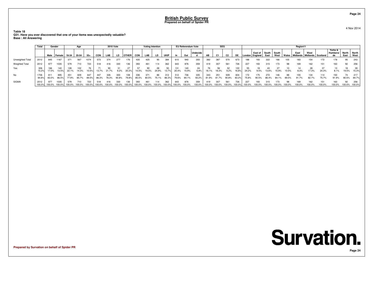**Table 18Q31. Have you ever discovered that one of your items was unexpectedly valuable? Base : All Answering**

|                       | Total        | Gender               |                |               | Age                  |              |            | <b>2010 Vote</b> |               |              |              | <b>Voting Intention</b> |               |               |               | EU Referendum Vote |               |               | <b>SEG</b>   |                |               |               |                                         |        |        |         | Region11         |                                 |               |                           |                       |                    |
|-----------------------|--------------|----------------------|----------------|---------------|----------------------|--------------|------------|------------------|---------------|--------------|--------------|-------------------------|---------------|---------------|---------------|--------------------|---------------|---------------|--------------|----------------|---------------|---------------|-----------------------------------------|--------|--------|---------|------------------|---------------------------------|---------------|---------------------------|-----------------------|--------------------|
|                       |              | Male Female          |                | 18-34         | 35-54                | $55+$        | <b>CON</b> | LAB              | LD.           | <b>OTHER</b> | CON          | LAB                     | LD.           | <b>UKIP</b>   | ln.           | Out                | Undecide      | AB            | C1           | C <sub>2</sub> | DE            |               | East of South South<br>London   England | East   | West   | , Wales | East<br>Midlands | West<br>/ Midlands   Scotland / |               | Yorks &<br>Humbersi<br>de | North   North<br>East | West               |
| Unweighted Total      | 2012         | 845                  | 1167           | 371           | 567                  | 1074         |            | 374              |               |              | 435          |                         | 95            | 384           | 610           | 940                | 355           | 382           | 387          | 570            | 673           |               |                                         |        |        |         |                  |                                 | 172           | 178                       | 95                    | 243                |
| <b>Weighted Total</b> | 2012         | 977                  | 1035           | 579           | 710                  | 723          |            | 416              | 330           |              | 393          | 461                     | 114           | 362           | 643           | 876                | 359           | 419           | 307          | 561            | 726           | 227           | 193                                     |        |        | 98      |                  | 162                             | 151           | 163                       | 92                    | 256                |
| Yes                   | 306<br>15.2% | 166<br>17.0%         | 140<br>13.5%   | 128<br>22.1%  | 102<br>14.3%         | 76<br>10.5%  | 13.7%      |                  | 9.2%          | 20.2%        | 14.5%        | ۵n<br>19.5%             | 28<br>24.9%   | 50<br>13.7%   | 131<br>20.4%  | 140<br>15.9%       | 24<br>6.8%    | 8.1%          | 18.3%        | 52<br>9.2%     | 122<br>16.8%  | 24.2%         | 9.5%                                    | 13.6%  |        | 0.5%    | 8.3%             | 28<br>17.3%                     | 24.3%         | 13<br>8.1%                | 18<br>19.5%           | 39<br>15.3%        |
| No                    | 84.8%        | 811<br>83.0%         | 895<br>86.5%   | 77.9%         | 609<br>85.7%         | 647<br>89.5% | 86.3%      | 78.3%            | 300<br>90.8%  | 79.8%        | 336<br>85.5% | 80.5%                   | 86<br>75.1%   | 312<br>86.3%  | 512<br>79.6%  | 736<br>84.1%       | 335<br>93.2%  | 81.9%         | 251<br>81.7% | 90.8%          | 604<br>83.2%  | 75.8%         | 90.5%                                   | 86.4%  | 84     | 89.5%   | 155<br>91.7%     | 134<br>82.7%                    | 114<br>75.7%  | 150<br>91.9%              |                       | 217<br>80.5% 84.7% |
| <b>SIGMA</b>          | 2012         | 977<br>100.0% 100.0% | 1035<br>100.0% | 579<br>100.0% | 710<br>100.0% 100.0% | 723          | 100.0%     | 100.0%           | 330<br>100.0% | 100.0%       | 100.0%       | 461<br>100.0%           | 114<br>100.0% | 362<br>100.0% | 643<br>100.0% | 876<br>100.0%      | 359<br>100.0% | 419<br>100.0% | 100.0%       | 561<br>100.0%  | 726<br>100.0% | 227<br>100.0% | 100.0%                                  | 100.0% | 100.0% | 100.0%  | 100.0%           | 100.0%                          | 151<br>100.0% | 163<br>100.0%             | 92<br>100.0% 100.0%   | 256                |

**Prepared by Survation on behalf of Spider PR**

4 Nov 2014

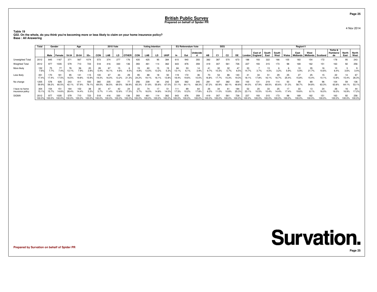**Table 19 Q32. On the whole, do you think you're becoming more or less likely to claim on your home insurance policy?Base : All Answering**

|                                    | Total          | Gender        |              | Age           |               |               | <b>2010 Vote</b> |        |        |              | <b>Voting Intention</b> |             |           |              | <b>EU Referendum Vote</b> |               |               | <b>SEG</b>   |                |               |               |               |                                   |       |               | Region11 |                             |              |               |                     |               |               |
|------------------------------------|----------------|---------------|--------------|---------------|---------------|---------------|------------------|--------|--------|--------------|-------------------------|-------------|-----------|--------------|---------------------------|---------------|---------------|--------------|----------------|---------------|---------------|---------------|-----------------------------------|-------|---------------|----------|-----------------------------|--------------|---------------|---------------------|---------------|---------------|
|                                    |                |               | Male Female  | 18-34         | 35-54         | $55+$         | <b>CON</b>       | LAB    | LD     | <b>OTHER</b> | <b>CON</b>              | LAB         | <b>LD</b> | <b>UKIP</b>  | ln.                       | Out           | Undecide      | AB           | C <sub>1</sub> | C2            | DE            |               | East of South<br>London   England | East  | South<br>West | Wales    | East<br>Midlands   Midlands | West         | l Scotland    | Yorks &<br>Humbersi | North<br>East | North<br>West |
| Unweighted Total                   | 2012           | 845           | 1167         | 371           | 567           | 1074          | 573              |        | 277    | 176          | 435                     | 425         | 95        | 384          | 610                       | 940           | 355           | 382          | 387            | 570           | 673           | 188           |                                   | 322   |               | 105      |                             |              |               | 178                 | 95            | 243           |
| Weighted Total                     | 2012           | 977           | 1035         | 579           | 710           | 723           | 518              |        | 330    | 136          | 393                     | 461         | 114       | 362          | 643                       | 876           | 359           | 419          | 307            | 561           | 726           | 227           | 193                               | 315   | 173           | 98       | 169                         | 162          | 151           | 163                 | 92            | 256           |
| More likely                        | 152<br>7.6%    | 75<br>7.7%    | 77<br>7.4%   | 13.1%         | 56<br>7.9%    | 20<br>2.8%    | 5.4%             |        | 4.6%   | 4.5%         | 4.8%                    | 13.0%       | 13.2%     | 19<br>5.3%   | 84<br>13.1%               | 53<br>6.1%    | 14<br>3.9%    | 9.7%         | 32<br>10.3%    | 32<br>5.7%    | 6.5%          | 33<br>14.7%   |                                   |       |               | 5.9%     | 5.9%                        | 35<br>21.7%  | 10.6%         | 10<br>6.4%          | 3.6%          | 3.4%          |
| Less likely                        | 351<br>17.4%   | 170<br>17.4%  | 181<br>17.5% | 95<br>16.5%   | 141<br>19.8%  | 115<br>15.9%  | 19.3%            | 16.0%  | 13.2%  | 29<br>21.3%  | 95<br>24.2%             | 88<br>19.1% |           | 50<br>13.8%  | 119<br>18.4%              | 172<br>19.6%  | 36<br>10.0%   | 16.8%        | 54<br>17.7%    | 86<br>15.3%   | 140<br>19.3%  | 18.1%         | 17.8%                             |       | 16.7%         | 25.4%    | 15.8%                       | 25<br>15.4%  | 10.1%         | 22<br>13.8%         | 15.4%         | 26.3%         |
| No change                          | 1205<br>59.9%  | 578<br>59.2%  | 626<br>60.5% | 243<br>42.1%  | 411<br>57.9%  | 550<br>76.1%  | 69.5%            | 56.5%  | 69.5%  | 56.9%        | 256<br>65.3%            | 239         | 55.8%     | 242<br>67.0% | 329<br>51.1%              | 562<br>64.1%  | 245<br>68.3%  | 281<br>67.2% | 60.9%          | 382<br>68.1%  | 354<br>48.8%  | 44.0%         |                                   |       | 114           | 51.3%    | 58.7%                       | 89<br>54.8%  | 96<br>63.3%   | 104<br>63.8%        | 59<br>64.1%   | 53.1%         |
| I have no home<br>insurance policy | 304<br>15.1%   | 154<br>15.7%  | 151<br>14.6% | 164<br>28.4%  | 102<br>14.4%  | 38<br>5.3%    | 5.7%             | 11.4%  | 12.6%  | 7.3%         | 5.7%                    | 16.0%       | 14.8%     | 14.0%        | 111<br>17.3%              | 89<br>10.2%   | 17.8%         | 26<br>6.2%   | 1.0%           | 10.8%         | 184<br>25.3%  | 23.1%         | 10.5%                             | 10.4% |               | 7.4%     | 19.6%                       | 8.1%         | 16.0%         | 26<br>16.0%         | 16.9%         | 17.2%         |
| <b>SIGMA</b>                       | 2012<br>100.0% | 977<br>100.0% | 1035         | 579<br>100.0% | 710<br>100.0% | 723<br>100.0% | 100.0%           | 100.0% | 100.0% | 136<br>00.0% | 393<br>100.0%           | 100.0%      |           | 362          | 643<br>100.0%             | 876<br>100.0% | 359<br>100.0% |              |                | 561<br>100.0% | 726<br>100.0% | 227<br>100.0% | 100.0%                            |       | 100.0%        |          | 169<br>100.0%               | 162<br>00.0% | 151<br>100.0% | 163<br>100.0%       | 92<br>100.0%  | 256<br>100.0% |

**Prepared by Survation on behalf of Spider PR**

## **Survation. Page 25**

4 Nov 2014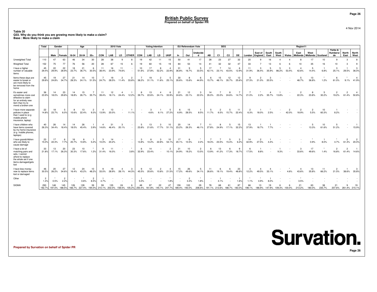**Table 20Q33. Why do you think you are growing more likely to make a claim? Base : More likely to make a claim**

|                                                                                                                                   | Total                  | Gender      |                        |             | Age                  |                        |                            | <b>2010 Vote</b> |                         |                         |                                   | <b>Voting Intention</b> |                         |                         |             | <b>EU Referendum Vote</b> |                         |             | <b>SEG</b>  |                             |                         |                        |                                  |                                   |               |            | Region11                |                             |             |                           |               |                       |
|-----------------------------------------------------------------------------------------------------------------------------------|------------------------|-------------|------------------------|-------------|----------------------|------------------------|----------------------------|------------------|-------------------------|-------------------------|-----------------------------------|-------------------------|-------------------------|-------------------------|-------------|---------------------------|-------------------------|-------------|-------------|-----------------------------|-------------------------|------------------------|----------------------------------|-----------------------------------|---------------|------------|-------------------------|-----------------------------|-------------|---------------------------|---------------|-----------------------|
|                                                                                                                                   |                        | Male        | Female                 | 18-34       | 35-54                | $55+$                  | CON                        | LAB              | LD                      | <b>OTHER</b>            | CON                               | LAB                     | LD                      | <b>UKIP</b>             | In          | Out                       | Undecide<br>d           | AB          | C1          | C <sub>2</sub>              | DE                      | London   England       | East of                          | South<br>East                     | South<br>West | Wales      | East<br>Midlands        | West<br>Midlands   Scotland |             | Yorks &<br>Humbersi<br>de | North<br>East | North<br>West         |
| Unweighted Total                                                                                                                  | 110                    | 47          | 63                     | 46          | 34                   | 30                     | 28                         | 38               | 9                       | 8                       | 19                                | 42                      | 11                      | 15                      | 50          | 41                        | 17                      | 28          | 23          | 27                          | 32                      | 20                     |                                  | 16                                |               |            | Æ                       | 17                          | 10          | 9                         | 3             | 8                     |
| <b>Weighted Total</b>                                                                                                             | 152                    | 75          | 77                     | 76          | 56                   | 20                     | 28                         | 67               | 15                      | 6                       | 19                                | 60                      | 15                      | 19                      | 84          | 53                        | 14                      | 41          | 32          | 32                          | 47                      | 33                     |                                  | 13                                |               |            | 10                      | 35                          | 16          | 10                        | -3            | 9                     |
| I have a higher<br>number of valuable<br>items                                                                                    | 45<br>29.4%            | 22<br>29.9% | 22<br>28.9%            | 18<br>23.7% | 21<br>36.7%          | 6<br>30.5%             | 11<br>38.4%                | 16<br>23.9%      | 11<br>74.6%             | $\sim$                  | 10<br>51.6%                       | 17<br>27.8%             | 8<br>52.2%              | $\mathbf{A}$<br>22.9%   | 31<br>36.8% | 16.7%                     | 5<br>33.5%              | 17<br>42.1% | 23.1%       | 14<br>43.5%                 | -6<br>12.9%             | 11<br>31.9%            | 3<br>36.4%                       | 5<br>35.9%                        | 86.2%         | 3<br>53.4% | $\overline{4}$<br>42.6% | -5<br>14.4%                 | 6.8%        | 3<br>25.1%                | 29.5%         | $\mathbf{3}$<br>36.0% |
| Items these days are<br>easier to break or<br>are more likely to<br>be removed from the<br>home                                   | 45<br>29.8%            | 19<br>24.8% | 27<br>34.7%            | 21<br>28.3% | 14<br>24.1%          | 10<br>51.5%            | 24.7%                      | 19<br>28.5%      | $\overline{2}$<br>11.4% | $\overline{2}$<br>33.8% | 38.2%                             | 19<br>31.1%             | $\overline{2}$<br>11.6% | 5<br>25.1%              | 30<br>35.6% | 15.6%                     | -6<br>44.9%             | 15.7%       | 15<br>48.1% | 12<br>35.7%                 | 12<br>25.6%             | <b>q</b><br>27.3%      | $\overline{2}$<br>21.0%          | 3<br>20.5%                        |               |            | 5<br>48.7%              | 13<br>36.8%                 | 1.2%        | 6<br>61.0%                |               | 9.1% 41.9%            |
| It's easier and<br>sometimes more cost<br>effective to claim<br>for an entirely new<br>item than try to<br>mend a broken one      | 36<br>23.9%            | 14<br>18.0% | 23<br>29.8%            | 14<br>18.8% | 15<br>26.7%          | 35.7%                  | -11<br>39.4%               | 12<br>18.1%      | 24.4%                   | -1<br>12.2%             | 39.7%                             | 13<br>22.6%             | 24.1%                   | -6<br>33.9%             | 21<br>24.6% | 12<br>23.1%               | 3<br>22.0%              | 14<br>35.0% | 23.0%       | 8<br>24.6%                  | $\overline{7}$<br>14.7% | 21.0%                  | 2.2%                             | $\overline{\mathcal{L}}$<br>35.7% | 13.8%         |            | $\overline{2}$<br>22.3% | 8<br>23.8%                  | -5<br>30.2% | $\overline{2}$<br>19.2%   | 2<br>61.4%    | 50.8%                 |
| I have more separate<br>policies in place<br>than I used to (e g<br>mobile phone<br>insurance, laptop)                            | 22<br>14.8%            | 18<br>23.7% | -5<br>6.0%             | -8<br>10.6% | 13<br>22.4%          | $\overline{2}$<br>9.3% | $\mathbf{A}$<br>13.9%      | 13<br>20.0%      | $\sim$                  | $\overline{1}$<br>11.1% | $\sim$                            | -3<br>4.6%              | 6.1%                    | -5<br>27.2%             | 6.9%        | 15<br>28.5%               | $\overline{1}$<br>8.5%  | 5<br>11.7%  | 2<br>6.5%   | -5<br>15.7%                 | 11<br>22.4%             | $\overline{2}$<br>6.3% | 18.0%                            | 2.5%                              | $\sim$        | 2<br>42.0% | 2<br>18.9%              | 5.5%                        | 10<br>60.3% | 8.2%                      |               |                       |
| I have children who<br>have items covered<br>by my home insurance<br>(e q mobile phones,<br>laptops)                              | 40<br>26.3%            | 26<br>34.4% | 14<br>18.4%            | 14<br>18.0% | 26<br>45.4%          | 3.9%                   | 14.6%                      | 31<br>46.4%      | 3<br>20.1%              |                         | 23.8%                             | 13<br>21.6%             | 3<br>17.7%              | 10<br>51.1%             | 20<br>23.2% | 14<br>26.3%               | 46.1%                   | 11<br>27.8% | 8<br>24.9%  | 17.1%                       | 15<br>32.2%             | 13<br>37.9%            | 18.7%                            | 7.7%                              |               |            |                         | -5<br>13.3%                 | 10<br>61.6% | 5<br>51.2%                | $\sim$        | 15.9%                 |
| I have grandchildren<br>who are likely to<br>cause damage                                                                         | 23<br>15.0%            | 17<br>22.4% | 7.7%                   | 16<br>20.7% | 6<br>10.8%           | 5.2%                   | 10.0%                      | 14<br>20.2%      |                         |                         | -3<br>13.8%                       | 10.2%                   | 3<br>22.8%              | 10<br>54.1%             | 17<br>20.1% | 10.5%                     | $\star$<br>2.2%         | 18.3%       | 23.5%       | -5<br>15.4%                 | $\mathbf{3}$<br>6.2%    | 14<br>42.9%            | $\overline{2}$<br>27.5%          | 4.4%                              |               |            |                         | 0.9%                        | 8.0%        | 4.7%                      |               | 61.4% 20.0%           |
| I have a lot o<br>matching pairs and<br>sets, I cannot<br>afford to replace<br>the whole set if one<br>items damaged/gets<br>lost | 33<br>21.8%            | 13<br>17.1% | 20<br>26.3%            | 23<br>30.3% | 10<br>17.6%          | 1.2%                   | <b>q</b><br>31.4%          | 11<br>16.0%      | $\sim$<br>$\sim$        | $\star$<br>3.8%         | 32.9%                             | 14<br>23.4%             |                         | $\overline{2}$<br>10.1% | 21<br>24.9% | 10<br>19.2%               | $\overline{2}$<br>13.5% | 6<br>13.9%  | 13<br>41.2% | 17.3%                       | -9<br>18.7%             | -6<br>17.5%            | 8.8%                             |                                   | 9.3%          |            | 3<br>33.6%              | 17<br>49.6%                 | 1.4%        | $\overline{2}$<br>16.8%   |               | 61.4% 14.6%           |
| I have less money<br>now to replace items<br>lost or damaged                                                                      | 46<br>30.5%            | 20<br>26.2% | 27<br>34.6%            | 12<br>16.4% | 24<br>43.2%          | 10<br>48.2%            | <b>q</b><br>33.0%          | 19<br>28.9%      | 4<br>28.1%              | 3<br>44.3%              | $\alpha$<br>45.5%                 | 12<br>20.6%             | $\overline{2}$<br>10.8% | $\overline{4}$<br>21.5% | 15<br>17.2% | 26<br>49.6%               | 5<br>34.1%              | 11<br>26.6% | 6<br>19.1%  | 6<br>19.4%                  | 23<br>48.8%             | -4<br>12.2%            | $\overline{\mathbf{4}}$<br>49.5% | -4<br>33.1%                       |               | 4.6%       | -4<br>43.6%             | 13<br>35.8%                 | 11<br>66.2% | $\overline{2}$<br>21.5%   | 38.6%         | 35.8%                 |
| Other                                                                                                                             | $\overline{2}$<br>1.4% | 0.5%        | $\overline{2}$<br>2.2% |             | $\star$<br>0.6%      | $\overline{2}$<br>8.5% | 4.7%                       |                  |                         |                         | -1<br>5.0%                        |                         |                         | $\star$<br>1.8%         |             | $\overline{2}$<br>3.4%    | $\star$<br>1.8%         |             | 4.1%        |                             | $\overline{1}$<br>1.6%  | 1.1%                   | 4.9%                             | 8.0%                              |               |            | 3.5%                    |                             |             |                           |               |                       |
| SIGMA                                                                                                                             | 293<br>192.7%          | 148         | 145<br>197.0% 188.5%   | 126         | 128<br>166.7% 227.4% | 39<br>194.0%           | 59<br>210.1% 202.0% 158.5% | 135              | 24                      | 6                       | 48<br>105.2% 250.4% 161.8% 145.1% | 97                      | 22                      | 47<br>247.7%            | 159         | 102<br>189.4% 193.0%      | 29<br>206.6%            | 78          | 68          | 191.1% 213.6% 188.7% 183.0% | 87                      | 198.1%                 | 13<br>186.9%                     | 19<br>147.9%                      | 109.3% 100.0% |            | 21<br>213.2%            | 63<br>180.0%                | 235.7%      | 21<br>207.6%              | 261.4% 215.1% | 19                    |

**Prepared by Survation on behalf of Spider PR**

4 Nov 2014

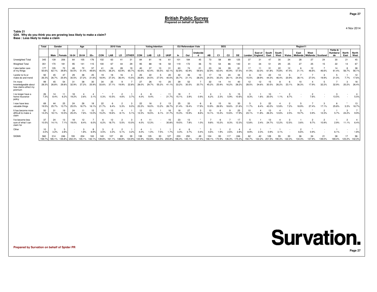**Table 21 Q34. Why do you think you are growing less likely to make a claim? Base : Less likely to make a claim**

|                                                                    | <b>Total</b>  | Gender        |               |               | Age           |               |               | <b>2010 Vote</b> |              |              |             | <b>Voting Intention</b> |             |                      |               | EU Referendum Vote |                   |             | <b>SEG</b>     |                |               |              |                    |               |               |        | Region11                |                           |             |                           |                      |               |
|--------------------------------------------------------------------|---------------|---------------|---------------|---------------|---------------|---------------|---------------|------------------|--------------|--------------|-------------|-------------------------|-------------|----------------------|---------------|--------------------|-------------------|-------------|----------------|----------------|---------------|--------------|--------------------|---------------|---------------|--------|-------------------------|---------------------------|-------------|---------------------------|----------------------|---------------|
|                                                                    |               | Male          | Female        | 18-34         | 35-54         | $55+$         | CON           | LAB              | LD           | <b>OTHER</b> | <b>CON</b>  | LAB                     | LD          | <b>UKIP</b>          | In            | Out                | Undecide          | <b>AB</b>   | C <sub>1</sub> | C <sub>2</sub> | DE            | London       | East of<br>England | South<br>East | South<br>West | Wales  | East<br><b>Midlands</b> | West<br>Midlands Scotland |             | Yorks &<br>Humbersi<br>de | <b>North</b><br>East | North<br>West |
| Unweighted Total                                                   | 345           | 139           | 206           | 64            | 105           | 176           | 102           | 63               |              | 31           |             |                         |             | 61                   | 101           | 184                | 45                | 73          | 58             | 89             | 125           |              |                    | 47            | 30            |        | 28                      | 27                        | $2\epsilon$ | 30                        | 21                   |               |
| <b>Weighted Total</b>                                              | 351           | 170           | 181           | 95            | 141           |               | 100           |                  |              | 29           | 95          |                         |             | 50                   | 119           | 172                | 36                |             | 54             | 86             | 140           |              |                    |               |               |        |                         | 25                        |             | 22                        |                      |               |
| I take better care<br>of my things                                 | 177<br>50.6%  | 105<br>62.1%  | 72<br>39.8%   | 50.5%         | 72<br>51.4%   | 57<br>49.6%   | 40.5%         | 36.2%            | 28<br>63.9%  | 65.7         | 42.6%       |                         | 55.5%       | 31<br>$62.1^{\circ}$ | 63<br>52.8%   | 42.9%              | 21<br>59.6%       | 23<br>32.9% | 34<br>63.0%    | 39<br>45.9%    | 81<br>57.5%   |              | 32.0%              |               | 75.8%         | 12     |                         | 12<br>46.6%               | 46.6%       | 61.4%                     | 56.7%                | 38<br>56.1%   |
| I prefer to fix or<br>make do and mend                             | 92<br>26.3%   | 45<br>26.7%   | 47<br>25.9%   | 29<br>30.5%   | 38<br>27.2%   | 25<br>21.6%   | 19<br>18.9%   | 27.3%            | 16<br>36.4%  | 15.5%        | 25<br>26.8% | 22<br>24.5%             | 27.0%       | 20<br>40.0%          | 35.7%         | 36<br>21.1%        | 10<br>28.3%       | 24.5%       | 30.2%          | 24<br>28.1%    | 34<br>24.5%   | 15.5%        | 10<br>28.9%        | 22<br>44.3%   | 46.4%         | 20.9%  | 28.1%                   | 27.0%                     | 19.9%       | 21.0%                     | 7.7%                 | 12<br>17.6%   |
| I'm more<br>knowledgeable about<br>how claims affect my<br>premium | 99<br>28.3%   | 45<br>26.8%   | 54<br>29.8%   | 31<br>32.9%   | 38<br>27.2%   | 30<br>25.9%   | 34<br>33.6%   | 25<br>37.1%      | 19.9%        | 22.8%        | 27<br>28.0% | 26<br>29.7%             | 10<br>55.2% | 20<br>41.1%          | 39<br>33.2%   | 52<br>30.5%        | 20.7%             | 32<br>45.2% | 14<br>25.9%    | 14<br>16.2%    | 40<br>28.2%   | 12<br>28.5%  | 12<br>34.6%        | 15<br>30.5%   | 26.2%         | 23.1%  | 36.3%                   | 17.9%                     | 32.2%       | 32.9%                     | 20.2%                | 18<br>26.4%   |
| I no longer have a<br>home insurance<br>policy                     | 26<br>7.3%    | 14<br>8.4%    | 11<br>6.2%    | 18<br>19.2%   | 2.6%          | -4<br>3.1%    | 0.3%          | 10.5%            | 4.6%         | 3.7%         |             | 9.4%                    |             | 11<br>21.7%          | 15.1%         | 3.9%               | 0.9%              | 6.2%        | 2.3%           | 5.9%           | 15<br>10.6%   | 3<br>8.3%    | 1.6%               | 20.0%         | 1.1%          | 8.7%   |                         | 7.6%                      |             | 13.5%                     |                      | 5.5%          |
| I now have less<br>valuable things                                 | 69<br>19.5%   | 44<br>25.7%   | 25<br>13.7%   | 24<br>25.0%   | 26<br>18.7%   | 18<br>16.19   | 22<br>21.7%   |                  | 5.3%         |              | 22<br>23.3% |                         | 13.2%       | 13<br>26.7%          | 25            | 33<br>19.4%        | 6<br>17.9%        | 10.9%       | 26.9%          | 18.6%          | 30<br>21.6%   |              | 8.4%               | 22            |               | 7.2%   | 18.9%                   |                           | 17.1%       | 25.8%                     | 3.3%                 | 18.7%         |
| It has become more<br>difficult to make a<br>claim                 | 50<br>14.2%   | 31<br>18.1%   | 19<br>10.5%   | 24<br>25.4%   | 11<br>7.6%    | 15<br>13.0%   | 15<br>15.2%   | 13<br>19.6%      | 8.1%         | 5.1%         | 12<br>12.3% | 16.5%                   | 6.1%        | 16<br>31.7%          | 18<br>15.3%   | 27<br>15.9%        | 3<br>8.6%         | 10<br>14.1% | 10.4%          | 10.6%          | 25<br>17.9%   | 10<br>23.1%  | 11.8%              | 13<br>26.3%   | 12.6%         | 2.5%   | 19.7%                   | 0.9%                      | 12.3%       | 5.7%                      | 24.2%                | 9.9%          |
| I've become less<br>sure of what I can<br>claim for                | 37<br>10.5%   | 24<br>14.1%   | 13<br>7.1%    | 18<br>19.0%   | 12<br>8.4%    | 6.0%          | 6.2%          | 18.7%            | 5.5%         | 10.0%        | 4.0%        | 12.3%                   |             | 15<br>30.8%          | 23<br>19.5%   | 13<br>7.8%         | $\bullet$<br>1.0% | 9.8%        | 10.2%          | 8.3%           | 17<br>12.3%   | 12.8%        | 2.4%               | 24.7%         | 12.2%         | 12.5%  | 3.6%                    | 9.7%                      | 10.9%       | 2.9%                      | 11.1%                | 6.4%          |
| Other                                                              | 10<br>3.0%    | 3.2%          | 2.8%          |               | 1.8%          | 6.9%          | 3.5%          | 3.3%             | 5.1%         | 3.2%         |             |                         | 7.5%        | 1.7%                 |               |                    | 0.4%              |             | 1.9%           | 2.6%           | 2.8%          |              | 2.3%               |               |               |        |                         | 0.9%                      |             | 6.1%                      |                      | 1.8%          |
| <b>SIGMA</b>                                                       | 560<br>159.7% | 314<br>185.1% | 246<br>135.8% | 193<br>202.4% | 204<br>145.1% | 163<br>142.1% | 140<br>139.8% |                  | 65<br>148.8% | 39<br>134.9% | 144.9%      | 153.8%                  | 164.5%      | 255.8%               | 233<br>196.4% | 250<br>145.1%      | 49<br>137.4%      | 148.1%      | 93<br>170.9%   | 136.3%         | 246<br>175.3% | 62<br>150.7% | 122.2%             | 251.5%        | 190.3%        | 122.3% | 134.3%                  | 137.9%                    | 139.0%      | 38<br>169.4%              | 123.2% 142.3%        | 96            |

**Prepared by Survation on behalf of Spider PR**

4 Nov 2014

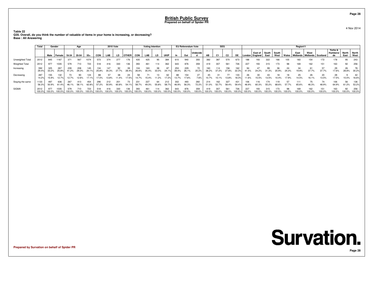**Table 22 Q35. Overall, do you think the number of valuable of items in your home is increasing, or decreasing?Base : All Answering**

|                       | Total<br>Gender |               |                |              | Age           |               | <b>2010 Vote</b> |              |               |                | <b>Voting Intention</b> |               |               |               | <b>EU Referendum Vote</b> |               |               | <b>SEG</b>   |                |               | Region11      |               |                           |               |               |        |                                        |               |             |                            |                     |               |
|-----------------------|-----------------|---------------|----------------|--------------|---------------|---------------|------------------|--------------|---------------|----------------|-------------------------|---------------|---------------|---------------|---------------------------|---------------|---------------|--------------|----------------|---------------|---------------|---------------|---------------------------|---------------|---------------|--------|----------------------------------------|---------------|-------------|----------------------------|---------------------|---------------|
|                       |                 |               | Male Female    | $18-34$      | $35 - 54$     | $55+$         | <b>CON</b>       | LAB          | LD            | <b>OTHER</b>   | CON                     | LAB           | LD.           | <b>UKIP</b>   | In.                       | Out           | Undecide      | AB           | C <sub>1</sub> | C2            | <b>DE</b>     |               | East of<br>London England | South<br>East | South<br>West | Wales  | East<br>Midlands   Midlands   Scotland | West          |             | Yorks &<br><b>Humbersi</b> | North<br>East       | North<br>West |
| Unweighted Total      | 2012            | 845           | 1167           | 371          | 567           | 1074          | 573              | 374          |               | 176            | 435                     | 425           | 95            | 384           | 610                       | 940           | 355           | 382          | 387            | 570           | 673           |               |                           |               |               |        |                                        |               |             | 178                        | 95                  | 243           |
| <b>Weighted Total</b> | 2012            | 977           | 1035           | 579          | 710           | 723           | 518              | 416          | 330           | 136            | 393                     | 461           | 114           | 362           | 643                       | 876           | 359           | 419          | 307            | 561           | 726           | 227           | 193                       | 315           | 173           | 98     | 169                                    | 162           | 151         | 163                        | 92                  |               |
| Increasing            | 592             | 325<br>33.2%  | 267<br>25.8%   | 239<br>41.2% | 208<br>29.3%  | 145<br>20.19  | 134<br>25.8%     | 147<br>35.3% | 92<br>27.7%   | 28.49          | 104<br>26.6%            | 163<br>35.4%  | 38<br>33.0%   | 87<br>24.1%   | 253<br>39.4%              | 229<br>26.1%  | 72<br>20.2%   | 160<br>38.2% | 37.2%          | 156<br>27.8%  | 162<br>22.3%  | 41.5%         | 24.2%                     | - 3%          | 20.9%         | 24.3%  | 19.9%                                  | 37.7%         | 57<br>37.7% | 29<br>17.6%                | 26<br>28.8%         | 78<br>30.2%   |
| Decreasing            | 287<br>14.2%    | 155<br>15.9%  | 132<br>12.7%   | 12.7%        | 12.6%         | 124           | 17.0%            | 13.8%        | 38<br>11.4%   | 17.5%          | 14.7%                   | 15.4%         | 11.2%         | 62<br>17.2%   | 88<br>13.7%               | 154<br>17.6%  | 27<br>7.6%    | 10.7%        | 10.1%          | 13.8%         | 133<br>18.3%  | 11.6%         | 15.5%                     | 13.5%         | 10.4%         | 17.9%  | 14.5%                                  | 26<br>16.1%   | 13.5%       | 28<br>17.5%                | 10.0%               | 16.6%         |
| Staying the same      | 1133<br>56.3%   | 497<br>50.9%  | 636<br>61.4%   | 267<br>46.1% | 413<br>58.1%  | 454<br>62.8%  | 57.2%            | 212<br>50.9% | 60.8%         | $54.1^{\circ}$ | 58.7%                   | 227<br>49.3%  | 64<br>55.8%   | 212<br>58.7%  | 302<br>46.9%              | 493<br>56.3%  | 260<br>72.2%  | 51.0%        | 52.7%          | 327<br>58.4%  | 431<br>59.4%  | 46.9%         | 60.3%                     | 55.2%         | 68.6%         | 57.7%  | 65.6%                                  | 46.3%         | 48.9%       | 106<br>64.9%               | 56<br>61.2%         | 53.2%         |
| <b>SIGMA</b>          | 2012<br>100.0%  | 977<br>100.0% | 1035<br>100.0% | 579          | 100.0% 100.0% | 723<br>100.0% | 100.0%           | 100.0%       | 330<br>100.0% | 100.0%         | 393<br>100.0%           | 461<br>100.0% | 114<br>100.0% | 362<br>100.0% | 643<br>100.0%             | 876<br>100.0% | 359<br>100.0% | 100.0%       | 307<br>100.0%  | 561<br>100.0% | 726<br>100.0% | 227<br>100.0% | 100.0%                    | 100.0%        | 100.0%        | 100.0% | 100.0%                                 | 162<br>100.0% | 100.0%      | 163<br>100.0%              | 92<br>100.0% 100.0% | 256           |

**Prepared by Survation on behalf of Spider PR**

## **Survation. Page 28**

**Page 28**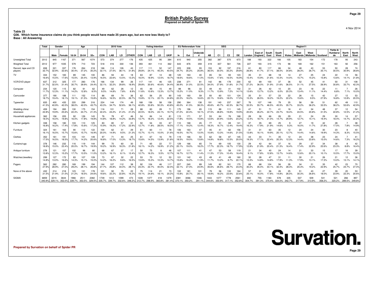**Table 23**

 **Q36. Which home insurance claims do you think people would have made 25 years ago, but are now less likely to?Base : All Answering**

|                                | Total          | Gender       |                       | Age          |              | <b>2010 Vote</b> |                                                                                                    |              | <b>Voting Intention</b> |              |              | <b>EU Referendum Vote</b> |             |              | <b>SEG</b>   |              |                |                       |                         |                      |                       |                                           |                                    | Region11      |               |             |                         |                             |               |                           |                      |               |
|--------------------------------|----------------|--------------|-----------------------|--------------|--------------|------------------|----------------------------------------------------------------------------------------------------|--------------|-------------------------|--------------|--------------|---------------------------|-------------|--------------|--------------|--------------|----------------|-----------------------|-------------------------|----------------------|-----------------------|-------------------------------------------|------------------------------------|---------------|---------------|-------------|-------------------------|-----------------------------|---------------|---------------------------|----------------------|---------------|
|                                |                | Male         | Female                | 18-34        | 35-54        | $55+$            | CON                                                                                                | LAB          | LD.                     | <b>OTHER</b> | <b>CON</b>   | LAB                       | LD          | <b>UKIP</b>  | <b>In</b>    | Out          | Jndecide<br>d  | AB                    | C1                      | C <sub>2</sub>       | <b>DE</b>             | London                                    | East of<br>England                 | South<br>East | South<br>West | Wales       | East<br><b>Midlands</b> | West<br>Midlands   Scotland |               | Yorks &<br>Humbersi<br>de | <b>North</b><br>East | North<br>West |
| Unweighted Total               | 2012           | 845          | 167                   | 371          | 567          | 1074             | 573                                                                                                | 374          | 277                     | 176          | 435          | 425                       | 95          | 384          | 610          | 940          | 355            | 382                   | 387                     | 570                  | 673                   | 188                                       | 193                                | 322           | 166           | 105         | 183                     | 154                         | 172           | 178                       | 95                   | 243           |
| <b>Weighted Total</b>          | 2012           | 977          | 1035                  | 579          | 710          | 723              | 518                                                                                                | 416          | 330                     | 136          | 393          | 461                       | 114         | 362          | 643          | 876          | 359            | 419                   | 307                     | 56                   | 726                   | 227                                       | 193                                | 315           | 173           | 98          | 169                     | 162                         | 151           | 163                       | 92                   | 256           |
| Record, tape and CD<br>players | 658<br>32.7%   | 321<br>32.9% | 337<br>32.6%          | 176<br>30.4% | 264<br>37.2% | 218<br>30.2%     | 166<br>32.1%                                                                                       | 114<br>27.5% | 126<br>38.1%            | 43<br>31.8%  | 117<br>29.8% | 111<br>24.1%              | 52<br>45.3% | 147<br>40.5% | 223<br>34.7% | 308<br>35.2% | 93<br>25.8%    | 153<br>36.5%          | 92<br>30.0%             | 197<br>35.2%         | 216<br>29.8%          | 61<br>26.8%                               | 80<br>41.7%                        | 117<br>37.1   | 66<br>38.0%   | 34<br>34.8% | 48<br>28.3%             | 43<br>26.7%                 | 53<br>35.1%   | 50<br>30.5%               | 28<br>30.9%          | 74<br>28.8%   |
| TV                             | 334<br>16.6%   | 152<br>15.5% | 183<br>17.6%          | 89<br>15.5%  | 145<br>20.4% | 100<br>13.9%     | 86<br>16.5%                                                                                        | 94<br>22.6%  | $\Delta\Delta$<br>13.5% | 18<br>13.2%  | 63<br>16.0%  | 87<br>18.9%               | 14<br>12.5% | 68<br>18.7%  | 120<br>18.6% | 163<br>18.6% | 40<br>11.0%    | 65<br>15.6%           | 54<br>17.6%             | 93<br>16.5%          | 123<br>16.9%          | 35<br>15.4%                               | 31<br>15.9%                        | 68<br>21.6%   | 18<br>10.3%   | 14<br>14.0% | 27<br>15.7%             | 25<br>15.2%                 | 24<br>15.8%   | 22<br>13.6%               | 13<br>14.1%          | 56<br>21.8%   |
| VCR/DVD player                 | 637<br>31.79   | 312<br>32.0% | 325<br>$31.4^{\circ}$ | 177<br>30.7% | 283<br>39.9% | 176<br>24.4%     | 166<br>32.1%                                                                                       | 134<br>32.2% | 99<br>29.8%             | 26<br>18.9%  | 117<br>29.8% | 141<br>30.6%              | 46<br>40.6% | 125<br>34.4% | 238<br>36.9% | 271<br>31.0% | 81<br>22.5%    | 142<br>34.0%          | 86<br>27.9%             | 178<br>31.8%         | 230<br>31.79          | 62<br>27.2%                               | 69<br>36.0%                        | 100<br>31.9%  | 37<br>21.6%   | 36<br>36.5% | 52<br>31.1%             | 45<br>27.5%                 | 41<br>26.9%   | 50<br>30.8%               | 31<br>33.7%          | 108<br>42.3%  |
| Computer                       | 234<br>11.7%   | 120<br>12.3% | 115<br>11.1%          | 82<br>14.2%  | 91<br>12.8%  | 62<br>8.5%       | 49<br>9.5%                                                                                         | 62<br>14.8%  | 26<br>7.8%              | 12<br>8.9%   | 45<br>11.6%  | 49<br>10.6%               | 15<br>13.3% | 49<br>13.7%  | 98<br>15.2%  | 96<br>11.0%  | 33<br>9.3%     | 49<br>11.7%           | 43<br>13.9%             | $\mathbf{4}$<br>7.2% | 102<br>14.19          | 31<br>13.6%                               | 26<br>13.7%                        | 42<br>13.2%   | 6.0%          | 20<br>20.3% | 23<br>13.4%             | 18<br>11.1%                 | 22<br>14.4%   | 11<br>6.8%                | 7.1%                 | 26<br>10.0%   |
| Camcorder                      | 377<br>18.7%   | 190<br>19.4% | 188<br>18.1%          | 111<br>19.1% | 152<br>21.5% | 114<br>15.8%     | 86<br>16.6%                                                                                        | 69<br>16.5%  | 74<br>22.5%             | 36<br>26.7%  | 62<br>15.8%  | 56<br>12.1%               | 25<br>22.1% | 90<br>24.8%  | 143<br>22.2% | 160<br>18.2% | 59<br>16.6%    | 93<br>22.1%           | 19.6%                   | ۱0٠<br>18.0%         | 124<br>17.0%          | 35<br>15.3%                               | 51<br>26.5%                        | 5<br>18.2%    | 33<br>19.2%   | 22<br>22.2% | 26<br>15.6%             | 15<br>9.5%                  | 42<br>27.9%   | 27<br>16.8%               | 12<br>12.8%          | 53<br>20.5%   |
| Typewriter                     | 835<br>41.5%   | 400<br>40.9% | 435                   | 220<br>38.0% | 299<br>42.0% | 316<br>43.7%     | 224<br>43.3%                                                                                       | 144<br>34.7% | 174<br>52.6%            | 49<br>36.1%  | 168<br>42.8% | 156<br>33.8%              | 58<br>50.3% | 158<br>43.8% | 290<br>45.0% | 364<br>41.5% | 138<br>38.3%   | 191<br>45.6%          | 140<br>45.7%            | 237<br>42.3%         | 267<br>36.7%          | 76<br>33.5%                               | 107<br>55.7%                       | 146<br>46.5%  | 79<br>45.5%   | 35<br>35.7% | 56<br>33.2%             | 59<br>36.2%                 | 51<br>33.5%   | 62<br>38.2%               | 49<br>53.6%          | 110<br>42.9%  |
| Wedding china/<br>silverware   | 459<br>22.8%   | 194<br>19.9% | 265<br>25.6%          | 130<br>22.4% | 175<br>24.7% | 154<br>21.3%     | 116<br>22.4%                                                                                       | 101<br>24.2% | 71<br>21.4%             | 28<br>21.0%  | 88<br>22.5%  | 83<br>18.0%               | 28<br>24.1% | 71<br>19.7%  | 175<br>27.2% | 196<br>22.4% | 65<br>18.1%    | 115<br>27.5%          | 88<br>28.8%             | 111<br>19.8%         | 145<br>19.9%          | 47<br>20.6%                               | 51<br>26.2%                        | 71<br>22.7%   | 41<br>23.7%   | 18<br>18.4% | 41<br>24.5%             | 34<br>20.8%                 | 48<br>31.5%   | 37<br>22.8%               | 12<br>12.5%          | 54<br>21.2%   |
| Household appliance:           | 362<br>18.0%   | 156<br>16.0% | 205<br>19.8%          | 92<br>16.0%  | 126<br>17.8% | 143<br>19.8%     | 76<br>14.8%                                                                                        | 78<br>18.8%  | 47<br>14.2%             | 46<br>33.8%  | 54<br>13.7%  | 84<br>18.2%               | 14<br>12.4% | -81<br>22.5% | 115<br>17.8% | 171<br>19.5% | 57<br>15.8%    | 53<br>12.6%           | 64<br>20.9%             | 76<br>13.6%          | 168<br>23.2%          | 28<br>12.4%                               | 36<br>18.7%                        | 66<br>21.0%   | 26<br>14.7%   | 29<br>29.9% | 21<br>12.7%             | 24<br>15.1%                 | 29<br>19.4%   | 30<br>18.4%               | 14<br>14.7%          | 57<br>22.2%   |
| Kitchen gadgets                | 338<br>16.8%   | 158<br>16.2% | 180<br>17.4%          | 103<br>17.8% | 110<br>15.6% | 125<br>17.2%     | 83<br>15.9%                                                                                        | 80<br>19.2%  | 57<br>17.2%             | 31<br>22.9%  | 50<br>12.7%  | 54<br>11.8%               | 33<br>28.5% | 67<br>18.5%  | 110<br>17.1% | 168<br>19.2% | 45<br>12.4%    | 77<br>18.3%           | 51<br>16.7%             | 69<br>12.4%          | 141<br>19.4%          | 37<br>16.3%                               | 35<br>17.9%                        | 69<br>21.9%   | 25<br>14.6%   | -9<br>9.3%  | 27<br>16.0%             | 19<br>11.7%                 | 42<br>27.8%   | 28<br>17.0%               | 7.8%                 | 38<br>14.9%   |
| Furniture                      | 324<br>16.1%   | 161<br>16.5% | 163<br>15.7%          | 90<br>15.6%  | 112<br>15.7% | 122<br>16.9%     | 104<br>20.0%                                                                                       | 62<br>14.9%  | 31<br>9.5%              | 29<br>21.3%  | 61<br>15.7%  | 60<br>13.1%               | 11<br>10.0% | 78<br>21.6%  | 106<br>16.5% | 163<br>18.7% | 47<br>13.0%    | 45<br>10.8%           | 13.3%                   | 82<br>14.6%          | 156<br>21.5%          | 31<br>13.8%                               | 31<br>16.1%                        | 63<br>19.9%   | 35<br>20.1%   | 12<br>12.7% | 24<br>14.4%             | 24<br>14.6%                 | 30<br>19.9%   | 23<br>14.3%               | 8.3%                 | 40<br>15.5%   |
| Clothes                        | 352<br>17.5%   | 161<br>16.5% | 191<br>18.5%          | 103<br>17.7% | 101<br>14.2% | 149<br>20.6%     | 97<br>18.8%                                                                                        | 71<br>17.0%  | 44<br>13.3%             | 25<br>18.7%  | 61<br>15.6%  | 67<br>14.5%               | 16<br>13.9% | 79<br>21.8%  | 119<br>18.5% | 166<br>19.0% | 50<br>13.8%    | 62<br>14.8%           | 58<br>18.8%             | 87<br>15.5%          | 145<br>20.0%          | 44<br>19.3%                               | 33<br>17.1%                        | 71<br>22.4%   | 35<br>20.3%   | 12<br>12.3% | 24<br>14.4%             | 38<br>23.6%                 | 23<br>15.0%   | 24<br>14.6%               | 7.3%                 | 41<br>16.2%   |
| Curtains/rugs                  | 378<br>18.8%   | 146<br>15.0% | 232<br>22.4%          | 116<br>20.0% | 119<br>16.7% | 144<br>19.9%     | 99<br>19.2%                                                                                        | 70<br>16.9%  | 60<br>18.3%             | 30<br>21.8%  | 71<br>18.1%  | 65<br>14.2%               | 22<br>18.9% | 77<br>21.2%  | 129<br>20.1% | 166<br>19.0% | 65<br>18.2%    | 74<br>17.7%           | 69<br>22.3%             | 105<br>18.7%         | 130<br>17.9%          | 29<br>12.8%                               | 42<br>21.9%                        | 20.4%         | 37<br>21.3%   | 16.4%       | 29<br>17.4%             | 37<br>22.9%                 | 34<br>22.6%   | 38<br>23.3%               | 8.8%                 | 42<br>16.4%   |
| Antique furniture              | 278<br>13.8%   | 121<br>12.3% | 157<br>15.2%          | 102<br>17.7% | 96<br>13.5%  | 80<br>11.0%      | 68<br>13.2%                                                                                        | 67<br>16.1%  | 27<br>8.1%              | 17<br>12.4%  | 50<br>12.7%  | 75<br>16.3%               | 6<br>5.5%   | 46<br>12.7%  | 107<br>16.7% | 111<br>12.7% | 41<br>11.4%    | $\mathbf{A}$<br>11.3% | 53<br>17.3%             | 58<br>10.4%          | 119<br>16.4%          | 21<br>9.1%                                | 34<br>17.8%                        | 12.8%         | 24<br>13.7%   | 14<br>14.6% | 21<br>12.6%             | 33<br>20.1%                 | 15<br>10.1%   | 17<br>10.5%               | 16<br>17.7%          | 39<br>15.0%   |
| Watches/Jewellery              | 299<br>14.8%   | 127<br>13.0% | 172<br>16.6%          | 83<br>14.3%  | 107<br>15.1% | 109<br>15.0%     | 73<br>14.2%                                                                                        | 67<br>16.2%  | 32<br>9.6%              | 22<br>16.5%  | 53<br>13.6%  | 70<br>15.3%               | 12<br>10.3% | 53<br>14.7%  | 101<br>15.6% | 142<br>16.2% | 43<br>11.9%    | 49<br>11.7%           | 4 <sup>1</sup><br>13.2% | 49<br>8.7%           | 160<br>$22.1^{\circ}$ | 30<br>13.3%                               | 28<br>14.8%                        | 14.8%         | 31<br>17.9%   | 11<br>11.3% | 30<br>17.9%             | 21<br>13.1%                 | 26<br>17.3%   | 21<br>13.0%               | 12<br>13.1%          | 36<br>14.1%   |
| Pagers                         | 562<br>27.9%   | 282<br>28.9% | 280<br>27.0%          | 169<br>29.2% | 199<br>28.1% | 194<br>26.8%     | 144<br>27.7%                                                                                       | 107<br>25.8% | 112<br>34.0%            | 38<br>28.1%  | 92<br>23.3%  | 104<br>22.7%              | 46<br>40.0% | 117<br>32.4% | 207<br>32.1% | 240<br>27.4% | 89<br>24.9%    | 149<br>35.6%          | 82<br>26.6%             | 161<br>28.7%         | 170<br>23.4%          | 68<br>30.2%                               | 68<br>35.4%                        | 104<br>33.1%  | 56<br>32.4%   | 28<br>28.3% | 34<br>20.3%             | 31<br>19.2%                 | 35<br>22.9%   | 42<br>25.7%               | 23<br>24.7%          | 70<br>27.4%   |
| None of the above              | 432<br>21.5%   | 214<br>21.9% | 218<br>21.0%          | 123<br>21.2% | 131<br>18.5% | 178<br>24.6%     | 101<br>19.6%                                                                                       | 92<br>22.2%  | 75<br>22.8%             | 22<br>16.2%  | 75<br>19.1%  | 114<br>24.8%              | 21<br>18.1% | 73<br>20.2%  | 102<br>15.8% | 181<br>20.7% | 101<br>28.1%   | 79<br>18.8%           | 56<br>18.2%             | 133<br>23.6%         | 164<br>22.6%          | 57<br>25.1%                               | 31<br>16.0%                        | 56<br>17.8%   | 26            | 25<br>26.0% | 51<br>30.3%             | 43<br>26.6%                 | 27<br>18.0%   | 39<br>23.9%               | 20<br>22.3%          | 53<br>20.6%   |
| SIGMA                          | 6859<br>340.9% | 3215         | 3644<br>329.1% 352.0% | 1966         | 2511         | 2382             | 1739<br>339.7% 353.5% 329.5% 335.7% 339.7% 332.6% 348.2% 312.7% 298.9% 365.8% 381.4% 370.1% 350.2% | 1412         | 1099                    | 473          | 1228         | 1377                      | 418         | 1379         | 2381         | 3066         | 1046<br>291.1% | 1443                  | 1077                    | 1778                 | 2561                  | 692<br>344.6% 350.9% 317.1% 352.8% 304.7% | 755<br>391.3% 375.4% 334.0% 342.7% | 1183          | 578           | 335         | 537<br>317.9%           | 509<br>313.9%               | 541<br>358.2% | 521<br>320.2%             | 266<br>289.5% 349.8% | 897           |

**Prepared by Survation on behalf of Spider PR**

4 Nov 2014

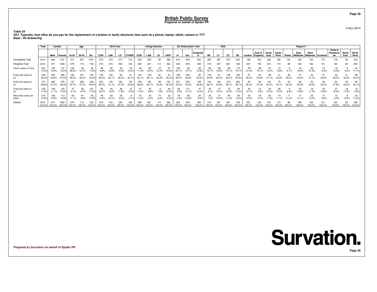**Table 24Q37. Typically, how often do you pay for the replacement of a broken or faulty electronic item such as a phone, laptop, tablet, camera or TV? Base : All Answering**

|                              | Total<br>Gender |               | Age            |              |              | <b>2010 Vote</b> |              |              | <b>Voting Intention</b> |                      |              |              | EU Referendum Vote |               |               | <b>SEG</b>   |              |              | Region11       |                |               |              |                    |               |               |        |                                        |               |               |                           |                     |                      |
|------------------------------|-----------------|---------------|----------------|--------------|--------------|------------------|--------------|--------------|-------------------------|----------------------|--------------|--------------|--------------------|---------------|---------------|--------------|--------------|--------------|----------------|----------------|---------------|--------------|--------------------|---------------|---------------|--------|----------------------------------------|---------------|---------------|---------------------------|---------------------|----------------------|
|                              |                 | Male          | Female         | 18-34        | 35-54        | $55+$            | <b>CON</b>   | LAB          | LD.                     | <b>OTHER</b>         | CON          | LAB          | LD                 | <b>UKIP</b>   |               | Out          | Undecide     | AB           | C <sub>1</sub> | C <sub>2</sub> | DE            | London       | East of<br>England | South<br>East | South<br>West | Wales  | East<br>Midlands   Midlands   Scotland | West          |               | Yorks &<br>Humbersi<br>de | North<br>East       | North<br><b>West</b> |
| Unweighted Total             | 2012            | 845           | 1167           | 371          | 567          | 1074             | 573          | 374          | 277                     | 176                  | 435          | 425          | 95                 | 384           | 610           | 940          | 355          | 382          | 387            | 570            | 673           |              | 193                |               |               |        |                                        | 154           | 172           | 178                       | 95                  | 243                  |
| <b>Weighted Total</b>        | 2012            | 977           | 1035           | 579          | 710          | 723              | 518          |              | 330                     | 136                  | 393          | 461          | 14                 | 362           | 643           | 876          | 359          | 419          | 307            | 561            | 726           | 227          | 193                |               |               |        |                                        | 162           | 151           | 163                       | 92                  |                      |
| Once a year or more          | 291<br>14.4%    | 15.8%         | 137<br>13.2%   | 165<br>28.5% | 93<br>13.1%  | 32<br>1.5%       | 46           | 83<br>9.8%   | 23<br>6.9%              | 18<br>13.0%          | 44<br>11.2%  | 90<br>19.5%  | 15.3%              | 15.89         | 129<br>20.1%  | 93<br>10.7%  | 48<br>3.5%   | 55<br>13.1%  | 58<br>18.9%    | 68<br>12.1%    | 110<br>15.19  | 21           | 29                 |               |               |        | 34                                     | 35<br>21.6%   | 8.3%          | 18<br>10.9%               | 8.4%                | 17.1%                |
| Every two years or           | 528<br>26.39    | 244<br>24.9%  | 285<br>27.5%   | 165<br>28.5% | 231<br>32.5% | 132              | 135<br>26.2% | 125<br>30.1% | 94<br>28.3%             | 30.19                | 103<br>26.1% | 129<br>28.1% | 40<br>34.9%        | 25.3%         | 189<br>29.4%  | 224<br>25.6% | 90<br>25.0%  | 146<br>34.9% | 26.4%          | 136<br>24.2%   | 165<br>22.8%  | 25.0%        |                    |               |               | 39.29  |                                        | 34<br>21.1%   | 33.9%         | 46<br>28.3%               | 21<br>23.2%         | 88<br>34.3%          |
| Every five years or<br>so    | 741<br>36.8%    | 365<br>37.3%  | 376<br>36.4%   | 23.7%        | 265<br>37.3% | 339              | 39.4%        | 132<br>31.7% | 156<br>7.2%             | 58<br>$42.6^{\circ}$ | 152<br>38.8% | 153<br>33.1% | 38<br>33.4%        | 154<br>42.5%  | 221<br>34.3%  | 352<br>40.2% | 139<br>38.8% | 154<br>36.7% | 106<br>34.6%   | 39.1%          | 262<br>36.1%  | 60           |                    |               |               |        | 32.6%                                  | 53<br>32.6%   | 33.3%         | 62<br>37.8%               | 39<br>42.2%         | 32.1%                |
| Every ten years or<br>SO.    | 233<br>11.6%    | 11.1%         | 124<br>12.0%   | 8.1%         | 8.4%         | 17.5%            | 16.2%        | 8.2%         | 38<br>11.6%             | 8.5%                 | 11.9%        | 9.8%         | 7.9%               | 10.4%         | 9.9%          | 12.7%        | 47<br>3.2%   | 8.1%         | 10.0%          | 13.2%          | 94<br>13.0%   |              | 3.9%               |               |               |        | 2.9%                                   | 11.2%         | 15.6%         | 27<br>16.9%               | 16<br>7.9%          | 4.8%                 |
| More than every ten<br>years | 219<br>10.9%    | 10.8%         | 113<br>10.99   |              | 8.6%         | 93<br>12.9%      | 9.4%         | 0.1%         | 6.0%                    |                      | 11.9%        | 9.4%         | 8.4%               | 22<br>6.0%    | 6.2%          | 10.8%        | 34<br>9.5%   | 7.2%         | 10.0%          | 11.4%          | 94<br>13.0%   | 14.6%        |                    |               |               |        |                                        | 13.5%         | 8.9%          | 6.0%                      | 8.4%                | 11.8%                |
| <b>SIGMA</b>                 | 2012<br>100.0%  | 977<br>100.0% | 1035<br>100.0% | 100.0%       | 100.0%       | 723              | 100.0%       |              |                         |                      | 393          |              |                    | 362<br>100.0% | 643<br>100.0% |              | 359          | 419          | $100.0\%$      | 561            | 726<br>100.09 | 22<br>100.0% |                    |               |               | 100.0% | 100.0%                                 | 162<br>100.0% | 151<br>100.0% | 163<br>100.0%             | 92<br>100.0% 100.0% |                      |

**Prepared by Survation on behalf of Spider PR**

**Survation.** 

**Page 30**

**Page 30**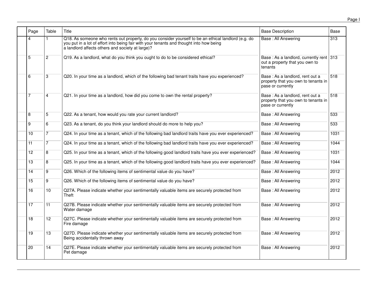| Page            | Table           | Title                                                                                                                                                                                                                                              | <b>Base Description</b>                                                                     | Base |
|-----------------|-----------------|----------------------------------------------------------------------------------------------------------------------------------------------------------------------------------------------------------------------------------------------------|---------------------------------------------------------------------------------------------|------|
| 4               |                 | Q18. As someone who rents out property, do you consider yourself to be an ethical landlord (e.g. do<br>you put in a lot of effort into being fair with your tenants and thought into how being<br>a landlord affects others and society at large)? | <b>Base: All Answering</b>                                                                  | 313  |
| 5               | $\overline{2}$  | Q19. As a landlord, what do you think you ought to do to be considered ethical?                                                                                                                                                                    | Base: As a landlord, currently rent 313<br>out a property that you own to<br>tenants        |      |
| 6               | 3               | Q20. In your time as a landlord, which of the following bad tenant traits have you experienced?                                                                                                                                                    | Base: As a landlord, rent out a<br>property that you own to tenants in<br>pase or currently | 518  |
| 7               | 4               | Q21. In your time as a landlord, how did you come to own the rental property?                                                                                                                                                                      | Base: As a landlord, rent out a<br>property that you own to tenants in<br>pase or currently | 518  |
| 8               | 5               | Q22. As a tenant, how would you rate your current landlord?                                                                                                                                                                                        | Base: All Answering                                                                         | 533  |
| $\overline{9}$  | 6               | Q23. As a tenant, do you think your landlord should do more to help you?                                                                                                                                                                           | Base: All Answering                                                                         | 533  |
| 10              | 7               | Q24. In your time as a tenant, which of the following bad landlord traits have you ever experienced?                                                                                                                                               | Base: All Answering                                                                         | 1031 |
| 11              | $\overline{7}$  | Q24. In your time as a tenant, which of the following bad landlord traits have you ever experienced?                                                                                                                                               | Base: All Answering                                                                         | 1044 |
| 12              | $\overline{8}$  | Q25. In your time as a tenant, which of the following good landlord traits have you ever experienced?                                                                                                                                              | Base: All Answering                                                                         | 1031 |
| $\overline{13}$ | 8               | Q25. In your time as a tenant, which of the following good landlord traits have you ever experienced?                                                                                                                                              | Base: All Answering                                                                         | 1044 |
| 14              | 9               | Q26. Which of the following items of sentimental value do you have?                                                                                                                                                                                | Base: All Answering                                                                         | 2012 |
| 15              | $\overline{9}$  | Q26. Which of the following items of sentimental value do you have?                                                                                                                                                                                | Base: All Answering                                                                         | 2012 |
| 16              | $\overline{10}$ | Q27A. Please indicate whether your sentimentally valuable items are securely protected from<br>Theft                                                                                                                                               | Base: All Answering                                                                         | 2012 |
| 17              | $\overline{11}$ | Q27B. Please indicate whether your sentimentally valuable items are securely protected from<br>Water damage                                                                                                                                        | Base: All Answering                                                                         | 2012 |
| 18              | $\overline{12}$ | Q27C. Please indicate whether your sentimentally valuable items are securely protected from<br>Fire damage                                                                                                                                         | Base: All Answering                                                                         | 2012 |
| $\overline{19}$ | $\overline{13}$ | Q27D. Please indicate whether your sentimentally valuable items are securely protected from<br>Being accidentally thrown away                                                                                                                      | Base: All Answering                                                                         | 2012 |
| 20              | $\overline{14}$ | Q27E. Please indicate whether your sentimentally valuable items are securely protected from<br>Pet damage                                                                                                                                          | Base: All Answering                                                                         | 2012 |